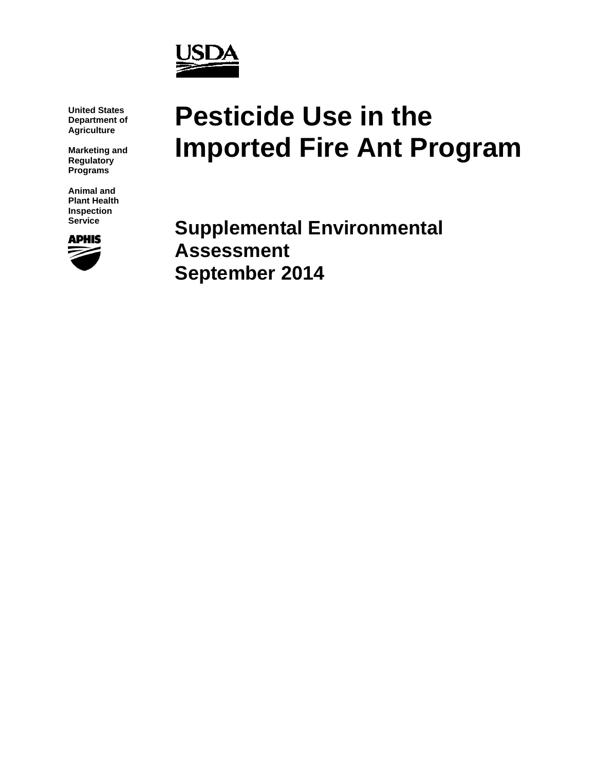

**United States Department of Agriculture**

**Marketing and Regulatory Programs**

**Animal and Plant Health Inspection Service**



# **Pesticide Use in the Imported Fire Ant Program**

**Supplemental Environmental Assessment September 2014**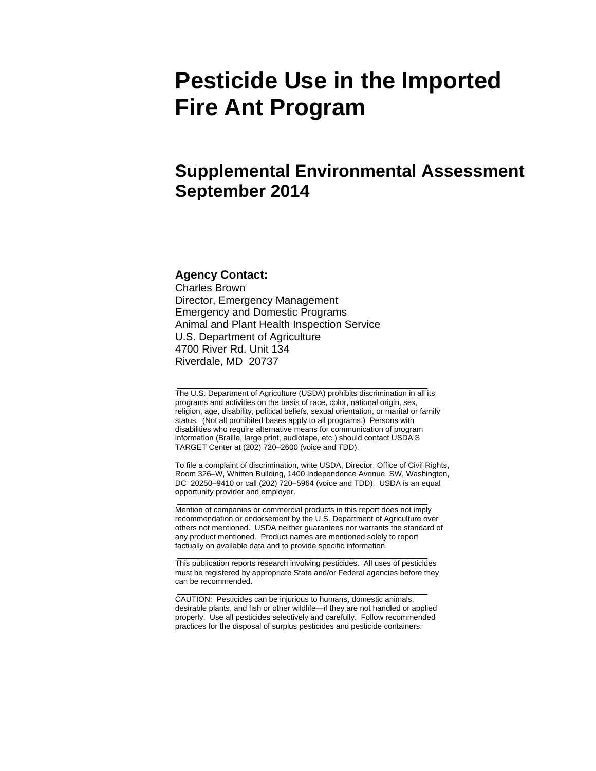## **Pesticide Use in the Imported Fire Ant Program**

## **Supplemental Environmental Assessment September 2014**

#### **Agency Contact:**

Charles Brown Director, Emergency Management Emergency and Domestic Programs Animal and Plant Health Inspection Service U.S. Department of Agriculture 4700 River Rd. Unit 134 Riverdale, MD 20737

The U.S. Department of Agriculture (USDA) prohibits discrimination in all its programs and activities on the basis of race, color, national origin, sex, religion, age, disability, political beliefs, sexual orientation, or marital or family status. (Not all prohibited bases apply to all programs.) Persons with disabilities who require alternative means for communication of program information (Braille, large print, audiotape, etc.) should contact USDA'S TARGET Center at (202) 720–2600 (voice and TDD).

\_\_\_\_\_\_\_\_\_\_\_\_\_\_\_\_\_\_\_\_\_\_\_\_\_\_\_\_\_\_\_\_\_\_\_\_\_\_\_\_\_\_\_\_\_\_\_\_\_\_\_\_\_\_\_\_\_\_

To file a complaint of discrimination, write USDA, Director, Office of Civil Rights, Room 326–W, Whitten Building, 1400 Independence Avenue, SW, Washington, DC 20250–9410 or call (202) 720–5964 (voice and TDD). USDA is an equal opportunity provider and employer.

\_\_\_\_\_\_\_\_\_\_\_\_\_\_\_\_\_\_\_\_\_\_\_\_\_\_\_\_\_\_\_\_\_\_\_\_\_\_\_\_\_\_\_\_\_\_\_\_\_\_\_\_\_\_\_\_\_\_ Mention of companies or commercial products in this report does not imply recommendation or endorsement by the U.S. Department of Agriculture over others not mentioned. USDA neither guarantees nor warrants the standard of any product mentioned. Product names are mentioned solely to report factually on available data and to provide specific information.

This publication reports research involving pesticides. All uses of pesticides must be registered by appropriate State and/or Federal agencies before they can be recommended.

\_\_\_\_\_\_\_\_\_\_\_\_\_\_\_\_\_\_\_\_\_\_\_\_\_\_\_\_\_\_\_\_\_\_\_\_\_\_\_\_\_\_\_\_\_\_\_\_\_\_\_\_\_\_\_\_\_\_

\_\_\_\_\_\_\_\_\_\_\_\_\_\_\_\_\_\_\_\_\_\_\_\_\_\_\_\_\_\_\_\_\_\_\_\_\_\_\_\_\_\_\_\_\_\_\_\_\_\_\_\_\_\_\_\_\_\_

CAUTION: Pesticides can be injurious to humans, domestic animals, desirable plants, and fish or other wildlife—if they are not handled or applied properly. Use all pesticides selectively and carefully. Follow recommended practices for the disposal of surplus pesticides and pesticide containers.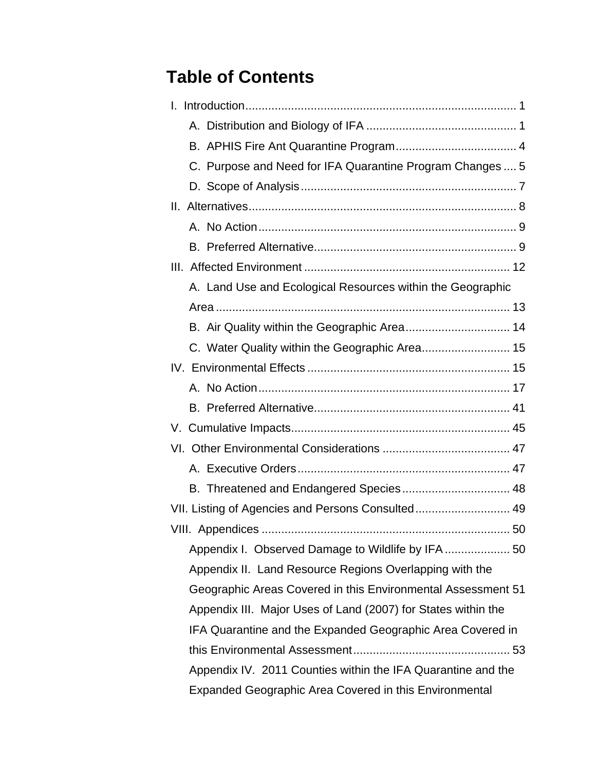## **Table of Contents**

| C. Purpose and Need for IFA Quarantine Program Changes  5     |
|---------------------------------------------------------------|
|                                                               |
|                                                               |
|                                                               |
|                                                               |
|                                                               |
| A. Land Use and Ecological Resources within the Geographic    |
|                                                               |
| B. Air Quality within the Geographic Area 14                  |
| C. Water Quality within the Geographic Area 15                |
|                                                               |
|                                                               |
|                                                               |
|                                                               |
|                                                               |
|                                                               |
|                                                               |
| VII. Listing of Agencies and Persons Consulted 49             |
|                                                               |
|                                                               |
| Appendix II. Land Resource Regions Overlapping with the       |
| Geographic Areas Covered in this Environmental Assessment 51  |
| Appendix III. Major Uses of Land (2007) for States within the |
| IFA Quarantine and the Expanded Geographic Area Covered in    |
|                                                               |
| Appendix IV. 2011 Counties within the IFA Quarantine and the  |
| Expanded Geographic Area Covered in this Environmental        |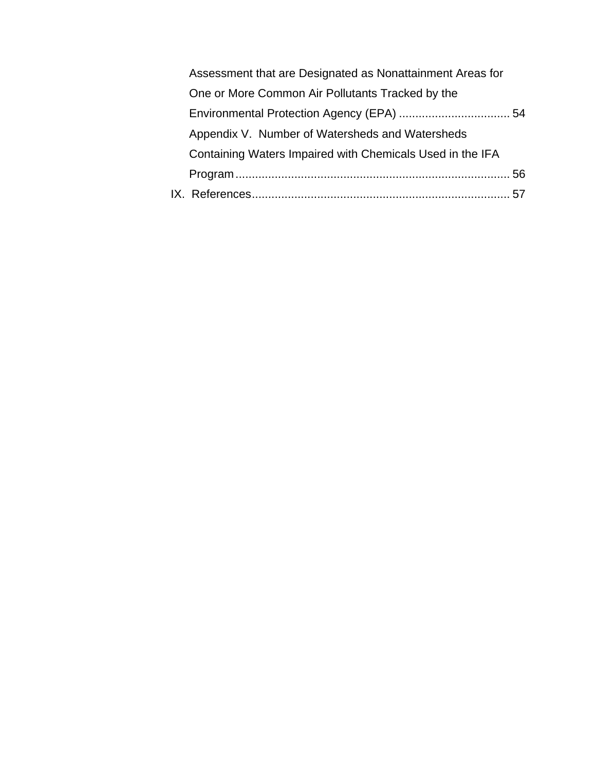| Assessment that are Designated as Nonattainment Areas for |  |
|-----------------------------------------------------------|--|
| One or More Common Air Pollutants Tracked by the          |  |
|                                                           |  |
| Appendix V. Number of Watersheds and Watersheds           |  |
| Containing Waters Impaired with Chemicals Used in the IFA |  |
|                                                           |  |
|                                                           |  |
|                                                           |  |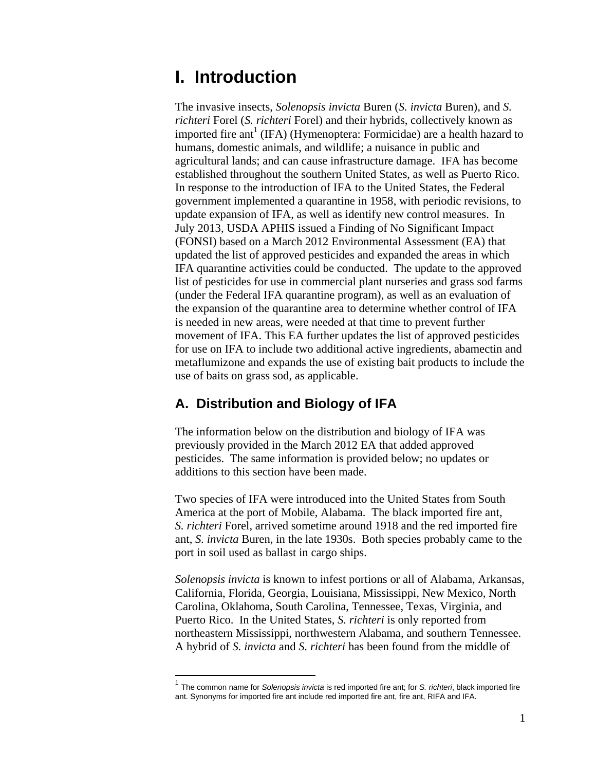## <span id="page-4-0"></span>**I. Introduction**

The invasive insects, *Solenopsis invicta* Buren (*S. invicta* Buren), and *S. richteri* Forel (*S. richteri* Forel) and their hybrids, collectively known as imported fire ant<sup>1</sup> (IFA) (Hymenoptera: Formicidae) are a health hazard to humans, domestic animals, and wildlife; a nuisance in public and agricultural lands; and can cause infrastructure damage. IFA has become established throughout the southern United States, as well as Puerto Rico. In response to the introduction of IFA to the United States, the Federal government implemented a quarantine in 1958, with periodic revisions, to update expansion of IFA, as well as identify new control measures. In July 2013, USDA APHIS issued a Finding of No Significant Impact (FONSI) based on a March 2012 Environmental Assessment (EA) that updated the list of approved pesticides and expanded the areas in which IFA quarantine activities could be conducted. The update to the approved list of pesticides for use in commercial plant nurseries and grass sod farms (under the Federal IFA quarantine program), as well as an evaluation of the expansion of the quarantine area to determine whether control of IFA is needed in new areas, were needed at that time to prevent further movement of IFA. This EA further updates the list of approved pesticides for use on IFA to include two additional active ingredients, abamectin and metaflumizone and expands the use of existing bait products to include the use of baits on grass sod, as applicable.

### <span id="page-4-1"></span>**A. Distribution and Biology of IFA**

 $\overline{a}$ 

The information below on the distribution and biology of IFA was previously provided in the March 2012 EA that added approved pesticides. The same information is provided below; no updates or additions to this section have been made.

Two species of IFA were introduced into the United States from South America at the port of Mobile, Alabama. The black imported fire ant, *S. richteri* Forel, arrived sometime around 1918 and the red imported fire ant, *S. invicta* Buren, in the late 1930s. Both species probably came to the port in soil used as ballast in cargo ships.

*Solenopsis invicta* is known to infest portions or all of Alabama, Arkansas, California, Florida, Georgia, Louisiana, Mississippi, New Mexico, North Carolina, Oklahoma, South Carolina, Tennessee, Texas, Virginia, and Puerto Rico. In the United States, *S. richteri* is only reported from northeastern Mississippi, northwestern Alabama, and southern Tennessee. A hybrid of *S. invicta* and *S. richteri* has been found from the middle of

<sup>1</sup> The common name for *Solenopsis invicta* is red imported fire ant; for *S. richteri*, black imported fire ant. Synonyms for imported fire ant include red imported fire ant, fire ant, RIFA and IFA.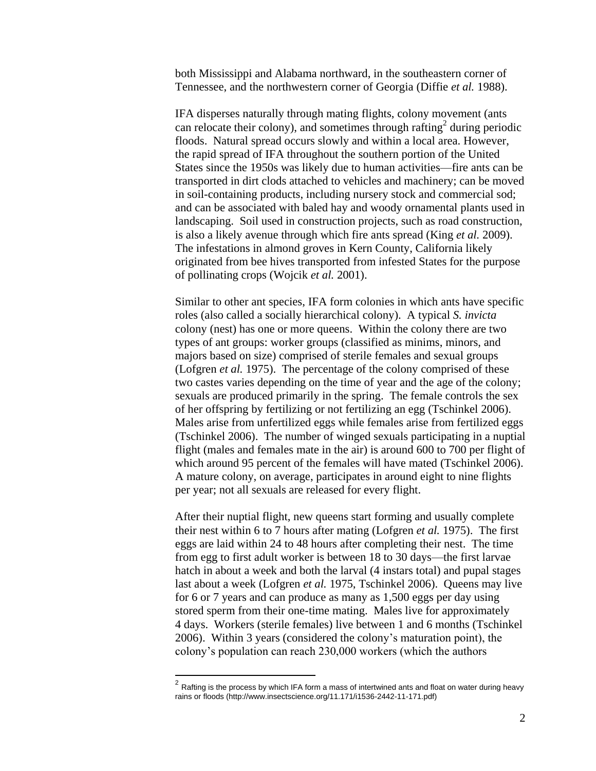both Mississippi and Alabama northward, in the southeastern corner of Tennessee, and the northwestern corner of Georgia [\(Diffie](#page-61-0) *et al.* 1988).

IFA disperses naturally through mating flights, colony movement (ants can relocate their colony), and sometimes through rafting<sup>2</sup> during periodic floods. Natural spread occurs slowly and within a local area. However, the rapid spread of IFA throughout the southern portion of the United States since the 1950s was likely due to human activities—fire ants can be transported in dirt clods attached to vehicles and machinery; can be moved in soil-containing products, including nursery stock and commercial sod; and can be associated with baled hay and woody ornamental plants used in landscaping. Soil used in construction projects, such as road construction, is also a likely avenue through which fire ants spread (King *et al.* [2009\)](#page-63-0). The infestations in almond groves in Kern County, California likely originated from bee hives transported from infested States for the purpose of pollinating crops [\(Wojcik](#page-66-0) *et al.* 2001).

Similar to other ant species, IFA form colonies in which ants have specific roles (also called a socially hierarchical colony). A typical *S. invicta* colony (nest) has one or more queens. Within the colony there are two types of ant groups: worker groups (classified as minims, minors, and majors based on size) comprised of sterile females and sexual groups [\(Lofgren](#page-63-1) *et al.* 1975). The percentage of the colony comprised of these two castes varies depending on the time of year and the age of the colony; sexuals are produced primarily in the spring. The female controls the sex of her offspring by fertilizing or not fertilizing an egg [\(Tschinkel 2006\)](#page-65-0). Males arise from unfertilized eggs while females arise from fertilized eggs [\(Tschinkel 2006\)](#page-65-0). The number of winged sexuals participating in a nuptial flight (males and females mate in the air) is around 600 to 700 per flight of which around 95 percent of the females will have mated [\(Tschinkel 2006\)](#page-65-0). A mature colony, on average, participates in around eight to nine flights per year; not all sexuals are released for every flight.

After their nuptial flight, new queens start forming and usually complete their nest within 6 to 7 hours after mating [\(Lofgren](#page-63-1) *et al.* 1975). The first eggs are laid within 24 to 48 hours after completing their nest. The time from egg to first adult worker is between 18 to 30 days—the first larvae hatch in about a week and both the larval (4 instars total) and pupal stages last about a week [\(Lofgren](#page-63-1) *et al.* 1975, [Tschinkel 2006\)](#page-65-0). Queens may live for 6 or 7 years and can produce as many as 1,500 eggs per day using stored sperm from their one-time mating. Males live for approximately 4 days. Workers (sterile females) live between 1 and 6 months [\(Tschinkel](#page-65-0)  [2006\)](#page-65-0). Within 3 years (considered the colony's maturation point), the colony's population can reach 230,000 workers (which the authors

<sup>&</sup>lt;u>2</u><br><sup>2</sup> Rafting is the process by which IFA form a mass of intertwined ants and float on water during heavy rains or floods (http://www.insectscience.org/11.171/i1536-2442-11-171.pdf)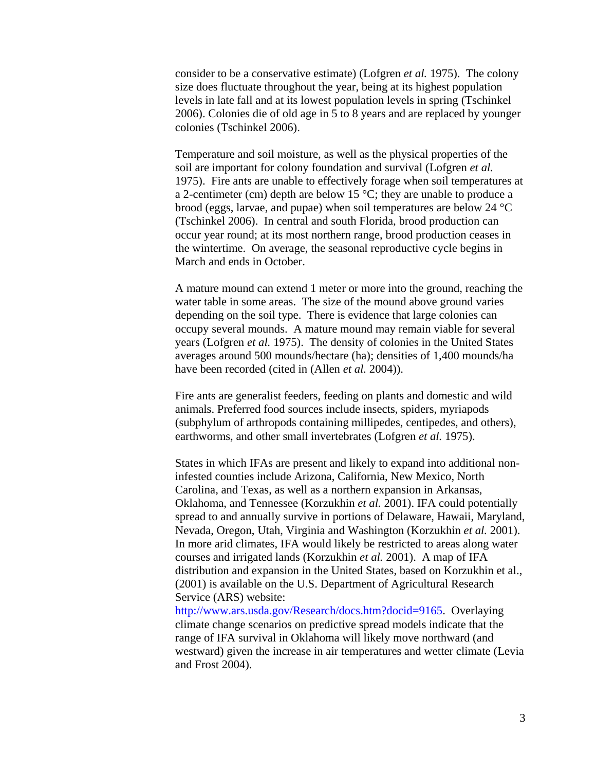consider to be a conservative estimate) [\(Lofgren](#page-63-1) *et al.* 1975). The colony size does fluctuate throughout the year, being at its highest population levels in late fall and at its lowest population levels in spring [\(Tschinkel](#page-65-0)  [2006\)](#page-65-0). Colonies die of old age in 5 to 8 years and are replaced by younger colonies [\(Tschinkel 2006\)](#page-65-0).

Temperature and soil moisture, as well as the physical properties of the soil are important for colony foundation and survival [\(Lofgren](#page-63-1) *et al.* [1975\)](#page-63-1). Fire ants are unable to effectively forage when soil temperatures at a 2-centimeter (cm) depth are below 15 °C; they are unable to produce a brood (eggs, larvae, and pupae) when soil temperatures are below 24 °C [\(Tschinkel 2006\)](#page-65-0). In central and south Florida, brood production can occur year round; at its most northern range, brood production ceases in the wintertime. On average, the seasonal reproductive cycle begins in March and ends in October.

A mature mound can extend 1 meter or more into the ground, reaching the water table in some areas. The size of the mound above ground varies depending on the soil type. There is evidence that large colonies can occupy several mounds. A mature mound may remain viable for several years [\(Lofgren](#page-63-1) *et al.* 1975). The density of colonies in the United States averages around 500 mounds/hectare (ha); densities of 1,400 mounds/ha have been recorded (cited in [\(Allen](#page-60-1) *et al.* 2004)).

Fire ants are generalist feeders, feeding on plants and domestic and wild animals. Preferred food sources include insects, spiders, myriapods (subphylum of arthropods containing millipedes, centipedes, and others), earthworms, and other small invertebrates [\(Lofgren](#page-63-1) *et al.* 1975).

States in which IFAs are present and likely to expand into additional noninfested counties include Arizona, California, New Mexico, North Carolina, and Texas, as well as a northern expansion in Arkansas, Oklahoma, and Tennessee [\(Korzukhin](#page-63-2) *et al.* 2001). IFA could potentially spread to and annually survive in portions of Delaware, Hawaii, Maryland, Nevada, Oregon, Utah, Virginia and Washington [\(Korzukhin](#page-63-2) *et al.* 2001). In more arid climates, IFA would likely be restricted to areas along water courses and irrigated lands [\(Korzukhin](#page-63-2) *et al.* 2001). A map of IFA distribution and expansion in the United States, based on Korzukhin et al., (2001) is available on the U.S. Department of Agricultural Research Service (ARS) website:

[http://www.ars.usda.gov/Research/docs.htm?docid=9165.](http://www.ars.usda.gov/Research/docs.htm?docid=9165) Overlaying climate change scenarios on predictive spread models indicate that the range of IFA survival in Oklahoma will likely move northward (and westward) given the increase in air temperatures and wetter climate [\(Levia](#page-63-3)  [and Frost 2004\)](#page-63-3).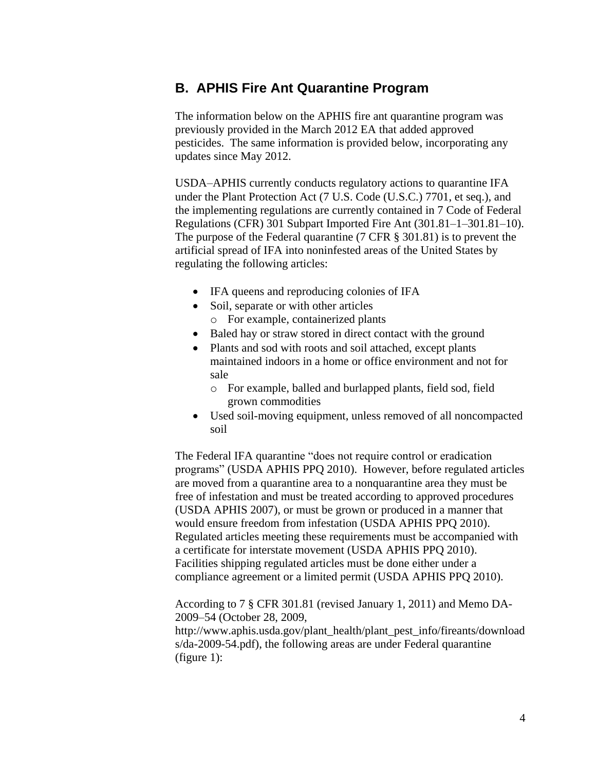### <span id="page-7-0"></span>**B. APHIS Fire Ant Quarantine Program**

The information below on the APHIS fire ant quarantine program was previously provided in the March 2012 EA that added approved pesticides. The same information is provided below, incorporating any updates since May 2012.

USDA–APHIS currently conducts regulatory actions to quarantine IFA under the Plant Protection Act (7 U.S. Code (U.S.C.) 7701, et seq.), and the implementing regulations are currently contained in 7 Code of Federal Regulations (CFR) 301 Subpart Imported Fire Ant (301.81–1–301.81–10). The purpose of the Federal quarantine (7 CFR § 301.81) is to prevent the artificial spread of IFA into noninfested areas of the United States by regulating the following articles:

- IFA queens and reproducing colonies of IFA
- Soil, separate or with other articles
- o For example, containerized plants • Baled hay or straw stored in direct contact with the ground
- Plants and sod with roots and soil attached, except plants maintained indoors in a home or office environment and not for sale
	- o For example, balled and burlapped plants, field sod, field grown commodities
- Used soil-moving equipment, unless removed of all noncompacted soil

The Federal IFA quarantine "does not require control or eradication programs" [\(USDA APHIS PPQ 2010\)](#page-65-1). However, before regulated articles are moved from a quarantine area to a nonquarantine area they must be free of infestation and must be treated according to approved procedures [\(USDA APHIS 2007\)](#page-65-2), or must be grown or produced in a manner that would ensure freedom from infestation [\(USDA APHIS PPQ 2010\)](#page-65-1). Regulated articles meeting these requirements must be accompanied with a certificate for interstate movement [\(USDA APHIS PPQ 2010\)](#page-65-1). Facilities shipping regulated articles must be done either under a compliance agreement or a limited permit [\(USDA APHIS PPQ 2010\)](#page-65-1).

According to 7 § CFR 301.81 (revised January 1, 2011) and Memo DA-2009–54 (October 28, 2009,

http://www.aphis.usda.gov/plant\_health/plant\_pest\_info/fireants/download s/da-2009-54.pdf), the following areas are under Federal quarantine (figure 1):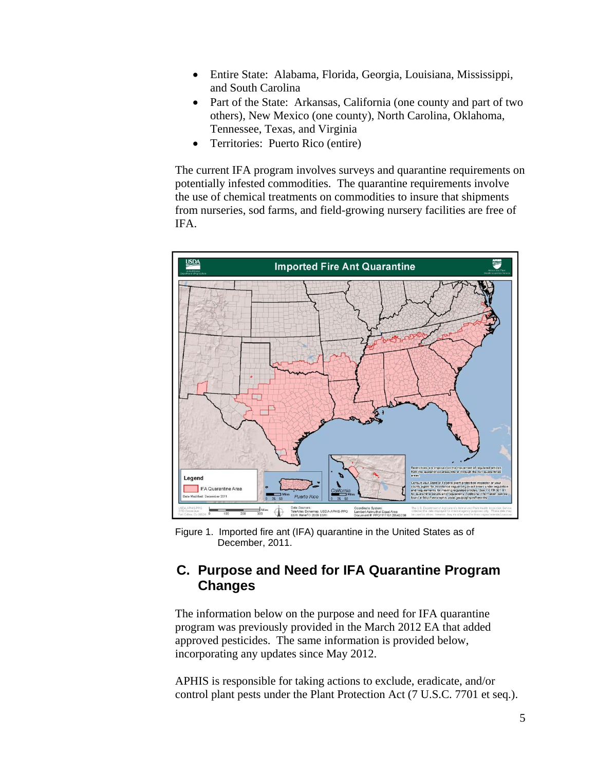- Entire State: Alabama, Florida, Georgia, Louisiana, Mississippi, and South Carolina
- Part of the State: Arkansas, California (one county and part of two others), New Mexico (one county), North Carolina, Oklahoma, Tennessee, Texas, and Virginia
- Territories: Puerto Rico (entire)

The current IFA program involves surveys and quarantine requirements on potentially infested commodities. The quarantine requirements involve the use of chemical treatments on commodities to insure that shipments from nurseries, sod farms, and field-growing nursery facilities are free of IFA.



Figure 1. Imported fire ant (IFA) quarantine in the United States as of December, 2011.

### <span id="page-8-0"></span>**C. Purpose and Need for IFA Quarantine Program Changes**

The information below on the purpose and need for IFA quarantine program was previously provided in the March 2012 EA that added approved pesticides. The same information is provided below, incorporating any updates since May 2012.

APHIS is responsible for taking actions to exclude, eradicate, and/or control plant pests under the Plant Protection Act (7 U.S.C. 7701 et seq.).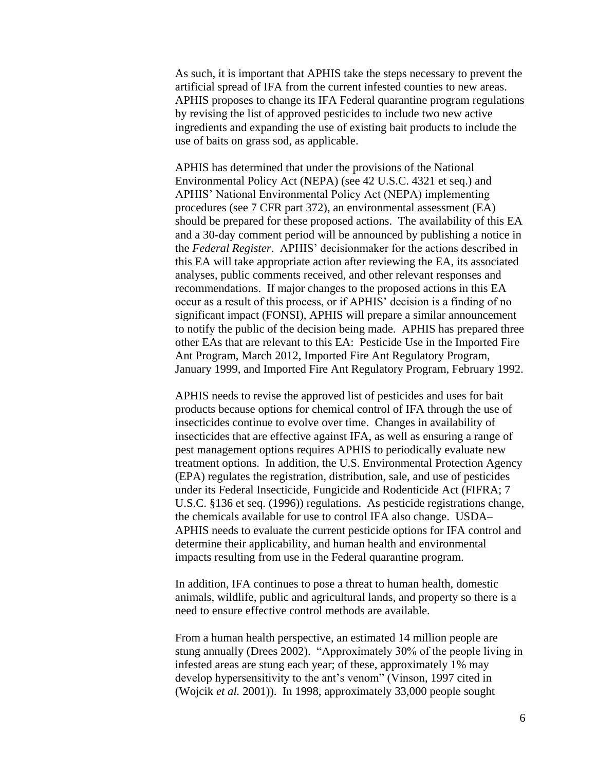As such, it is important that APHIS take the steps necessary to prevent the artificial spread of IFA from the current infested counties to new areas. APHIS proposes to change its IFA Federal quarantine program regulations by revising the list of approved pesticides to include two new active ingredients and expanding the use of existing bait products to include the use of baits on grass sod, as applicable.

APHIS has determined that under the provisions of the National Environmental Policy Act (NEPA) (see 42 U.S.C. 4321 et seq.) and APHIS' National Environmental Policy Act (NEPA) implementing procedures (see 7 CFR part 372), an environmental assessment (EA) should be prepared for these proposed actions. The availability of this EA and a 30-day comment period will be announced by publishing a notice in the *Federal Register*. APHIS' decisionmaker for the actions described in this EA will take appropriate action after reviewing the EA, its associated analyses, public comments received, and other relevant responses and recommendations. If major changes to the proposed actions in this EA occur as a result of this process, or if APHIS' decision is a finding of no significant impact (FONSI), APHIS will prepare a similar announcement to notify the public of the decision being made. APHIS has prepared three other EAs that are relevant to this EA: Pesticide Use in the Imported Fire Ant Program, March 2012, Imported Fire Ant Regulatory Program, January 1999, and Imported Fire Ant Regulatory Program, February 1992.

APHIS needs to revise the approved list of pesticides and uses for bait products because options for chemical control of IFA through the use of insecticides continue to evolve over time. Changes in availability of insecticides that are effective against IFA, as well as ensuring a range of pest management options requires APHIS to periodically evaluate new treatment options. In addition, the U.S. Environmental Protection Agency (EPA) regulates the registration, distribution, sale, and use of pesticides under its Federal Insecticide, Fungicide and Rodenticide Act (FIFRA; 7 U.S.C. §136 et seq. (1996)) regulations. As pesticide registrations change, the chemicals available for use to control IFA also change. USDA– APHIS needs to evaluate the current pesticide options for IFA control and determine their applicability, and human health and environmental impacts resulting from use in the Federal quarantine program.

In addition, IFA continues to pose a threat to human health, domestic animals, wildlife, public and agricultural lands, and property so there is a need to ensure effective control methods are available.

From a human health perspective, an estimated 14 million people are stung annually [\(Drees 2002\)](#page-61-1). "Approximately 30% of the people living in infested areas are stung each year; of these, approximately 1% may develop hypersensitivity to the ant's venom" (Vinson, 1997 cited in [\(Wojcik](#page-66-0) *et al.* 2001)). In 1998, approximately 33,000 people sought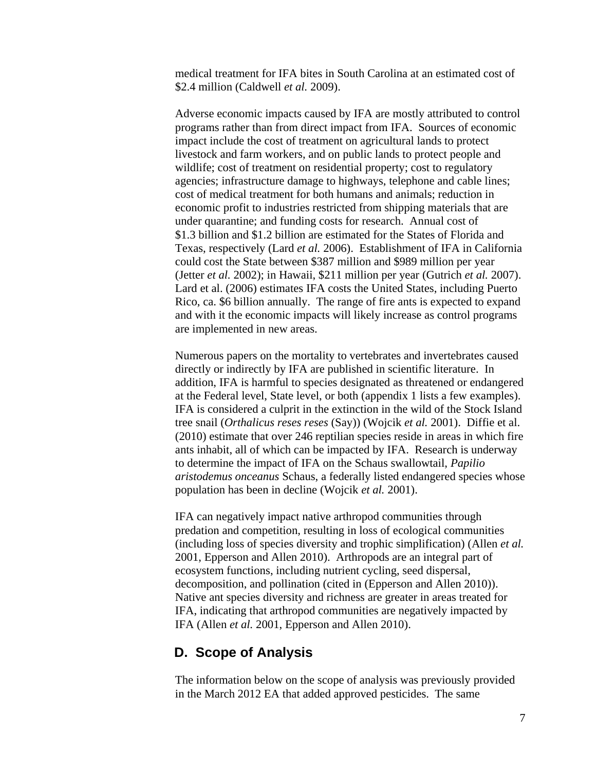medical treatment for IFA bites in South Carolina at an estimated cost of \$2.4 million [\(Caldwell](#page-60-2) *et al.* 2009).

Adverse economic impacts caused by IFA are mostly attributed to control programs rather than from direct impact from IFA. Sources of economic impact include the cost of treatment on agricultural lands to protect livestock and farm workers, and on public lands to protect people and wildlife; cost of treatment on residential property; cost to regulatory agencies; infrastructure damage to highways, telephone and cable lines; cost of medical treatment for both humans and animals; reduction in economic profit to industries restricted from shipping materials that are under quarantine; and funding costs for research. Annual cost of \$1.3 billion and \$1.2 billion are estimated for the States of Florida and Texas, respectively (Lard *et al.* [2006\)](#page-63-4). Establishment of IFA in California could cost the State between \$387 million and \$989 million per year [\(Jetter](#page-63-5) *et al.* 2002); in Hawaii, \$211 million per year [\(Gutrich](#page-62-0) *et al.* 2007). Lard et al. [\(2006\)](#page-63-4) estimates IFA costs the United States, including Puerto Rico, ca. \$6 billion annually. The range of fire ants is expected to expand and with it the economic impacts will likely increase as control programs are implemented in new areas.

Numerous papers on the mortality to vertebrates and invertebrates caused directly or indirectly by IFA are published in scientific literature. In addition, IFA is harmful to species designated as threatened or endangered at the Federal level, State level, or both (appendix 1 lists a few examples). IFA is considered a culprit in the extinction in the wild of the Stock Island tree snail (*Orthalicus reses reses* (Say)) [\(Wojcik](#page-66-0) *et al.* 2001). Diffie et al. [\(2010\)](#page-61-2) estimate that over 246 reptilian species reside in areas in which fire ants inhabit, all of which can be impacted by IFA. Research is underway to determine the impact of IFA on the Schaus swallowtail, *Papilio aristodemus onceanus* Schaus, a federally listed endangered species whose population has been in decline [\(Wojcik](#page-66-0) *et al.* 2001).

IFA can negatively impact native arthropod communities through predation and competition, resulting in loss of ecological communities (including loss of species diversity and trophic simplification) [\(Allen](#page-60-3) *et al.* [2001,](#page-60-3) [Epperson and Allen 2010\)](#page-62-1). Arthropods are an integral part of ecosystem functions, including nutrient cycling, seed dispersal, decomposition, and pollination (cited in [\(Epperson and Allen 2010\)](#page-62-1)). Native ant species diversity and richness are greater in areas treated for IFA, indicating that arthropod communities are negatively impacted by IFA [\(Allen](#page-60-3) *et al.* 2001, [Epperson and Allen 2010\)](#page-62-1).

#### <span id="page-10-0"></span>**D. Scope of Analysis**

The information below on the scope of analysis was previously provided in the March 2012 EA that added approved pesticides. The same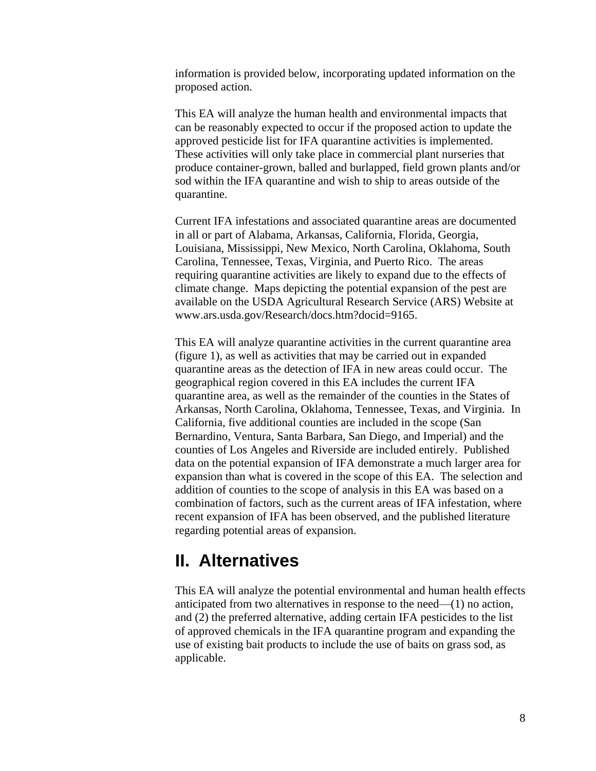information is provided below, incorporating updated information on the proposed action.

This EA will analyze the human health and environmental impacts that can be reasonably expected to occur if the proposed action to update the approved pesticide list for IFA quarantine activities is implemented. These activities will only take place in commercial plant nurseries that produce container-grown, balled and burlapped, field grown plants and/or sod within the IFA quarantine and wish to ship to areas outside of the quarantine.

Current IFA infestations and associated quarantine areas are documented in all or part of Alabama, Arkansas, California, Florida, Georgia, Louisiana, Mississippi, New Mexico, North Carolina, Oklahoma, South Carolina, Tennessee, Texas, Virginia, and Puerto Rico. The areas requiring quarantine activities are likely to expand due to the effects of climate change. Maps depicting the potential expansion of the pest are available on the USDA Agricultural Research Service (ARS) Website at www.ars.usda.gov/Research/docs.htm?docid=9165.

This EA will analyze quarantine activities in the current quarantine area (figure 1), as well as activities that may be carried out in expanded quarantine areas as the detection of IFA in new areas could occur. The geographical region covered in this EA includes the current IFA quarantine area, as well as the remainder of the counties in the States of Arkansas, North Carolina, Oklahoma, Tennessee, Texas, and Virginia. In California, five additional counties are included in the scope (San Bernardino, Ventura, Santa Barbara, San Diego, and Imperial) and the counties of Los Angeles and Riverside are included entirely. Published data on the potential expansion of IFA demonstrate a much larger area for expansion than what is covered in the scope of this EA. The selection and addition of counties to the scope of analysis in this EA was based on a combination of factors, such as the current areas of IFA infestation, where recent expansion of IFA has been observed, and the published literature regarding potential areas of expansion.

## <span id="page-11-0"></span>**II. Alternatives**

This EA will analyze the potential environmental and human health effects anticipated from two alternatives in response to the need—(1) no action, and (2) the preferred alternative, adding certain IFA pesticides to the list of approved chemicals in the IFA quarantine program and expanding the use of existing bait products to include the use of baits on grass sod, as applicable.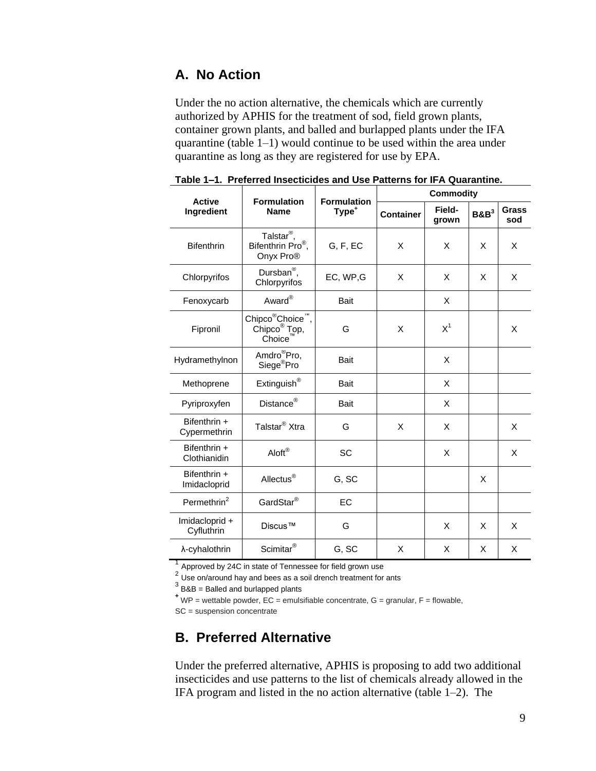### <span id="page-12-0"></span>**A. No Action**

Under the no action alternative, the chemicals which are currently authorized by APHIS for the treatment of sod, field grown plants, container grown plants, and balled and burlapped plants under the IFA quarantine (table 1–1) would continue to be used within the area under quarantine as long as they are registered for use by EPA.

|                              | <b>Formulation</b><br><b>Name</b>                                               |                                         | <b>Commodity</b> |                 |         |              |
|------------------------------|---------------------------------------------------------------------------------|-----------------------------------------|------------------|-----------------|---------|--------------|
| <b>Active</b><br>Ingredient  |                                                                                 | <b>Formulation</b><br>Type <sup>+</sup> | <b>Container</b> | Field-<br>grown | $B\&B3$ | Grass<br>sod |
| <b>Bifenthrin</b>            | Talstar <sup>®</sup> ,<br>Bifenthrin Pro <sup>®</sup> ,<br>Onyx Pro®            | G, F, EC                                | X                | X               | X       | X            |
| Chlorpyrifos                 | Dursban <sup>®</sup> ,<br>Chlorpyrifos                                          | EC, WP,G                                | X                | X               | X       | X            |
| Fenoxycarb                   | Award <sup>®</sup>                                                              | <b>Bait</b>                             |                  | X               |         |              |
| Fipronil                     | Chipco <sup>®</sup> Choice <sup>™</sup> ,<br>Chipco <sup>®</sup> Top,<br>Choice | G                                       | X                | $X^1$           |         | X            |
| Hydramethylnon               | Amdro <sup>®</sup> Pro,<br>Siege <sup>®</sup> Pro                               | <b>Bait</b>                             |                  | X               |         |              |
| Methoprene                   | $Extinguish^@$                                                                  | <b>Bait</b>                             |                  | X               |         |              |
| Pyriproxyfen                 | Distance <sup>®</sup>                                                           | <b>Bait</b>                             |                  | X               |         |              |
| Bifenthrin +<br>Cypermethrin | Talstar <sup>®</sup> Xtra                                                       | G                                       | X                | X               |         | X            |
| Bifenthrin +<br>Clothianidin | Aloft®                                                                          | <b>SC</b>                               |                  | X               |         | X            |
| Bifenthrin +<br>Imidacloprid | Allectus <sup>®</sup>                                                           | G, SC                                   |                  |                 | X       |              |
| Permethrin $2$               | GardStar <sup>®</sup>                                                           | EC                                      |                  |                 |         |              |
| Imidacloprid +<br>Cyfluthrin | Discus™                                                                         | G                                       |                  | X               | X       | X            |
| λ-cyhalothrin                | Scimitar <sup>®</sup>                                                           | G, SC                                   | X                | X               | X       | X            |

**Table 1–1. Preferred Insecticides and Use Patterns for IFA Quarantine.**

1 Approved by 24C in state of Tennessee for field grown use

 $2^{2}$  Use on/around hay and bees as a soil drench treatment for ants

 $3$  B&B = Balled and burlapped plants

**<sup>+</sup>**WP = wettable powder, EC = emulsifiable concentrate, G = granular, F = flowable,

SC = suspension concentrate

### <span id="page-12-1"></span>**B. Preferred Alternative**

Under the preferred alternative, APHIS is proposing to add two additional insecticides and use patterns to the list of chemicals already allowed in the IFA program and listed in the no action alternative (table 1–2). The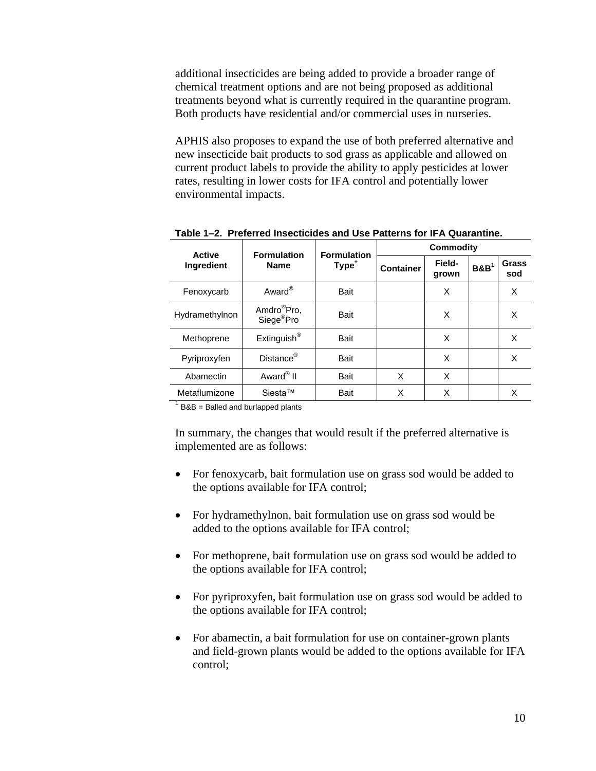additional insecticides are being added to provide a broader range of chemical treatment options and are not being proposed as additional treatments beyond what is currently required in the quarantine program. Both products have residential and/or commercial uses in nurseries.

APHIS also proposes to expand the use of both preferred alternative and new insecticide bait products to sod grass as applicable and allowed on current product labels to provide the ability to apply pesticides at lower rates, resulting in lower costs for IFA control and potentially lower environmental impacts.

| <b>Active</b>  | <b>Formulation</b>                                | <b>Formulation</b> | Commodity        |                 |                     |              |
|----------------|---------------------------------------------------|--------------------|------------------|-----------------|---------------------|--------------|
| Ingredient     | Type <sup>+</sup><br><b>Name</b>                  |                    | <b>Container</b> | Field-<br>grown | $B\&B$ <sup>1</sup> | Grass<br>sod |
| Fenoxycarb     | Award <sup>®</sup>                                | Bait               |                  | X               |                     | X            |
| Hydramethylnon | Amdro <sup>®</sup> Pro,<br>Siege <sup>®</sup> Pro | Bait               |                  | X               |                     | X            |
| Methoprene     | Extinguish <sup>®</sup>                           | Bait               |                  | X               |                     | X            |
| Pyriproxyfen   | Distance <sup>®</sup>                             | Bait               |                  | X               |                     | X            |
| Abamectin      | Award <sup>®</sup> II                             | Bait               | X                | X               |                     |              |
| Metaflumizone  | Siesta™                                           | Bait               | X                | X               |                     | X            |

**Table 1–2. Preferred Insecticides and Use Patterns for IFA Quarantine.**

 $1$  B&B = Balled and burlapped plants

In summary, the changes that would result if the preferred alternative is implemented are as follows:

- For fenoxycarb, bait formulation use on grass sod would be added to the options available for IFA control;
- For hydramethylnon, bait formulation use on grass sod would be added to the options available for IFA control;
- For methoprene, bait formulation use on grass sod would be added to the options available for IFA control;
- For pyriproxyfen, bait formulation use on grass sod would be added to the options available for IFA control;
- For abamectin, a bait formulation for use on container-grown plants and field-grown plants would be added to the options available for IFA control;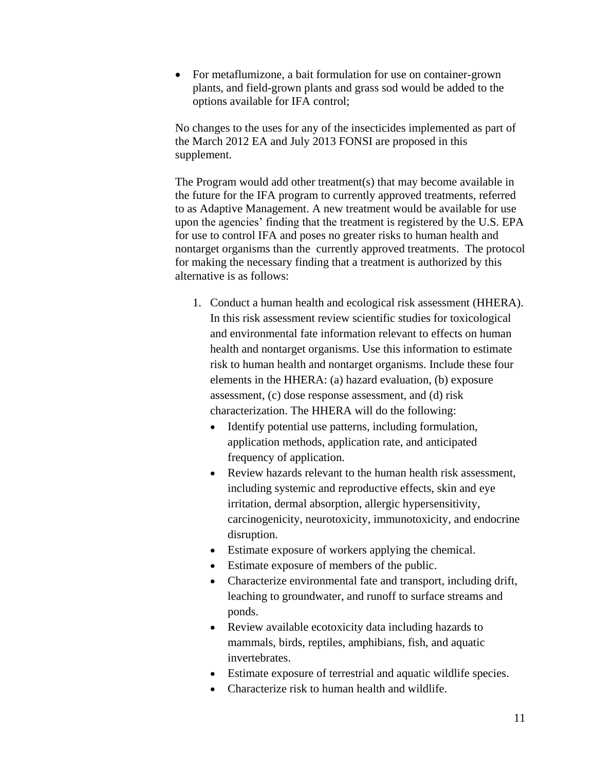• For metaflumizone, a bait formulation for use on container-grown plants, and field-grown plants and grass sod would be added to the options available for IFA control;

No changes to the uses for any of the insecticides implemented as part of the March 2012 EA and July 2013 FONSI are proposed in this supplement.

The Program would add other treatment(s) that may become available in the future for the IFA program to currently approved treatments, referred to as Adaptive Management. A new treatment would be available for use upon the agencies' finding that the treatment is registered by the U.S. EPA for use to control IFA and poses no greater risks to human health and nontarget organisms than the currently approved treatments. The protocol for making the necessary finding that a treatment is authorized by this alternative is as follows:

- 1. Conduct a human health and ecological risk assessment (HHERA). In this risk assessment review scientific studies for toxicological and environmental fate information relevant to effects on human health and nontarget organisms. Use this information to estimate risk to human health and nontarget organisms. Include these four elements in the HHERA: (a) hazard evaluation, (b) exposure assessment, (c) dose response assessment, and (d) risk characterization. The HHERA will do the following:
	- Identify potential use patterns, including formulation, application methods, application rate, and anticipated frequency of application.
	- Review hazards relevant to the human health risk assessment. including systemic and reproductive effects, skin and eye irritation, dermal absorption, allergic hypersensitivity, carcinogenicity, neurotoxicity, immunotoxicity, and endocrine disruption.
	- Estimate exposure of workers applying the chemical.
	- Estimate exposure of members of the public.
	- Characterize environmental fate and transport, including drift, leaching to groundwater, and runoff to surface streams and ponds.
	- Review available ecotoxicity data including hazards to mammals, birds, reptiles, amphibians, fish, and aquatic invertebrates.
	- Estimate exposure of terrestrial and aquatic wildlife species.
	- Characterize risk to human health and wildlife.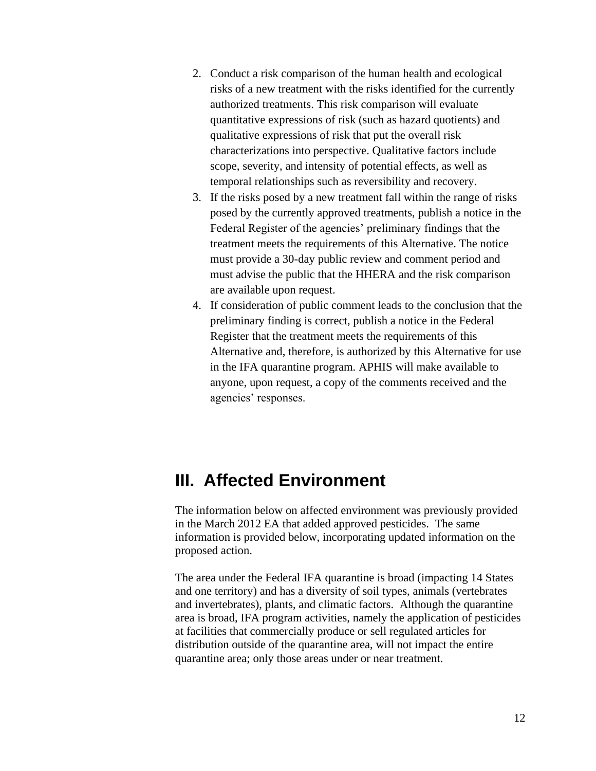- 2. Conduct a risk comparison of the human health and ecological risks of a new treatment with the risks identified for the currently authorized treatments. This risk comparison will evaluate quantitative expressions of risk (such as hazard quotients) and qualitative expressions of risk that put the overall risk characterizations into perspective. Qualitative factors include scope, severity, and intensity of potential effects, as well as temporal relationships such as reversibility and recovery.
- 3. If the risks posed by a new treatment fall within the range of risks posed by the currently approved treatments, publish a notice in the Federal Register of the agencies' preliminary findings that the treatment meets the requirements of this Alternative. The notice must provide a 30-day public review and comment period and must advise the public that the HHERA and the risk comparison are available upon request.
- 4. If consideration of public comment leads to the conclusion that the preliminary finding is correct, publish a notice in the Federal Register that the treatment meets the requirements of this Alternative and, therefore, is authorized by this Alternative for use in the IFA quarantine program. APHIS will make available to anyone, upon request, a copy of the comments received and the agencies' responses.

## <span id="page-15-0"></span>**III. Affected Environment**

The information below on affected environment was previously provided in the March 2012 EA that added approved pesticides. The same information is provided below, incorporating updated information on the proposed action.

The area under the Federal IFA quarantine is broad (impacting 14 States and one territory) and has a diversity of soil types, animals (vertebrates and invertebrates), plants, and climatic factors. Although the quarantine area is broad, IFA program activities, namely the application of pesticides at facilities that commercially produce or sell regulated articles for distribution outside of the quarantine area, will not impact the entire quarantine area; only those areas under or near treatment.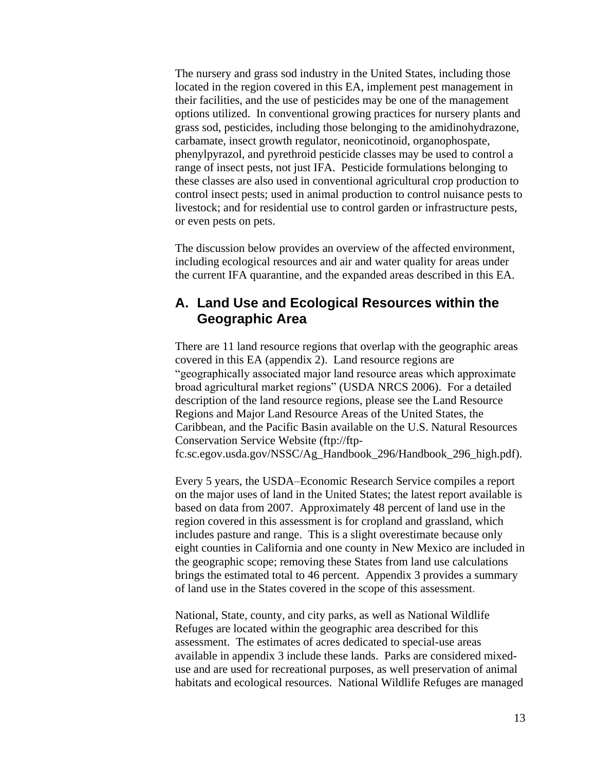The nursery and grass sod industry in the United States, including those located in the region covered in this EA, implement pest management in their facilities, and the use of pesticides may be one of the management options utilized. In conventional growing practices for nursery plants and grass sod, pesticides, including those belonging to the amidinohydrazone, carbamate, insect growth regulator, neonicotinoid, organophospate, phenylpyrazol, and pyrethroid pesticide classes may be used to control a range of insect pests, not just IFA. Pesticide formulations belonging to these classes are also used in conventional agricultural crop production to control insect pests; used in animal production to control nuisance pests to livestock; and for residential use to control garden or infrastructure pests, or even pests on pets.

The discussion below provides an overview of the affected environment, including ecological resources and air and water quality for areas under the current IFA quarantine, and the expanded areas described in this EA.

### <span id="page-16-0"></span>**A. Land Use and Ecological Resources within the Geographic Area**

There are 11 land resource regions that overlap with the geographic areas covered in this EA (appendix 2). Land resource regions are "geographically associated major land resource areas which approximate broad agricultural market regions" [\(USDA NRCS 2006\)](#page-65-3). For a detailed description of the land resource regions, please see the Land Resource Regions and Major Land Resource Areas of the United States, the Caribbean, and the Pacific Basin available on the U.S. Natural Resources Conservation Service Website [\(ftp://ftp](ftp://ftp-fc.sc.egov.usda.gov/NSSC/Ag_Handbook_296/Handbook_296_high.pdf)[fc.sc.egov.usda.gov/NSSC/Ag\\_Handbook\\_296/Handbook\\_296\\_high.pdf\)](ftp://ftp-fc.sc.egov.usda.gov/NSSC/Ag_Handbook_296/Handbook_296_high.pdf).

Every 5 years, the USDA–Economic Research Service compiles a report on the major uses of land in the United States; the latest report available is based on data from 2007. Approximately 48 percent of land use in the region covered in this assessment is for cropland and grassland, which includes pasture and range. This is a slight overestimate because only eight counties in California and one county in New Mexico are included in the geographic scope; removing these States from land use calculations brings the estimated total to 46 percent. Appendix 3 provides a summary of land use in the States covered in the scope of this assessment.

National, State, county, and city parks, as well as National Wildlife Refuges are located within the geographic area described for this assessment. The estimates of acres dedicated to special-use areas available in appendix 3 include these lands. Parks are considered mixeduse and are used for recreational purposes, as well preservation of animal habitats and ecological resources. National Wildlife Refuges are managed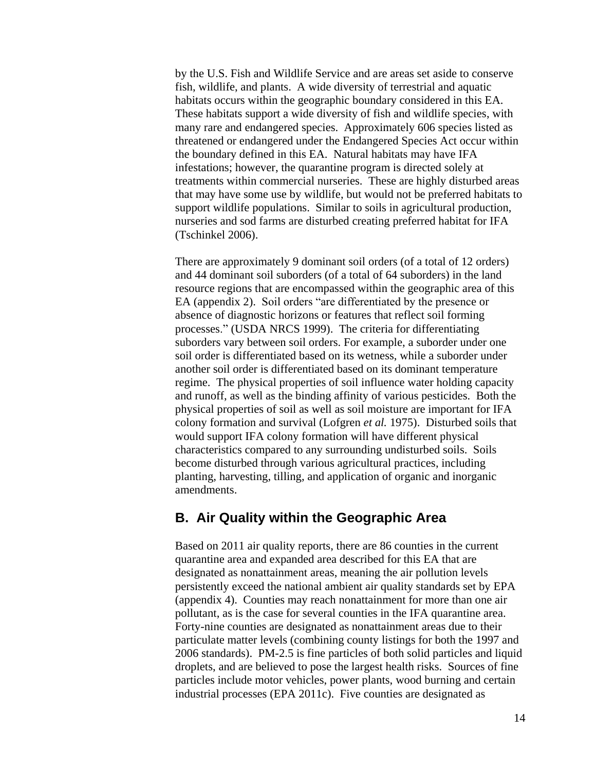by the U.S. Fish and Wildlife Service and are areas set aside to conserve fish, wildlife, and plants. A wide diversity of terrestrial and aquatic habitats occurs within the geographic boundary considered in this EA. These habitats support a wide diversity of fish and wildlife species, with many rare and endangered species. Approximately 606 species listed as threatened or endangered under the Endangered Species Act occur within the boundary defined in this EA. Natural habitats may have IFA infestations; however, the quarantine program is directed solely at treatments within commercial nurseries. These are highly disturbed areas that may have some use by wildlife, but would not be preferred habitats to support wildlife populations. Similar to soils in agricultural production, nurseries and sod farms are disturbed creating preferred habitat for IFA [\(Tschinkel 2006\)](#page-65-0).

There are approximately 9 dominant soil orders (of a total of 12 orders) and 44 dominant soil suborders (of a total of 64 suborders) in the land resource regions that are encompassed within the geographic area of this EA (appendix 2). Soil orders "are differentiated by the presence or absence of diagnostic horizons or features that reflect soil forming processes." [\(USDA NRCS 1999\)](#page-65-4). The criteria for differentiating suborders vary between soil orders. For example, a suborder under one soil order is differentiated based on its wetness, while a suborder under another soil order is differentiated based on its dominant temperature regime. The physical properties of soil influence water holding capacity and runoff, as well as the binding affinity of various pesticides. Both the physical properties of soil as well as soil moisture are important for IFA colony formation and survival [\(Lofgren](#page-63-1) *et al.* 1975). Disturbed soils that would support IFA colony formation will have different physical characteristics compared to any surrounding undisturbed soils. Soils become disturbed through various agricultural practices, including planting, harvesting, tilling, and application of organic and inorganic amendments.

### <span id="page-17-0"></span>**B. Air Quality within the Geographic Area**

Based on 2011 air quality reports, there are 86 counties in the current quarantine area and expanded area described for this EA that are designated as nonattainment areas, meaning the air pollution levels persistently exceed the national ambient air quality standards set by EPA (appendix 4). Counties may reach nonattainment for more than one air pollutant, as is the case for several counties in the IFA quarantine area. Forty-nine counties are designated as nonattainment areas due to their particulate matter levels (combining county listings for both the 1997 and 2006 standards). PM-2.5 is fine particles of both solid particles and liquid droplets, and are believed to pose the largest health risks. Sources of fine particles include motor vehicles, power plants, wood burning and certain industrial processes [\(EPA 2011c\)](#page-61-3). Five counties are designated as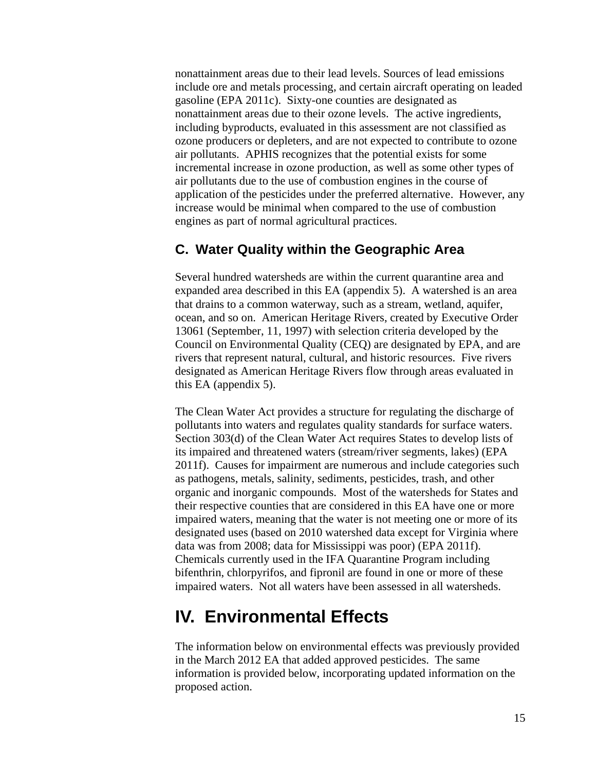nonattainment areas due to their lead levels. Sources of lead emissions include ore and metals processing, and certain aircraft operating on leaded gasoline [\(EPA 2011c\)](#page-61-3). Sixty-one counties are designated as nonattainment areas due to their ozone levels. The active ingredients, including byproducts, evaluated in this assessment are not classified as ozone producers or depleters, and are not expected to contribute to ozone air pollutants. APHIS recognizes that the potential exists for some incremental increase in ozone production, as well as some other types of air pollutants due to the use of combustion engines in the course of application of the pesticides under the preferred alternative. However, any increase would be minimal when compared to the use of combustion engines as part of normal agricultural practices.

### <span id="page-18-0"></span>**C. Water Quality within the Geographic Area**

Several hundred watersheds are within the current quarantine area and expanded area described in this EA (appendix 5). A watershed is an area that drains to a common waterway, such as a stream, wetland, aquifer, ocean, and so on. American Heritage Rivers, created by Executive Order 13061 (September, 11, 1997) with selection criteria developed by the Council on Environmental Quality (CEQ) are designated by EPA, and are rivers that represent natural, cultural, and historic resources. Five rivers designated as American Heritage Rivers flow through areas evaluated in this EA (appendix 5).

The Clean Water Act provides a structure for regulating the discharge of pollutants into waters and regulates quality standards for surface waters. Section 303(d) of the Clean Water Act requires States to develop lists of its impaired and threatened waters (stream/river segments, lakes) [\(EPA](#page-62-2)  [2011f\)](#page-62-2). Causes for impairment are numerous and include categories such as pathogens, metals, salinity, sediments, pesticides, trash, and other organic and inorganic compounds. Most of the watersheds for States and their respective counties that are considered in this EA have one or more impaired waters, meaning that the water is not meeting one or more of its designated uses (based on 2010 watershed data except for Virginia where data was from 2008; data for Mississippi was poor) [\(EPA 2011f\)](#page-62-2). Chemicals currently used in the IFA Quarantine Program including bifenthrin, chlorpyrifos, and fipronil are found in one or more of these impaired waters. Not all waters have been assessed in all watersheds.

## <span id="page-18-1"></span>**IV. Environmental Effects**

The information below on environmental effects was previously provided in the March 2012 EA that added approved pesticides. The same information is provided below, incorporating updated information on the proposed action.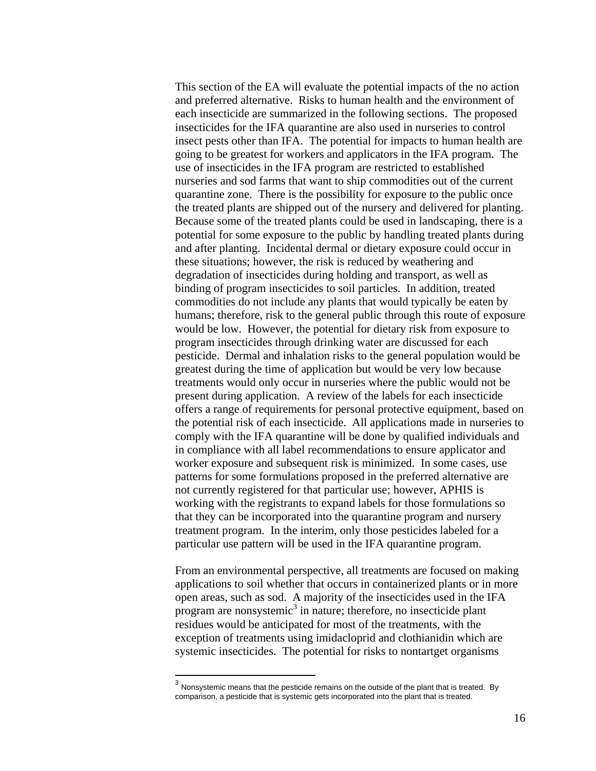This section of the EA will evaluate the potential impacts of the no action and preferred alternative. Risks to human health and the environment of each insecticide are summarized in the following sections. The proposed insecticides for the IFA quarantine are also used in nurseries to control insect pests other than IFA. The potential for impacts to human health are going to be greatest for workers and applicators in the IFA program. The use of insecticides in the IFA program are restricted to established nurseries and sod farms that want to ship commodities out of the current quarantine zone. There is the possibility for exposure to the public once the treated plants are shipped out of the nursery and delivered for planting. Because some of the treated plants could be used in landscaping, there is a potential for some exposure to the public by handling treated plants during and after planting. Incidental dermal or dietary exposure could occur in these situations; however, the risk is reduced by weathering and degradation of insecticides during holding and transport, as well as binding of program insecticides to soil particles. In addition, treated commodities do not include any plants that would typically be eaten by humans; therefore, risk to the general public through this route of exposure would be low. However, the potential for dietary risk from exposure to program insecticides through drinking water are discussed for each pesticide. Dermal and inhalation risks to the general population would be greatest during the time of application but would be very low because treatments would only occur in nurseries where the public would not be present during application. A review of the labels for each insecticide offers a range of requirements for personal protective equipment, based on the potential risk of each insecticide. All applications made in nurseries to comply with the IFA quarantine will be done by qualified individuals and in compliance with all label recommendations to ensure applicator and worker exposure and subsequent risk is minimized. In some cases, use patterns for some formulations proposed in the preferred alternative are not currently registered for that particular use; however, APHIS is working with the registrants to expand labels for those formulations so that they can be incorporated into the quarantine program and nursery treatment program. In the interim, only those pesticides labeled for a particular use pattern will be used in the IFA quarantine program.

From an environmental perspective, all treatments are focused on making applications to soil whether that occurs in containerized plants or in more open areas, such as sod. A majority of the insecticides used in the IFA program are nonsystemic<sup>3</sup> in nature; therefore, no insecticide plant residues would be anticipated for most of the treatments, with the exception of treatments using imidacloprid and clothianidin which are systemic insecticides. The potential for risks to nontartget organisms

 $\frac{3}{3}$  Nonsystemic means that the pesticide remains on the outside of the plant that is treated. By comparison, a pesticide that is systemic gets incorporated into the plant that is treated.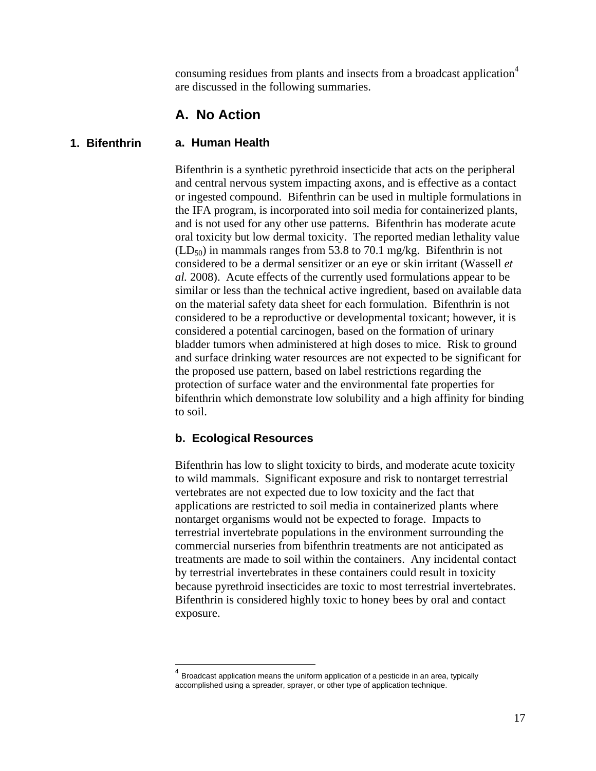consuming residues from plants and insects from a broadcast application<sup>4</sup> are discussed in the following summaries.

#### <span id="page-20-0"></span>**A. No Action**

#### **a. Human Health 1. Bifenthrin**

 $\overline{a}$ 

Bifenthrin is a synthetic pyrethroid insecticide that acts on the peripheral and central nervous system impacting axons, and is effective as a contact or ingested compound. Bifenthrin can be used in multiple formulations in the IFA program, is incorporated into soil media for containerized plants, and is not used for any other use patterns. Bifenthrin has moderate acute oral toxicity but low dermal toxicity. The reported median lethality value  $(LD_{50})$  in mammals ranges from 53.8 to 70.1 mg/kg. Bifenthrin is not considered to be a dermal sensitizer or an eye or skin irritant [\(Wassell](#page-66-1) *et al.* [2008\)](#page-66-1). Acute effects of the currently used formulations appear to be similar or less than the technical active ingredient, based on available data on the material safety data sheet for each formulation. Bifenthrin is not considered to be a reproductive or developmental toxicant; however, it is considered a potential carcinogen, based on the formation of urinary bladder tumors when administered at high doses to mice. Risk to ground and surface drinking water resources are not expected to be significant for the proposed use pattern, based on label restrictions regarding the protection of surface water and the environmental fate properties for bifenthrin which demonstrate low solubility and a high affinity for binding to soil.

#### **b. Ecological Resources**

Bifenthrin has low to slight toxicity to birds, and moderate acute toxicity to wild mammals. Significant exposure and risk to nontarget terrestrial vertebrates are not expected due to low toxicity and the fact that applications are restricted to soil media in containerized plants where nontarget organisms would not be expected to forage. Impacts to terrestrial invertebrate populations in the environment surrounding the commercial nurseries from bifenthrin treatments are not anticipated as treatments are made to soil within the containers. Any incidental contact by terrestrial invertebrates in these containers could result in toxicity because pyrethroid insecticides are toxic to most terrestrial invertebrates. Bifenthrin is considered highly toxic to honey bees by oral and contact exposure.

<sup>4</sup> Broadcast application means the uniform application of a pesticide in an area, typically accomplished using a spreader, sprayer, or other type of application technique.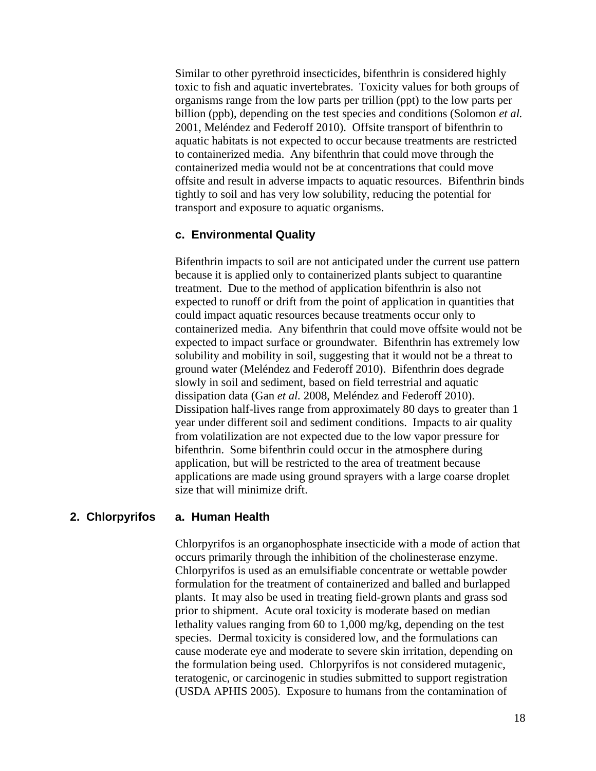Similar to other pyrethroid insecticides, bifenthrin is considered highly toxic to fish and aquatic invertebrates. Toxicity values for both groups of organisms range from the low parts per trillion (ppt) to the low parts per billion (ppb), depending on the test species and conditions [\(Solomon](#page-64-0) *et al.* [2001,](#page-64-0) [Meléndez and Federoff 2010\)](#page-64-1). Offsite transport of bifenthrin to aquatic habitats is not expected to occur because treatments are restricted to containerized media. Any bifenthrin that could move through the containerized media would not be at concentrations that could move offsite and result in adverse impacts to aquatic resources. Bifenthrin binds tightly to soil and has very low solubility, reducing the potential for transport and exposure to aquatic organisms.

#### **c. Environmental Quality**

Bifenthrin impacts to soil are not anticipated under the current use pattern because it is applied only to containerized plants subject to quarantine treatment. Due to the method of application bifenthrin is also not expected to runoff or drift from the point of application in quantities that could impact aquatic resources because treatments occur only to containerized media. Any bifenthrin that could move offsite would not be expected to impact surface or groundwater. Bifenthrin has extremely low solubility and mobility in soil, suggesting that it would not be a threat to ground water [\(Meléndez and Federoff 2010\)](#page-64-1). Bifenthrin does degrade slowly in soil and sediment, based on field terrestrial and aquatic dissipation data (Gan *et al.* [2008,](#page-62-3) [Meléndez and Federoff 2010\)](#page-64-1). Dissipation half-lives range from approximately 80 days to greater than 1 year under different soil and sediment conditions. Impacts to air quality from volatilization are not expected due to the low vapor pressure for bifenthrin. Some bifenthrin could occur in the atmosphere during application, but will be restricted to the area of treatment because applications are made using ground sprayers with a large coarse droplet size that will minimize drift.

#### **a. Human Health 2. Chlorpyrifos**

Chlorpyrifos is an organophosphate insecticide with a mode of action that occurs primarily through the inhibition of the cholinesterase enzyme. Chlorpyrifos is used as an emulsifiable concentrate or wettable powder formulation for the treatment of containerized and balled and burlapped plants. It may also be used in treating field-grown plants and grass sod prior to shipment. Acute oral toxicity is moderate based on median lethality values ranging from 60 to 1,000 mg/kg, depending on the test species. Dermal toxicity is considered low, and the formulations can cause moderate eye and moderate to severe skin irritation, depending on the formulation being used. Chlorpyrifos is not considered mutagenic, teratogenic, or carcinogenic in studies submitted to support registration [\(USDA APHIS 2005\)](#page-65-5). Exposure to humans from the contamination of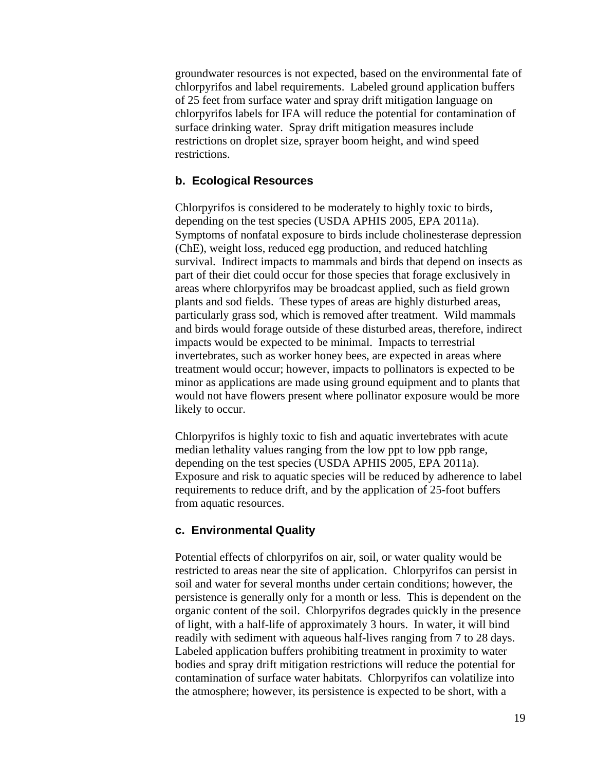groundwater resources is not expected, based on the environmental fate of chlorpyrifos and label requirements. Labeled ground application buffers of 25 feet from surface water and spray drift mitigation language on chlorpyrifos labels for IFA will reduce the potential for contamination of surface drinking water. Spray drift mitigation measures include restrictions on droplet size, sprayer boom height, and wind speed restrictions.

#### **b. Ecological Resources**

Chlorpyrifos is considered to be moderately to highly toxic to birds, depending on the test species [\(USDA APHIS 2005,](#page-65-5) [EPA 2011a\)](#page-61-4). Symptoms of nonfatal exposure to birds include cholinesterase depression (ChE), weight loss, reduced egg production, and reduced hatchling survival. Indirect impacts to mammals and birds that depend on insects as part of their diet could occur for those species that forage exclusively in areas where chlorpyrifos may be broadcast applied, such as field grown plants and sod fields. These types of areas are highly disturbed areas, particularly grass sod, which is removed after treatment. Wild mammals and birds would forage outside of these disturbed areas, therefore, indirect impacts would be expected to be minimal. Impacts to terrestrial invertebrates, such as worker honey bees, are expected in areas where treatment would occur; however, impacts to pollinators is expected to be minor as applications are made using ground equipment and to plants that would not have flowers present where pollinator exposure would be more likely to occur.

Chlorpyrifos is highly toxic to fish and aquatic invertebrates with acute median lethality values ranging from the low ppt to low ppb range, depending on the test species [\(USDA APHIS 2005,](#page-65-5) [EPA 2011a\)](#page-61-4). Exposure and risk to aquatic species will be reduced by adherence to label requirements to reduce drift, and by the application of 25-foot buffers from aquatic resources.

#### **c. Environmental Quality**

Potential effects of chlorpyrifos on air, soil, or water quality would be restricted to areas near the site of application. Chlorpyrifos can persist in soil and water for several months under certain conditions; however, the persistence is generally only for a month or less. This is dependent on the organic content of the soil. Chlorpyrifos degrades quickly in the presence of light, with a half-life of approximately 3 hours. In water, it will bind readily with sediment with aqueous half-lives ranging from 7 to 28 days. Labeled application buffers prohibiting treatment in proximity to water bodies and spray drift mitigation restrictions will reduce the potential for contamination of surface water habitats. Chlorpyrifos can volatilize into the atmosphere; however, its persistence is expected to be short, with a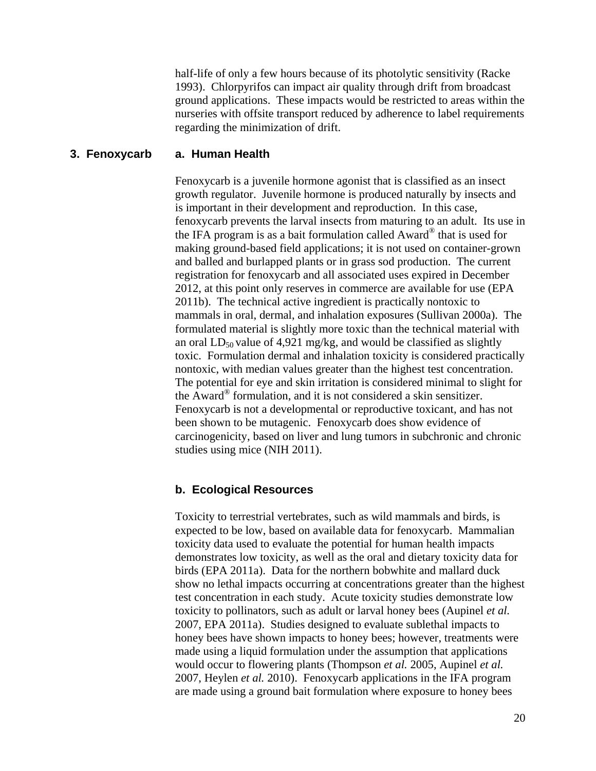half-life of only a few hours because of its photolytic sensitivity [\(Racke](#page-64-2)  [1993\)](#page-64-2). Chlorpyrifos can impact air quality through drift from broadcast ground applications. These impacts would be restricted to areas within the nurseries with offsite transport reduced by adherence to label requirements regarding the minimization of drift.

#### **a. Human Health 3. Fenoxycarb**

Fenoxycarb is a juvenile hormone agonist that is classified as an insect growth regulator. Juvenile hormone is produced naturally by insects and is important in their development and reproduction. In this case, fenoxycarb prevents the larval insects from maturing to an adult. Its use in the IFA program is as a bait formulation called Award® that is used for making ground-based field applications; it is not used on container-grown and balled and burlapped plants or in grass sod production. The current registration for fenoxycarb and all associated uses expired in December 2012, at this point only reserves in commerce are available for use [\(EPA](#page-61-5)  [2011b\)](#page-61-5). The technical active ingredient is practically nontoxic to mammals in oral, dermal, and inhalation exposures [\(Sullivan 2000a\)](#page-65-6). The formulated material is slightly more toxic than the technical material with an oral  $LD_{50}$  value of 4,921 mg/kg, and would be classified as slightly toxic. Formulation dermal and inhalation toxicity is considered practically nontoxic, with median values greater than the highest test concentration. The potential for eye and skin irritation is considered minimal to slight for the Award® formulation, and it is not considered a skin sensitizer. Fenoxycarb is not a developmental or reproductive toxicant, and has not been shown to be mutagenic. Fenoxycarb does show evidence of carcinogenicity, based on liver and lung tumors in subchronic and chronic studies using mice [\(NIH 2011\)](#page-64-3).

#### **b. Ecological Resources**

Toxicity to terrestrial vertebrates, such as wild mammals and birds, is expected to be low, based on available data for fenoxycarb. Mammalian toxicity data used to evaluate the potential for human health impacts demonstrates low toxicity, as well as the oral and dietary toxicity data for birds [\(EPA 2011a\)](#page-61-4). Data for the northern bobwhite and mallard duck show no lethal impacts occurring at concentrations greater than the highest test concentration in each study. Acute toxicity studies demonstrate low toxicity to pollinators, such as adult or larval honey bees [\(Aupinel](#page-60-4) *et al.* [2007,](#page-60-4) [EPA 2011a\)](#page-61-4). Studies designed to evaluate sublethal impacts to honey bees have shown impacts to honey bees; however, treatments were made using a liquid formulation under the assumption that applications would occur to flowering plants [\(Thompson](#page-65-7) *et al.* 2005, [Aupinel](#page-60-4) *et al.* [2007,](#page-60-4) [Heylen](#page-63-6) *et al.* 2010). Fenoxycarb applications in the IFA program are made using a ground bait formulation where exposure to honey bees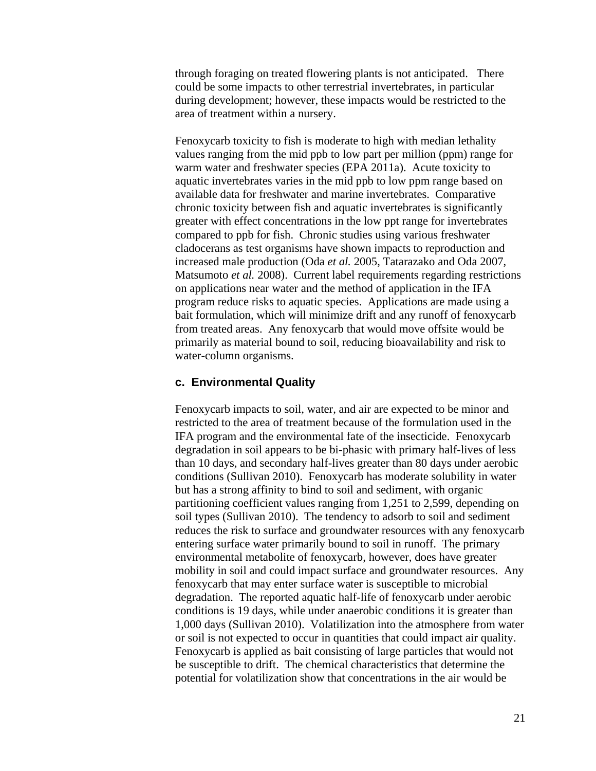through foraging on treated flowering plants is not anticipated. There could be some impacts to other terrestrial invertebrates, in particular during development; however, these impacts would be restricted to the area of treatment within a nursery.

Fenoxycarb toxicity to fish is moderate to high with median lethality values ranging from the mid ppb to low part per million (ppm) range for warm water and freshwater species [\(EPA 2011a\)](#page-61-4). Acute toxicity to aquatic invertebrates varies in the mid ppb to low ppm range based on available data for freshwater and marine invertebrates. Comparative chronic toxicity between fish and aquatic invertebrates is significantly greater with effect concentrations in the low ppt range for invertebrates compared to ppb for fish. Chronic studies using various freshwater cladocerans as test organisms have shown impacts to reproduction and increased male production (Oda *et al.* [2005,](#page-64-4) [Tatarazako and Oda 2007,](#page-65-8) [Matsumoto](#page-63-7) *et al.* 2008). Current label requirements regarding restrictions on applications near water and the method of application in the IFA program reduce risks to aquatic species. Applications are made using a bait formulation, which will minimize drift and any runoff of fenoxycarb from treated areas. Any fenoxycarb that would move offsite would be primarily as material bound to soil, reducing bioavailability and risk to water-column organisms.

#### **c. Environmental Quality**

Fenoxycarb impacts to soil, water, and air are expected to be minor and restricted to the area of treatment because of the formulation used in the IFA program and the environmental fate of the insecticide. Fenoxycarb degradation in soil appears to be bi-phasic with primary half-lives of less than 10 days, and secondary half-lives greater than 80 days under aerobic conditions [\(Sullivan 2010\)](#page-65-9). Fenoxycarb has moderate solubility in water but has a strong affinity to bind to soil and sediment, with organic partitioning coefficient values ranging from 1,251 to 2,599, depending on soil types [\(Sullivan 2010\)](#page-65-9). The tendency to adsorb to soil and sediment reduces the risk to surface and groundwater resources with any fenoxycarb entering surface water primarily bound to soil in runoff. The primary environmental metabolite of fenoxycarb, however, does have greater mobility in soil and could impact surface and groundwater resources. Any fenoxycarb that may enter surface water is susceptible to microbial degradation. The reported aquatic half-life of fenoxycarb under aerobic conditions is 19 days, while under anaerobic conditions it is greater than 1,000 days [\(Sullivan 2010\)](#page-65-9). Volatilization into the atmosphere from water or soil is not expected to occur in quantities that could impact air quality. Fenoxycarb is applied as bait consisting of large particles that would not be susceptible to drift. The chemical characteristics that determine the potential for volatilization show that concentrations in the air would be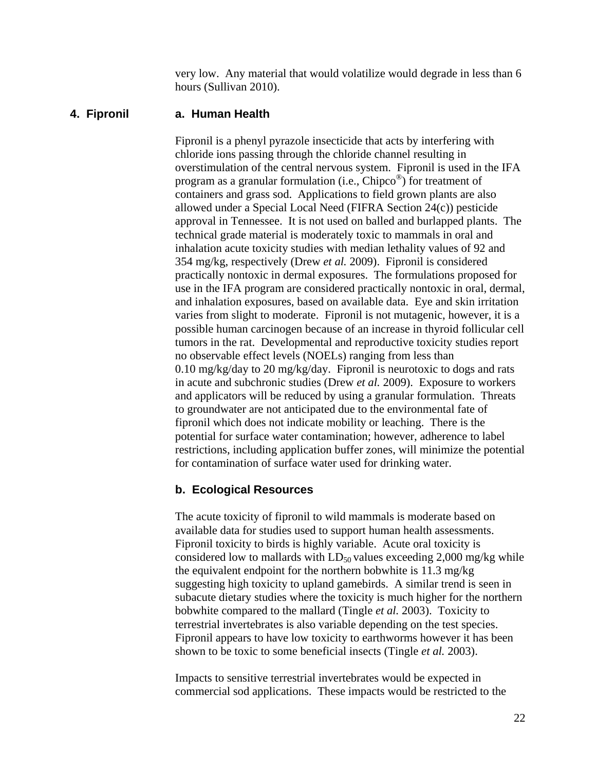very low. Any material that would volatilize would degrade in less than 6 hours [\(Sullivan 2010\)](#page-65-9).

#### **a. Human Health 4. Fipronil**

Fipronil is a phenyl pyrazole insecticide that acts by interfering with chloride ions passing through the chloride channel resulting in overstimulation of the central nervous system. Fipronil is used in the IFA program as a granular formulation (i.e., Chipco<sup>®</sup>) for treatment of containers and grass sod. Applications to field grown plants are also allowed under a Special Local Need (FIFRA Section 24(c)) pesticide approval in Tennessee. It is not used on balled and burlapped plants. The technical grade material is moderately toxic to mammals in oral and inhalation acute toxicity studies with median lethality values of 92 and 354 mg/kg, respectively [\(Drew](#page-61-6) *et al.* 2009). Fipronil is considered practically nontoxic in dermal exposures. The formulations proposed for use in the IFA program are considered practically nontoxic in oral, dermal, and inhalation exposures, based on available data. Eye and skin irritation varies from slight to moderate. Fipronil is not mutagenic, however, it is a possible human carcinogen because of an increase in thyroid follicular cell tumors in the rat. Developmental and reproductive toxicity studies report no observable effect levels (NOELs) ranging from less than 0.10 mg/kg/day to 20 mg/kg/day. Fipronil is neurotoxic to dogs and rats in acute and subchronic studies [\(Drew](#page-61-6) *et al.* 2009). Exposure to workers and applicators will be reduced by using a granular formulation. Threats to groundwater are not anticipated due to the environmental fate of fipronil which does not indicate mobility or leaching. There is the potential for surface water contamination; however, adherence to label restrictions, including application buffer zones, will minimize the potential for contamination of surface water used for drinking water.

#### **b. Ecological Resources**

The acute toxicity of fipronil to wild mammals is moderate based on available data for studies used to support human health assessments. Fipronil toxicity to birds is highly variable. Acute oral toxicity is considered low to mallards with  $LD_{50}$  values exceeding 2,000 mg/kg while the equivalent endpoint for the northern bobwhite is 11.3 mg/kg suggesting high toxicity to upland gamebirds. A similar trend is seen in subacute dietary studies where the toxicity is much higher for the northern bobwhite compared to the mallard [\(Tingle](#page-65-10) *et al.* 2003). Toxicity to terrestrial invertebrates is also variable depending on the test species. Fipronil appears to have low toxicity to earthworms however it has been shown to be toxic to some beneficial insects [\(Tingle](#page-65-10) *et al.* 2003).

Impacts to sensitive terrestrial invertebrates would be expected in commercial sod applications. These impacts would be restricted to the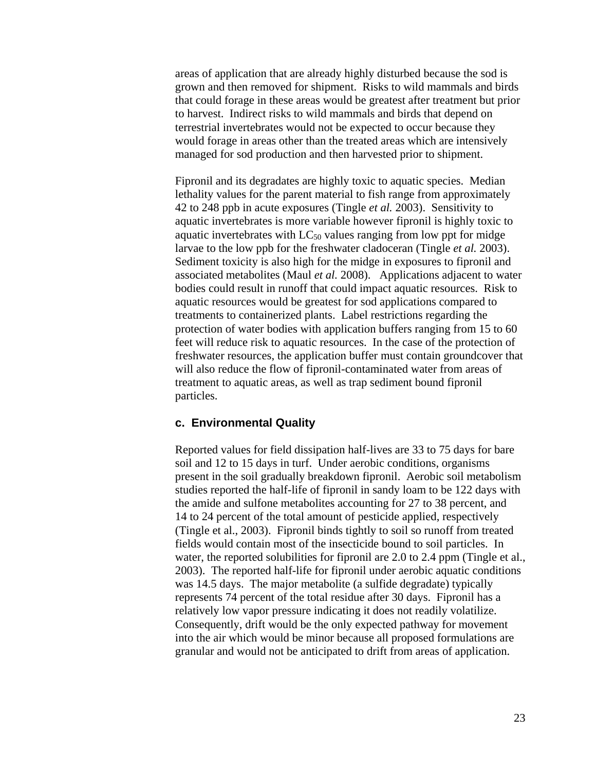areas of application that are already highly disturbed because the sod is grown and then removed for shipment. Risks to wild mammals and birds that could forage in these areas would be greatest after treatment but prior to harvest. Indirect risks to wild mammals and birds that depend on terrestrial invertebrates would not be expected to occur because they would forage in areas other than the treated areas which are intensively managed for sod production and then harvested prior to shipment.

Fipronil and its degradates are highly toxic to aquatic species. Median lethality values for the parent material to fish range from approximately 42 to 248 ppb in acute exposures [\(Tingle](#page-65-10) *et al.* 2003). Sensitivity to aquatic invertebrates is more variable however fipronil is highly toxic to aquatic invertebrates with  $LC_{50}$  values ranging from low ppt for midge larvae to the low ppb for the freshwater cladoceran [\(Tingle](#page-65-10) *et al.* 2003). Sediment toxicity is also high for the midge in exposures to fipronil and associated metabolites [\(Maul](#page-63-8) *et al.* 2008). Applications adjacent to water bodies could result in runoff that could impact aquatic resources. Risk to aquatic resources would be greatest for sod applications compared to treatments to containerized plants. Label restrictions regarding the protection of water bodies with application buffers ranging from 15 to 60 feet will reduce risk to aquatic resources. In the case of the protection of freshwater resources, the application buffer must contain groundcover that will also reduce the flow of fipronil-contaminated water from areas of treatment to aquatic areas, as well as trap sediment bound fipronil particles.

#### **c. Environmental Quality**

Reported values for field dissipation half-lives are 33 to 75 days for bare soil and 12 to 15 days in turf. Under aerobic conditions, organisms present in the soil gradually breakdown fipronil. Aerobic soil metabolism studies reported the half-life of fipronil in sandy loam to be 122 days with the amide and sulfone metabolites accounting for 27 to 38 percent, and 14 to 24 percent of the total amount of pesticide applied, respectively (Tingle et al., 2003). Fipronil binds tightly to soil so runoff from treated fields would contain most of the insecticide bound to soil particles. In water, the reported solubilities for fipronil are 2.0 to 2.4 ppm (Tingle et al., 2003). The reported half-life for fipronil under aerobic aquatic conditions was 14.5 days. The major metabolite (a sulfide degradate) typically represents 74 percent of the total residue after 30 days. Fipronil has a relatively low vapor pressure indicating it does not readily volatilize. Consequently, drift would be the only expected pathway for movement into the air which would be minor because all proposed formulations are granular and would not be anticipated to drift from areas of application.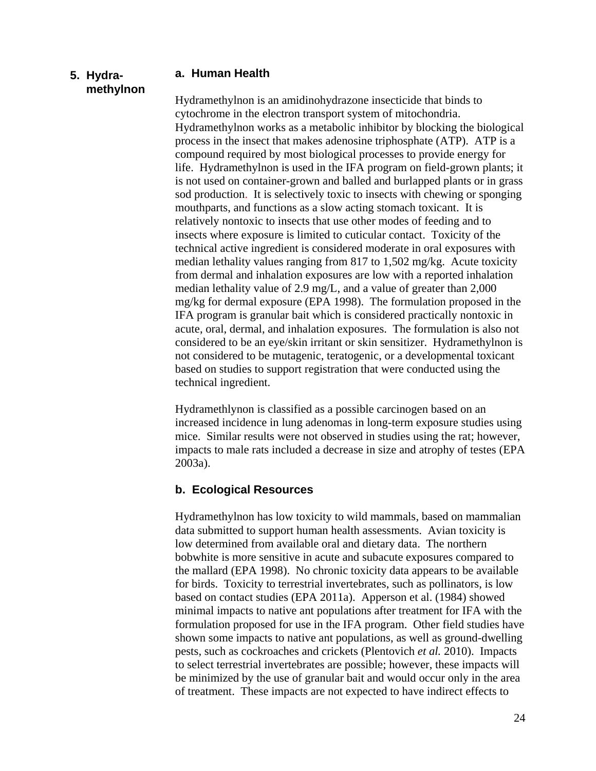#### **5. Hydramethylnon**

#### **a. Human Health**

Hydramethylnon is an amidinohydrazone insecticide that binds to cytochrome in the electron transport system of mitochondria. Hydramethylnon works as a metabolic inhibitor by blocking the biological process in the insect that makes adenosine triphosphate (ATP). ATP is a compound required by most biological processes to provide energy for life. Hydramethylnon is used in the IFA program on field-grown plants; it is not used on container-grown and balled and burlapped plants or in grass sod production. It is selectively toxic to insects with chewing or sponging mouthparts, and functions as a slow acting stomach toxicant. It is relatively nontoxic to insects that use other modes of feeding and to insects where exposure is limited to cuticular contact. Toxicity of the technical active ingredient is considered moderate in oral exposures with median lethality values ranging from 817 to 1,502 mg/kg. Acute toxicity from dermal and inhalation exposures are low with a reported inhalation median lethality value of 2.9 mg/L, and a value of greater than 2,000 mg/kg for dermal exposure [\(EPA 1998\)](#page-61-7). The formulation proposed in the IFA program is granular bait which is considered practically nontoxic in acute, oral, dermal, and inhalation exposures. The formulation is also not considered to be an eye/skin irritant or skin sensitizer. Hydramethylnon is not considered to be mutagenic, teratogenic, or a developmental toxicant based on studies to support registration that were conducted using the technical ingredient.

Hydramethlynon is classified as a possible carcinogen based on an increased incidence in lung adenomas in long-term exposure studies using mice. Similar results were not observed in studies using the rat; however, impacts to male rats included a decrease in size and atrophy of testes [\(EPA](#page-61-8)  [2003a\)](#page-61-8).

#### **b. Ecological Resources**

Hydramethylnon has low toxicity to wild mammals, based on mammalian data submitted to support human health assessments. Avian toxicity is low determined from available oral and dietary data. The northern bobwhite is more sensitive in acute and subacute exposures compared to the mallard [\(EPA 1998\)](#page-61-7). No chronic toxicity data appears to be available for birds. Toxicity to terrestrial invertebrates, such as pollinators, is low based on contact studies [\(EPA 2011a\)](#page-61-4). Apperson et al. [\(1984\)](#page-60-5) showed minimal impacts to native ant populations after treatment for IFA with the formulation proposed for use in the IFA program. Other field studies have shown some impacts to native ant populations, as well as ground-dwelling pests, such as cockroaches and crickets [\(Plentovich](#page-64-5) *et al.* 2010). Impacts to select terrestrial invertebrates are possible; however, these impacts will be minimized by the use of granular bait and would occur only in the area of treatment. These impacts are not expected to have indirect effects to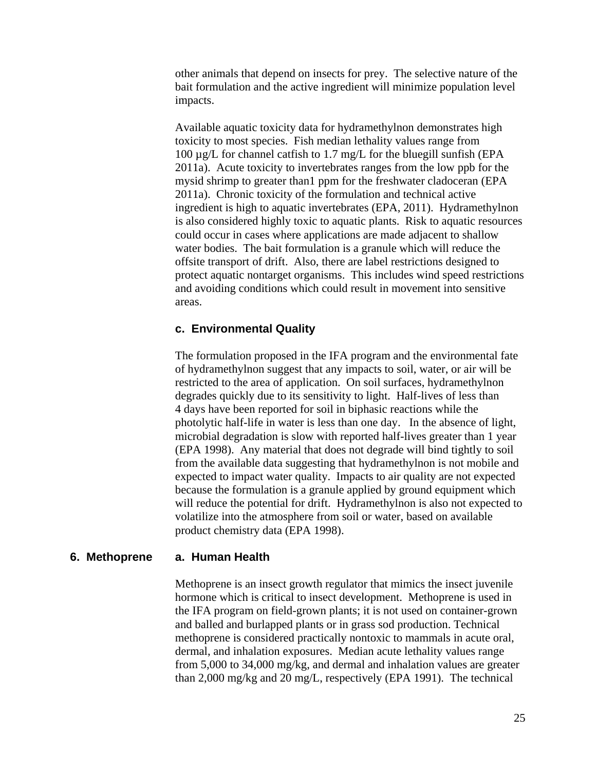other animals that depend on insects for prey. The selective nature of the bait formulation and the active ingredient will minimize population level impacts.

Available aquatic toxicity data for hydramethylnon demonstrates high toxicity to most species. Fish median lethality values range from 100 µg/L for channel catfish to 1.7 mg/L for the bluegill sunfish [\(EPA](#page-61-4)  [2011a\)](#page-61-4). Acute toxicity to invertebrates ranges from the low ppb for the mysid shrimp to greater than1 ppm for the freshwater cladoceran [\(EPA](#page-61-4)  [2011a\)](#page-61-4). Chronic toxicity of the formulation and technical active ingredient is high to aquatic invertebrates (EPA, 2011). Hydramethylnon is also considered highly toxic to aquatic plants. Risk to aquatic resources could occur in cases where applications are made adjacent to shallow water bodies. The bait formulation is a granule which will reduce the offsite transport of drift. Also, there are label restrictions designed to protect aquatic nontarget organisms. This includes wind speed restrictions and avoiding conditions which could result in movement into sensitive areas.

#### **c. Environmental Quality**

The formulation proposed in the IFA program and the environmental fate of hydramethylnon suggest that any impacts to soil, water, or air will be restricted to the area of application. On soil surfaces, hydramethylnon degrades quickly due to its sensitivity to light. Half-lives of less than 4 days have been reported for soil in biphasic reactions while the photolytic half-life in water is less than one day. In the absence of light, microbial degradation is slow with reported half-lives greater than 1 year [\(EPA 1998\)](#page-61-7). Any material that does not degrade will bind tightly to soil from the available data suggesting that hydramethylnon is not mobile and expected to impact water quality. Impacts to air quality are not expected because the formulation is a granule applied by ground equipment which will reduce the potential for drift. Hydramethylnon is also not expected to volatilize into the atmosphere from soil or water, based on available product chemistry data [\(EPA 1998\)](#page-61-7).

#### **a. Human Health 6. Methoprene**

Methoprene is an insect growth regulator that mimics the insect juvenile hormone which is critical to insect development. Methoprene is used in the IFA program on field-grown plants; it is not used on container-grown and balled and burlapped plants or in grass sod production. Technical methoprene is considered practically nontoxic to mammals in acute oral, dermal, and inhalation exposures. Median acute lethality values range from 5,000 to 34,000 mg/kg, and dermal and inhalation values are greater than 2,000 mg/kg and 20 mg/L, respectively (EPA [1991\)](#page-61-9). The technical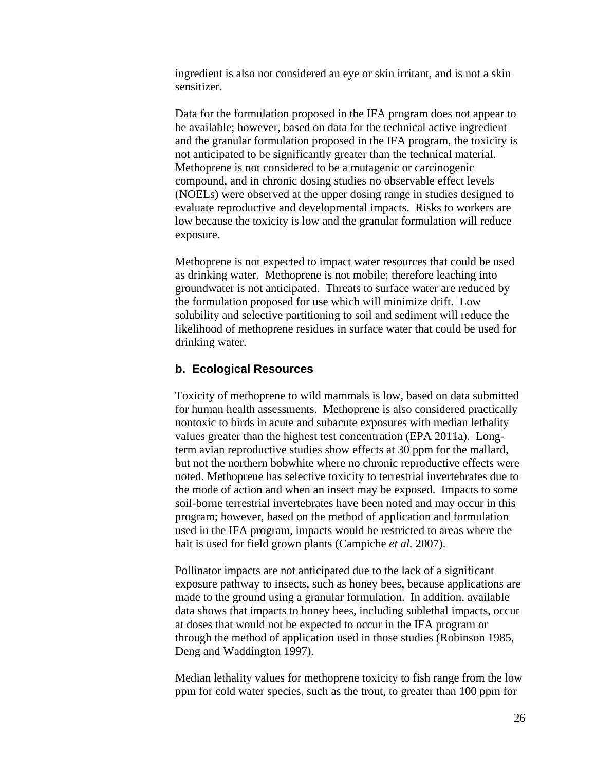ingredient is also not considered an eye or skin irritant, and is not a skin sensitizer.

Data for the formulation proposed in the IFA program does not appear to be available; however, based on data for the technical active ingredient and the granular formulation proposed in the IFA program, the toxicity is not anticipated to be significantly greater than the technical material. Methoprene is not considered to be a mutagenic or carcinogenic compound, and in chronic dosing studies no observable effect levels (NOELs) were observed at the upper dosing range in studies designed to evaluate reproductive and developmental impacts. Risks to workers are low because the toxicity is low and the granular formulation will reduce exposure.

Methoprene is not expected to impact water resources that could be used as drinking water. Methoprene is not mobile; therefore leaching into groundwater is not anticipated. Threats to surface water are reduced by the formulation proposed for use which will minimize drift. Low solubility and selective partitioning to soil and sediment will reduce the likelihood of methoprene residues in surface water that could be used for drinking water.

#### **b. Ecological Resources**

Toxicity of methoprene to wild mammals is low, based on data submitted for human health assessments. Methoprene is also considered practically nontoxic to birds in acute and subacute exposures with median lethality values greater than the highest test concentration [\(EPA 2011a\)](#page-61-4). Longterm avian reproductive studies show effects at 30 ppm for the mallard, but not the northern bobwhite where no chronic reproductive effects were noted. Methoprene has selective toxicity to terrestrial invertebrates due to the mode of action and when an insect may be exposed. Impacts to some soil-borne terrestrial invertebrates have been noted and may occur in this program; however, based on the method of application and formulation used in the IFA program, impacts would be restricted to areas where the bait is used for field grown plants [\(Campiche](#page-60-6) *et al.* 2007).

Pollinator impacts are not anticipated due to the lack of a significant exposure pathway to insects, such as honey bees, because applications are made to the ground using a granular formulation. In addition, available data shows that impacts to honey bees, including sublethal impacts, occur at doses that would not be expected to occur in the IFA program or through the method of application used in those studies [\(Robinson 1985,](#page-64-6) [Deng and Waddington 1997\)](#page-61-10).

Median lethality values for methoprene toxicity to fish range from the low ppm for cold water species, such as the trout, to greater than 100 ppm for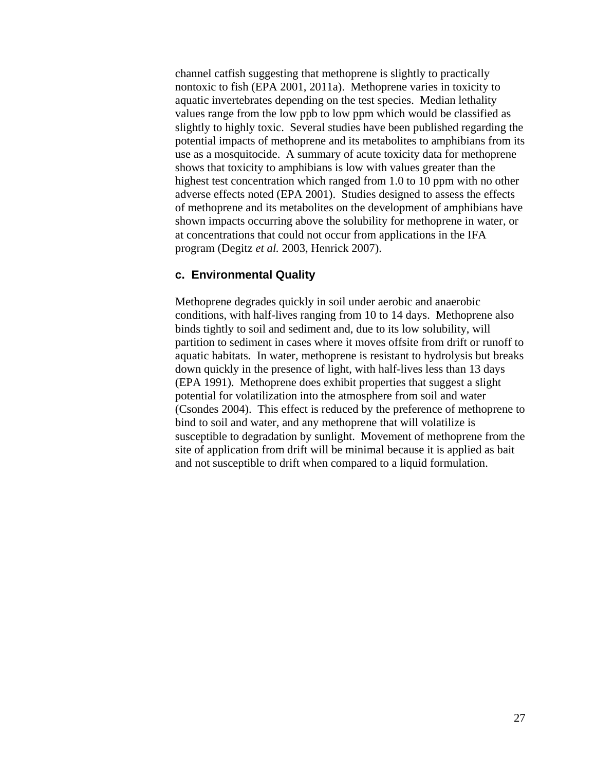channel catfish suggesting that methoprene is slightly to practically nontoxic to fish [\(EPA 2001,](#page-61-11) [2011a\)](#page-61-4). Methoprene varies in toxicity to aquatic invertebrates depending on the test species. Median lethality values range from the low ppb to low ppm which would be classified as slightly to highly toxic. Several studies have been published regarding the potential impacts of methoprene and its metabolites to amphibians from its use as a mosquitocide. A summary of acute toxicity data for methoprene shows that toxicity to amphibians is low with values greater than the highest test concentration which ranged from 1.0 to 10 ppm with no other adverse effects noted [\(EPA 2001\)](#page-61-11). Studies designed to assess the effects of methoprene and its metabolites on the development of amphibians have shown impacts occurring above the solubility for methoprene in water, or at concentrations that could not occur from applications in the IFA program [\(Degitz](#page-60-7) *et al.* 2003, [Henrick 2007\)](#page-63-9).

#### **c. Environmental Quality**

Methoprene degrades quickly in soil under aerobic and anaerobic conditions, with half-lives ranging from 10 to 14 days. Methoprene also binds tightly to soil and sediment and, due to its low solubility, will partition to sediment in cases where it moves offsite from drift or runoff to aquatic habitats. In water, methoprene is resistant to hydrolysis but breaks down quickly in the presence of light, with half-lives less than 13 days [\(EPA 1991\)](#page-61-9). Methoprene does exhibit properties that suggest a slight potential for volatilization into the atmosphere from soil and water [\(Csondes 2004\)](#page-60-8). This effect is reduced by the preference of methoprene to bind to soil and water, and any methoprene that will volatilize is susceptible to degradation by sunlight. Movement of methoprene from the site of application from drift will be minimal because it is applied as bait and not susceptible to drift when compared to a liquid formulation.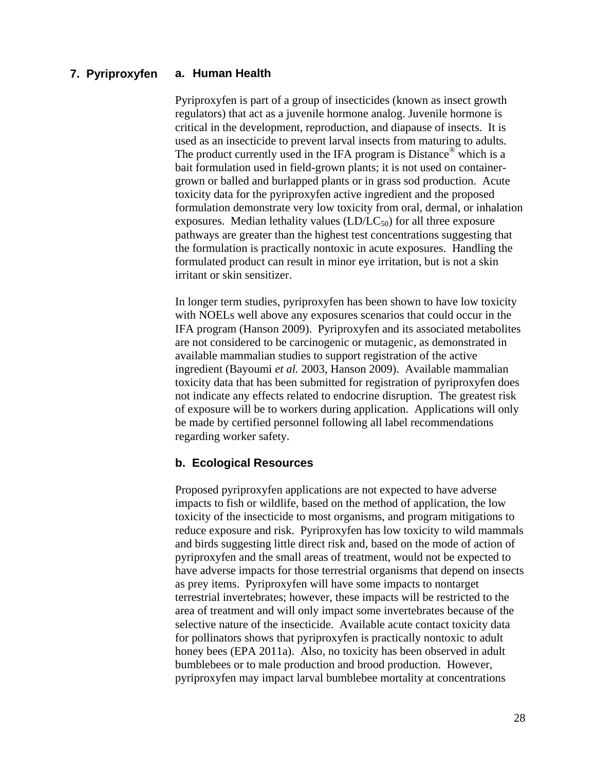#### **a. Human Health 7. Pyriproxyfen**

Pyriproxyfen is part of a group of insecticides (known as insect growth regulators) that act as a juvenile hormone analog. Juvenile hormone is critical in the development, reproduction, and diapause of insects. It is used as an insecticide to prevent larval insects from maturing to adults. The product currently used in the IFA program is Distance<sup>®</sup> which is a bait formulation used in field-grown plants; it is not used on containergrown or balled and burlapped plants or in grass sod production. Acute toxicity data for the pyriproxyfen active ingredient and the proposed formulation demonstrate very low toxicity from oral, dermal, or inhalation exposures. Median lethality values  $(LD/LC_{50})$  for all three exposure pathways are greater than the highest test concentrations suggesting that the formulation is practically nontoxic in acute exposures. Handling the formulated product can result in minor eye irritation, but is not a skin irritant or skin sensitizer.

In longer term studies, pyriproxyfen has been shown to have low toxicity with NOELs well above any exposures scenarios that could occur in the IFA program [\(Hanson 2009\)](#page-62-4). Pyriproxyfen and its associated metabolites are not considered to be carcinogenic or mutagenic, as demonstrated in available mammalian studies to support registration of the active ingredient [\(Bayoumi](#page-60-9) *et al.* 2003, [Hanson 2009\)](#page-62-4). Available mammalian toxicity data that has been submitted for registration of pyriproxyfen does not indicate any effects related to endocrine disruption. The greatest risk of exposure will be to workers during application. Applications will only be made by certified personnel following all label recommendations regarding worker safety.

#### **b. Ecological Resources**

Proposed pyriproxyfen applications are not expected to have adverse impacts to fish or wildlife, based on the method of application, the low toxicity of the insecticide to most organisms, and program mitigations to reduce exposure and risk. Pyriproxyfen has low toxicity to wild mammals and birds suggesting little direct risk and, based on the mode of action of pyriproxyfen and the small areas of treatment, would not be expected to have adverse impacts for those terrestrial organisms that depend on insects as prey items. Pyriproxyfen will have some impacts to nontarget terrestrial invertebrates; however, these impacts will be restricted to the area of treatment and will only impact some invertebrates because of the selective nature of the insecticide. Available acute contact toxicity data for pollinators shows that pyriproxyfen is practically nontoxic to adult honey bees [\(EPA 2011a\)](#page-61-4). Also, no toxicity has been observed in adult bumblebees or to male production and brood production. However, pyriproxyfen may impact larval bumblebee mortality at concentrations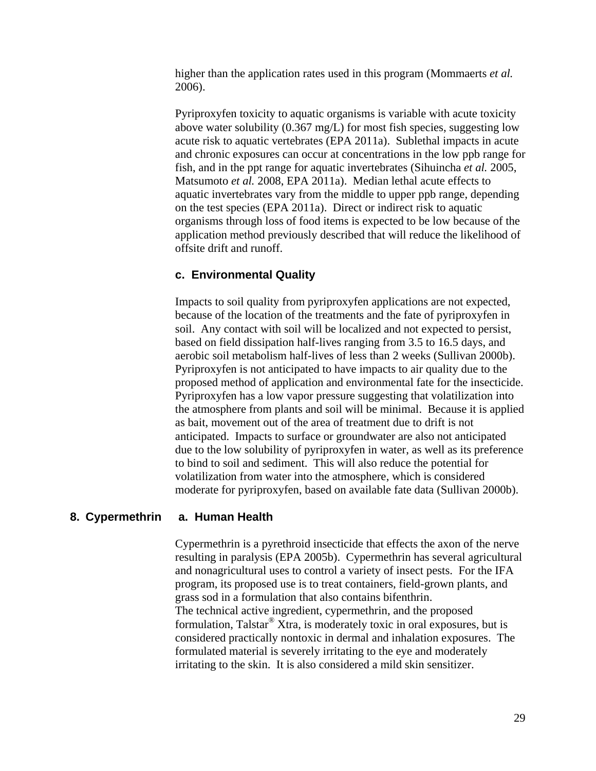higher than the application rates used in this program [\(Mommaerts](#page-64-7) *et al.* [2006\)](#page-64-7).

Pyriproxyfen toxicity to aquatic organisms is variable with acute toxicity above water solubility (0.367 mg/L) for most fish species, suggesting low acute risk to aquatic vertebrates [\(EPA 2011a\)](#page-61-4). Sublethal impacts in acute and chronic exposures can occur at concentrations in the low ppb range for fish, and in the ppt range for aquatic invertebrates [\(Sihuincha](#page-64-8) *et al.* 2005, [Matsumoto](#page-63-7) *et al.* 2008, [EPA 2011a\)](#page-61-4). Median lethal acute effects to aquatic invertebrates vary from the middle to upper ppb range, depending on the test species [\(EPA 2011a\)](#page-61-4). Direct or indirect risk to aquatic organisms through loss of food items is expected to be low because of the application method previously described that will reduce the likelihood of offsite drift and runoff.

#### **c. Environmental Quality**

Impacts to soil quality from pyriproxyfen applications are not expected, because of the location of the treatments and the fate of pyriproxyfen in soil. Any contact with soil will be localized and not expected to persist, based on field dissipation half-lives ranging from 3.5 to 16.5 days, and aerobic soil metabolism half-lives of less than 2 weeks [\(Sullivan 2000b\)](#page-65-11). Pyriproxyfen is not anticipated to have impacts to air quality due to the proposed method of application and environmental fate for the insecticide. Pyriproxyfen has a low vapor pressure suggesting that volatilization into the atmosphere from plants and soil will be minimal. Because it is applied as bait, movement out of the area of treatment due to drift is not anticipated. Impacts to surface or groundwater are also not anticipated due to the low solubility of pyriproxyfen in water, as well as its preference to bind to soil and sediment. This will also reduce the potential for volatilization from water into the atmosphere, which is considered moderate for pyriproxyfen, based on available fate data [\(Sullivan 2000b\)](#page-65-11).

#### **a. Human Health 8. Cypermethrin**

Cypermethrin is a pyrethroid insecticide that effects the axon of the nerve resulting in paralysis [\(EPA 2005b\)](#page-61-12). Cypermethrin has several agricultural and nonagricultural uses to control a variety of insect pests. For the IFA program, its proposed use is to treat containers, field-grown plants, and grass sod in a formulation that also contains bifenthrin. The technical active ingredient, cypermethrin, and the proposed formulation, Talstar® Xtra, is moderately toxic in oral exposures, but is considered practically nontoxic in dermal and inhalation exposures. The formulated material is severely irritating to the eye and moderately irritating to the skin. It is also considered a mild skin sensitizer.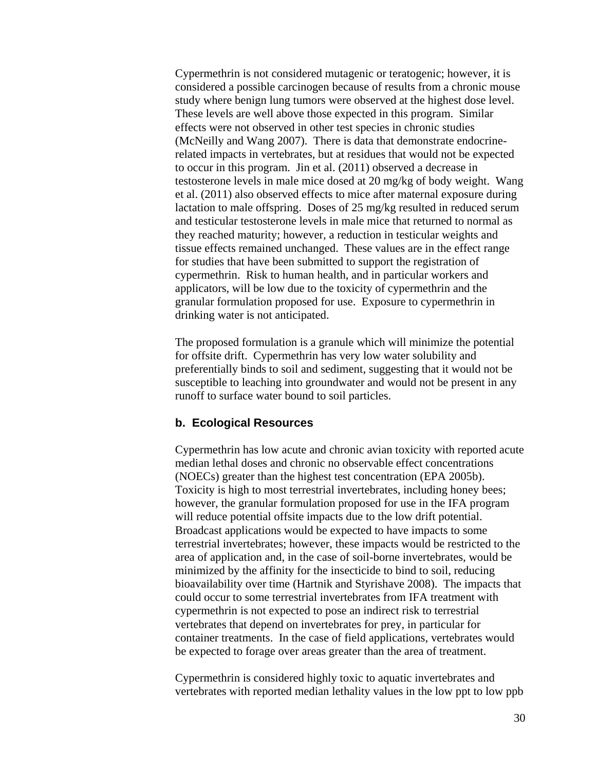Cypermethrin is not considered mutagenic or teratogenic; however, it is considered a possible carcinogen because of results from a chronic mouse study where benign lung tumors were observed at the highest dose level. These levels are well above those expected in this program. Similar effects were not observed in other test species in chronic studies [\(McNeilly and Wang 2007\)](#page-64-9). There is data that demonstrate endocrinerelated impacts in vertebrates, but at residues that would not be expected to occur in this program. Jin et al. [\(2011\)](#page-63-10) observed a decrease in testosterone levels in male mice dosed at 20 mg/kg of body weight. Wang et al. [\(2011\)](#page-66-2) also observed effects to mice after maternal exposure during lactation to male offspring. Doses of 25 mg/kg resulted in reduced serum and testicular testosterone levels in male mice that returned to normal as they reached maturity; however, a reduction in testicular weights and tissue effects remained unchanged. These values are in the effect range for studies that have been submitted to support the registration of cypermethrin. Risk to human health, and in particular workers and applicators, will be low due to the toxicity of cypermethrin and the granular formulation proposed for use. Exposure to cypermethrin in drinking water is not anticipated.

The proposed formulation is a granule which will minimize the potential for offsite drift. Cypermethrin has very low water solubility and preferentially binds to soil and sediment, suggesting that it would not be susceptible to leaching into groundwater and would not be present in any runoff to surface water bound to soil particles.

#### **b. Ecological Resources**

Cypermethrin has low acute and chronic avian toxicity with reported acute median lethal doses and chronic no observable effect concentrations (NOECs) greater than the highest test concentration [\(EPA 2005b\)](#page-61-12). Toxicity is high to most terrestrial invertebrates, including honey bees; however, the granular formulation proposed for use in the IFA program will reduce potential offsite impacts due to the low drift potential. Broadcast applications would be expected to have impacts to some terrestrial invertebrates; however, these impacts would be restricted to the area of application and, in the case of soil-borne invertebrates, would be minimized by the affinity for the insecticide to bind to soil, reducing bioavailability over time [\(Hartnik and Styrishave 2008\)](#page-63-11). The impacts that could occur to some terrestrial invertebrates from IFA treatment with cypermethrin is not expected to pose an indirect risk to terrestrial vertebrates that depend on invertebrates for prey, in particular for container treatments. In the case of field applications, vertebrates would be expected to forage over areas greater than the area of treatment.

Cypermethrin is considered highly toxic to aquatic invertebrates and vertebrates with reported median lethality values in the low ppt to low ppb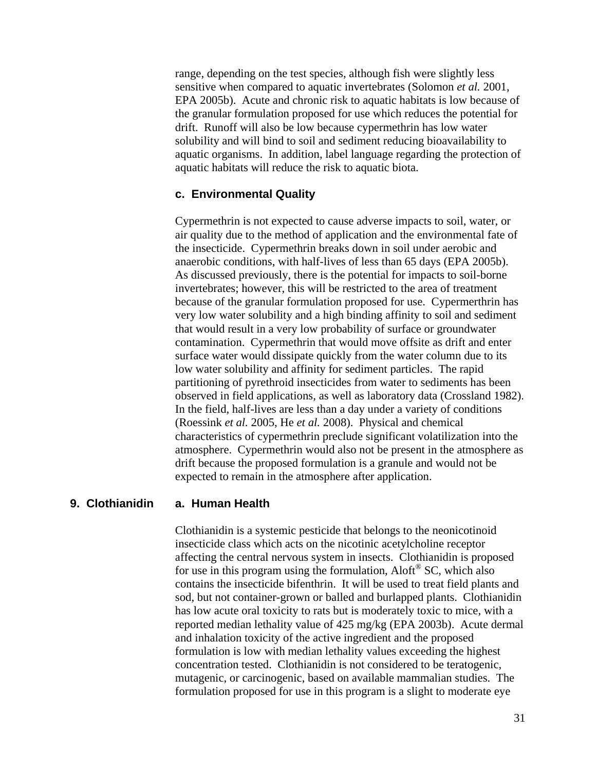range, depending on the test species, although fish were slightly less sensitive when compared to aquatic invertebrates [\(Solomon](#page-64-0) *et al.* 2001, [EPA 2005b\)](#page-61-12). Acute and chronic risk to aquatic habitats is low because of the granular formulation proposed for use which reduces the potential for drift. Runoff will also be low because cypermethrin has low water solubility and will bind to soil and sediment reducing bioavailability to aquatic organisms. In addition, label language regarding the protection of aquatic habitats will reduce the risk to aquatic biota.

#### **c. Environmental Quality**

Cypermethrin is not expected to cause adverse impacts to soil, water, or air quality due to the method of application and the environmental fate of the insecticide. Cypermethrin breaks down in soil under aerobic and anaerobic conditions, with half-lives of less than 65 days [\(EPA 2005b\)](#page-61-12). As discussed previously, there is the potential for impacts to soil-borne invertebrates; however, this will be restricted to the area of treatment because of the granular formulation proposed for use. Cypermerthrin has very low water solubility and a high binding affinity to soil and sediment that would result in a very low probability of surface or groundwater contamination. Cypermethrin that would move offsite as drift and enter surface water would dissipate quickly from the water column due to its low water solubility and affinity for sediment particles. The rapid partitioning of pyrethroid insecticides from water to sediments has been observed in field applications, as well as laboratory data [\(Crossland 1982\)](#page-60-10). In the field, half-lives are less than a day under a variety of conditions [\(Roessink](#page-64-10) *et al.* 2005, He *et al.* [2008\)](#page-63-12). Physical and chemical characteristics of cypermethrin preclude significant volatilization into the atmosphere. Cypermethrin would also not be present in the atmosphere as drift because the proposed formulation is a granule and would not be expected to remain in the atmosphere after application.

#### **a. Human Health 9. Clothianidin**

Clothianidin is a systemic pesticide that belongs to the neonicotinoid insecticide class which acts on the nicotinic acetylcholine receptor affecting the central nervous system in insects. Clothianidin is proposed for use in this program using the formulation, Aloft® SC, which also contains the insecticide bifenthrin. It will be used to treat field plants and sod, but not container-grown or balled and burlapped plants. Clothianidin has low acute oral toxicity to rats but is moderately toxic to mice, with a reported median lethality value of 425 mg/kg [\(EPA 2003b\)](#page-61-13). Acute dermal and inhalation toxicity of the active ingredient and the proposed formulation is low with median lethality values exceeding the highest concentration tested. Clothianidin is not considered to be teratogenic, mutagenic, or carcinogenic, based on available mammalian studies. The formulation proposed for use in this program is a slight to moderate eye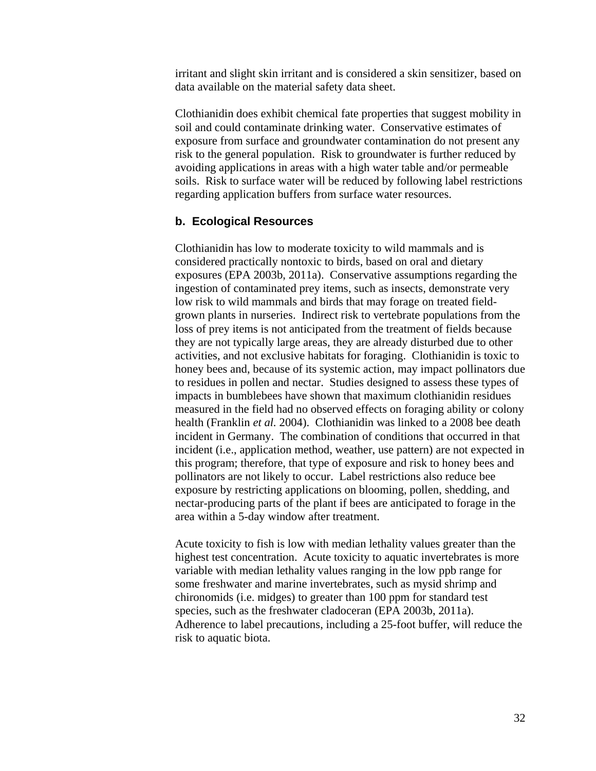irritant and slight skin irritant and is considered a skin sensitizer, based on data available on the material safety data sheet.

Clothianidin does exhibit chemical fate properties that suggest mobility in soil and could contaminate drinking water. Conservative estimates of exposure from surface and groundwater contamination do not present any risk to the general population. Risk to groundwater is further reduced by avoiding applications in areas with a high water table and/or permeable soils. Risk to surface water will be reduced by following label restrictions regarding application buffers from surface water resources.

#### **b. Ecological Resources**

Clothianidin has low to moderate toxicity to wild mammals and is considered practically nontoxic to birds, based on oral and dietary exposures [\(EPA 2003b,](#page-61-13) [2011a\)](#page-61-4). Conservative assumptions regarding the ingestion of contaminated prey items, such as insects, demonstrate very low risk to wild mammals and birds that may forage on treated fieldgrown plants in nurseries. Indirect risk to vertebrate populations from the loss of prey items is not anticipated from the treatment of fields because they are not typically large areas, they are already disturbed due to other activities, and not exclusive habitats for foraging. Clothianidin is toxic to honey bees and, because of its systemic action, may impact pollinators due to residues in pollen and nectar. Studies designed to assess these types of impacts in bumblebees have shown that maximum clothianidin residues measured in the field had no observed effects on foraging ability or colony health [\(Franklin](#page-62-5) *et al.* 2004). Clothianidin was linked to a 2008 bee death incident in Germany. The combination of conditions that occurred in that incident (i.e., application method, weather, use pattern) are not expected in this program; therefore, that type of exposure and risk to honey bees and pollinators are not likely to occur. Label restrictions also reduce bee exposure by restricting applications on blooming, pollen, shedding, and nectar-producing parts of the plant if bees are anticipated to forage in the area within a 5-day window after treatment.

Acute toxicity to fish is low with median lethality values greater than the highest test concentration. Acute toxicity to aquatic invertebrates is more variable with median lethality values ranging in the low ppb range for some freshwater and marine invertebrates, such as mysid shrimp and chironomids (i.e. midges) to greater than 100 ppm for standard test species, such as the freshwater cladoceran [\(EPA 2003b,](#page-61-13) [2011a\)](#page-61-4). Adherence to label precautions, including a 25-foot buffer, will reduce the risk to aquatic biota.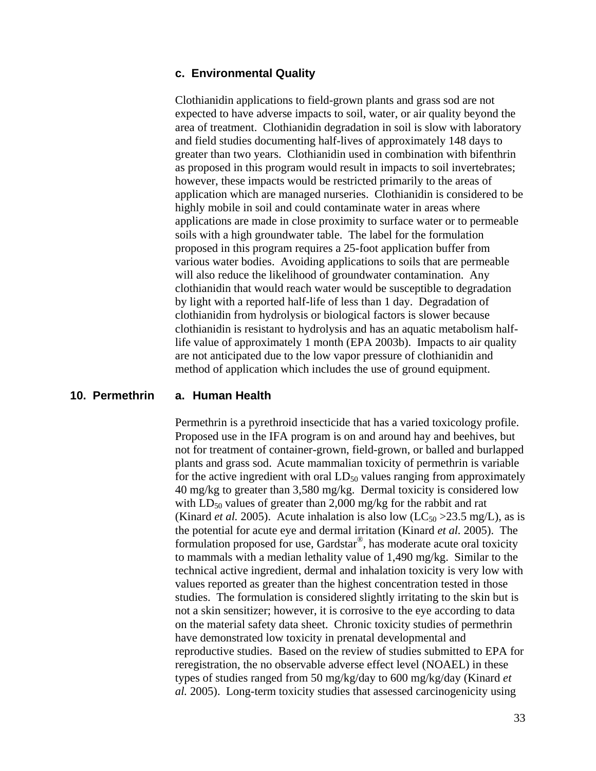#### **c. Environmental Quality**

Clothianidin applications to field-grown plants and grass sod are not expected to have adverse impacts to soil, water, or air quality beyond the area of treatment. Clothianidin degradation in soil is slow with laboratory and field studies documenting half-lives of approximately 148 days to greater than two years. Clothianidin used in combination with bifenthrin as proposed in this program would result in impacts to soil invertebrates; however, these impacts would be restricted primarily to the areas of application which are managed nurseries. Clothianidin is considered to be highly mobile in soil and could contaminate water in areas where applications are made in close proximity to surface water or to permeable soils with a high groundwater table. The label for the formulation proposed in this program requires a 25-foot application buffer from various water bodies. Avoiding applications to soils that are permeable will also reduce the likelihood of groundwater contamination. Any clothianidin that would reach water would be susceptible to degradation by light with a reported half-life of less than 1 day. Degradation of clothianidin from hydrolysis or biological factors is slower because clothianidin is resistant to hydrolysis and has an aquatic metabolism halflife value of approximately 1 month [\(EPA 2003b\)](#page-61-13). Impacts to air quality are not anticipated due to the low vapor pressure of clothianidin and method of application which includes the use of ground equipment.

#### **a. Human Health 10. Permethrin**

Permethrin is a pyrethroid insecticide that has a varied toxicology profile. Proposed use in the IFA program is on and around hay and beehives, but not for treatment of container-grown, field-grown, or balled and burlapped plants and grass sod. Acute mammalian toxicity of permethrin is variable for the active ingredient with oral  $LD_{50}$  values ranging from approximately 40 mg/kg to greater than 3,580 mg/kg. Dermal toxicity is considered low with  $LD_{50}$  values of greater than 2,000 mg/kg for the rabbit and rat [\(Kinard](#page-63-13) *et al.* 2005). Acute inhalation is also low ( $LC_{50} > 23.5$  mg/L), as is the potential for acute eye and dermal irritation [\(Kinard](#page-63-13) *et al.* 2005). The formulation proposed for use, Gardstar® , has moderate acute oral toxicity to mammals with a median lethality value of 1,490 mg/kg. Similar to the technical active ingredient, dermal and inhalation toxicity is very low with values reported as greater than the highest concentration tested in those studies. The formulation is considered slightly irritating to the skin but is not a skin sensitizer; however, it is corrosive to the eye according to data on the material safety data sheet. Chronic toxicity studies of permethrin have demonstrated low toxicity in prenatal developmental and reproductive studies. Based on the review of studies submitted to EPA for reregistration, the no observable adverse effect level (NOAEL) in these types of studies ranged from 50 mg/kg/day to 600 mg/kg/day [\(Kinard](#page-63-13) *et al.* [2005\)](#page-63-13). Long-term toxicity studies that assessed carcinogenicity using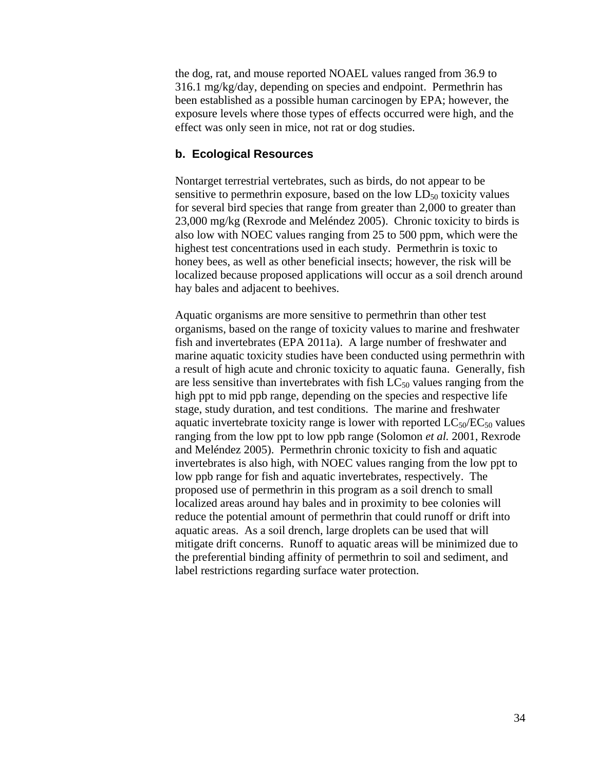the dog, rat, and mouse reported NOAEL values ranged from 36.9 to 316.1 mg/kg/day, depending on species and endpoint. Permethrin has been established as a possible human carcinogen by EPA; however, the exposure levels where those types of effects occurred were high, and the effect was only seen in mice, not rat or dog studies.

#### **b. Ecological Resources**

Nontarget terrestrial vertebrates, such as birds, do not appear to be sensitive to permethrin exposure, based on the low  $LD_{50}$  toxicity values for several bird species that range from greater than 2,000 to greater than 23,000 mg/kg [\(Rexrode and Meléndez 2005\)](#page-64-11). Chronic toxicity to birds is also low with NOEC values ranging from 25 to 500 ppm, which were the highest test concentrations used in each study. Permethrin is toxic to honey bees, as well as other beneficial insects; however, the risk will be localized because proposed applications will occur as a soil drench around hay bales and adjacent to beehives.

Aquatic organisms are more sensitive to permethrin than other test organisms, based on the range of toxicity values to marine and freshwater fish and invertebrates [\(EPA 2011a\)](#page-61-4). A large number of freshwater and marine aquatic toxicity studies have been conducted using permethrin with a result of high acute and chronic toxicity to aquatic fauna. Generally, fish are less sensitive than invertebrates with fish  $LC_{50}$  values ranging from the high ppt to mid ppb range, depending on the species and respective life stage, study duration, and test conditions. The marine and freshwater aquatic invertebrate toxicity range is lower with reported  $LC_{50}/EC_{50}$  values ranging from the low ppt to low ppb range [\(Solomon](#page-64-0) *et al.* 2001, [Rexrode](#page-64-11)  [and Meléndez 2005\)](#page-64-11). Permethrin chronic toxicity to fish and aquatic invertebrates is also high, with NOEC values ranging from the low ppt to low ppb range for fish and aquatic invertebrates, respectively. The proposed use of permethrin in this program as a soil drench to small localized areas around hay bales and in proximity to bee colonies will reduce the potential amount of permethrin that could runoff or drift into aquatic areas. As a soil drench, large droplets can be used that will mitigate drift concerns. Runoff to aquatic areas will be minimized due to the preferential binding affinity of permethrin to soil and sediment, and label restrictions regarding surface water protection.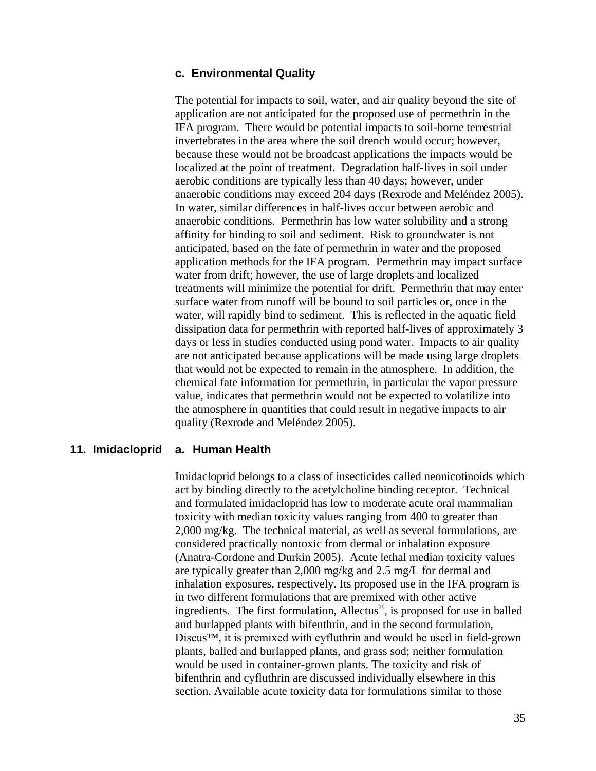#### **c. Environmental Quality**

The potential for impacts to soil, water, and air quality beyond the site of application are not anticipated for the proposed use of permethrin in the IFA program. There would be potential impacts to soil-borne terrestrial invertebrates in the area where the soil drench would occur; however, because these would not be broadcast applications the impacts would be localized at the point of treatment. Degradation half-lives in soil under aerobic conditions are typically less than 40 days; however, under anaerobic conditions may exceed 204 days [\(Rexrode and Meléndez 2005\)](#page-64-11). In water, similar differences in half-lives occur between aerobic and anaerobic conditions. Permethrin has low water solubility and a strong affinity for binding to soil and sediment. Risk to groundwater is not anticipated, based on the fate of permethrin in water and the proposed application methods for the IFA program. Permethrin may impact surface water from drift; however, the use of large droplets and localized treatments will minimize the potential for drift. Permethrin that may enter surface water from runoff will be bound to soil particles or, once in the water, will rapidly bind to sediment. This is reflected in the aquatic field dissipation data for permethrin with reported half-lives of approximately 3 days or less in studies conducted using pond water. Impacts to air quality are not anticipated because applications will be made using large droplets that would not be expected to remain in the atmosphere. In addition, the chemical fate information for permethrin, in particular the vapor pressure value, indicates that permethrin would not be expected to volatilize into the atmosphere in quantities that could result in negative impacts to air quality [\(Rexrode and Meléndez 2005\)](#page-64-11).

#### **a. Human Health 11. Imidacloprid**

Imidacloprid belongs to a class of insecticides called neonicotinoids which act by binding directly to the acetylcholine binding receptor. Technical and formulated imidacloprid has low to moderate acute oral mammalian toxicity with median toxicity values ranging from 400 to greater than 2,000 mg/kg. The technical material, as well as several formulations, are considered practically nontoxic from dermal or inhalation exposure [\(Anatra-Cordone and Durkin 2005\)](#page-60-11). Acute lethal median toxicity values are typically greater than 2,000 mg/kg and 2.5 mg/L for dermal and inhalation exposures, respectively. Its proposed use in the IFA program is in two different formulations that are premixed with other active ingredients. The first formulation, Allectus® , is proposed for use in balled and burlapped plants with bifenthrin, and in the second formulation, Discus™, it is premixed with cyfluthrin and would be used in field-grown plants, balled and burlapped plants, and grass sod; neither formulation would be used in container-grown plants. The toxicity and risk of bifenthrin and cyfluthrin are discussed individually elsewhere in this section. Available acute toxicity data for formulations similar to those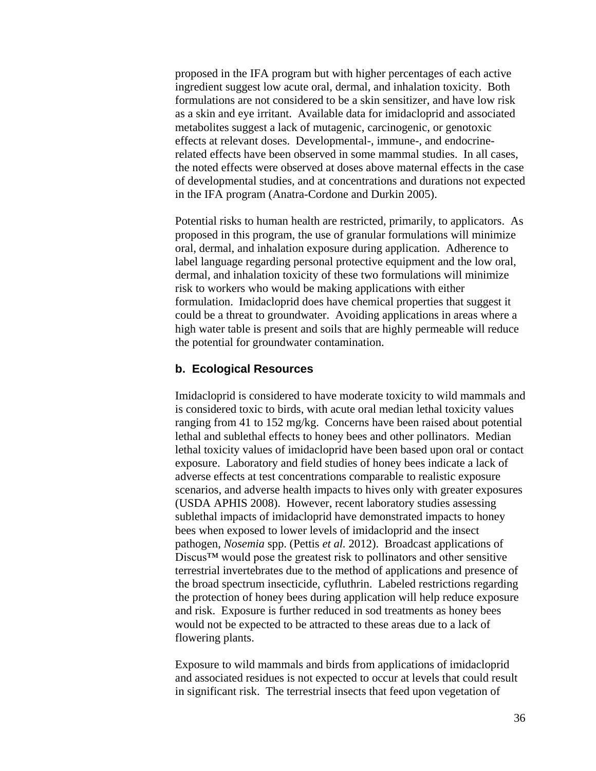proposed in the IFA program but with higher percentages of each active ingredient suggest low acute oral, dermal, and inhalation toxicity. Both formulations are not considered to be a skin sensitizer, and have low risk as a skin and eye irritant. Available data for imidacloprid and associated metabolites suggest a lack of mutagenic, carcinogenic, or genotoxic effects at relevant doses. Developmental-, immune-, and endocrinerelated effects have been observed in some mammal studies. In all cases, the noted effects were observed at doses above maternal effects in the case of developmental studies, and at concentrations and durations not expected in the IFA program [\(Anatra-Cordone and Durkin 2005\)](#page-60-11).

Potential risks to human health are restricted, primarily, to applicators. As proposed in this program, the use of granular formulations will minimize oral, dermal, and inhalation exposure during application. Adherence to label language regarding personal protective equipment and the low oral, dermal, and inhalation toxicity of these two formulations will minimize risk to workers who would be making applications with either formulation. Imidacloprid does have chemical properties that suggest it could be a threat to groundwater. Avoiding applications in areas where a high water table is present and soils that are highly permeable will reduce the potential for groundwater contamination.

#### **b. Ecological Resources**

Imidacloprid is considered to have moderate toxicity to wild mammals and is considered toxic to birds, with acute oral median lethal toxicity values ranging from 41 to 152 mg/kg. Concerns have been raised about potential lethal and sublethal effects to honey bees and other pollinators. Median lethal toxicity values of imidacloprid have been based upon oral or contact exposure. Laboratory and field studies of honey bees indicate a lack of adverse effects at test concentrations comparable to realistic exposure scenarios, and adverse health impacts to hives only with greater exposures [\(USDA APHIS 2008\)](#page-65-12). However, recent laboratory studies assessing sublethal impacts of imidacloprid have demonstrated impacts to honey bees when exposed to lower levels of imidacloprid and the insect pathogen, *Nosemia* spp. [\(Pettis](#page-64-12) *et al.* 2012). Broadcast applications of Discus™ would pose the greatest risk to pollinators and other sensitive terrestrial invertebrates due to the method of applications and presence of the broad spectrum insecticide, cyfluthrin. Labeled restrictions regarding the protection of honey bees during application will help reduce exposure and risk. Exposure is further reduced in sod treatments as honey bees would not be expected to be attracted to these areas due to a lack of flowering plants.

Exposure to wild mammals and birds from applications of imidacloprid and associated residues is not expected to occur at levels that could result in significant risk. The terrestrial insects that feed upon vegetation of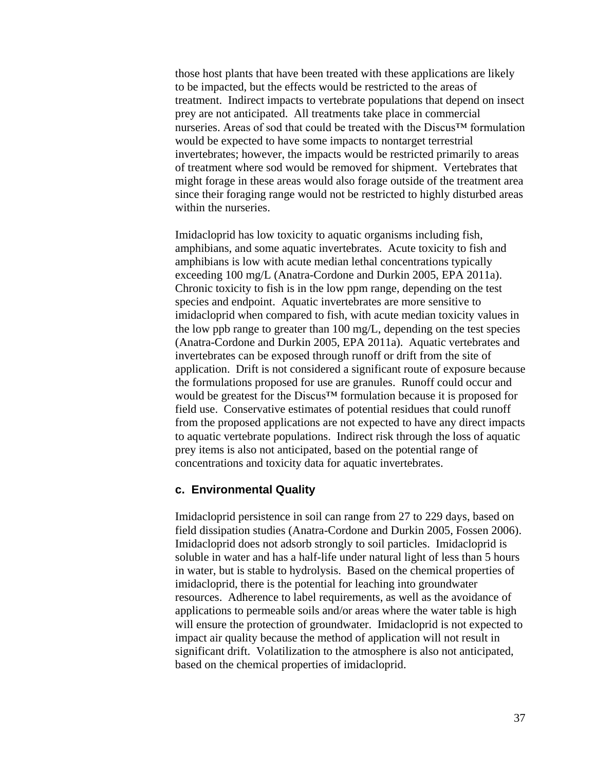those host plants that have been treated with these applications are likely to be impacted, but the effects would be restricted to the areas of treatment. Indirect impacts to vertebrate populations that depend on insect prey are not anticipated. All treatments take place in commercial nurseries. Areas of sod that could be treated with the Discus™ formulation would be expected to have some impacts to nontarget terrestrial invertebrates; however, the impacts would be restricted primarily to areas of treatment where sod would be removed for shipment. Vertebrates that might forage in these areas would also forage outside of the treatment area since their foraging range would not be restricted to highly disturbed areas within the nurseries.

Imidacloprid has low toxicity to aquatic organisms including fish, amphibians, and some aquatic invertebrates. Acute toxicity to fish and amphibians is low with acute median lethal concentrations typically exceeding 100 mg/L [\(Anatra-Cordone and Durkin 2005,](#page-60-11) [EPA 2011a\)](#page-61-4). Chronic toxicity to fish is in the low ppm range, depending on the test species and endpoint. Aquatic invertebrates are more sensitive to imidacloprid when compared to fish, with acute median toxicity values in the low ppb range to greater than 100 mg/L, depending on the test species [\(Anatra-Cordone and Durkin 2005,](#page-60-11) [EPA 2011a\)](#page-61-4). Aquatic vertebrates and invertebrates can be exposed through runoff or drift from the site of application. Drift is not considered a significant route of exposure because the formulations proposed for use are granules. Runoff could occur and would be greatest for the Discus™ formulation because it is proposed for field use. Conservative estimates of potential residues that could runoff from the proposed applications are not expected to have any direct impacts to aquatic vertebrate populations. Indirect risk through the loss of aquatic prey items is also not anticipated, based on the potential range of concentrations and toxicity data for aquatic invertebrates.

#### **c. Environmental Quality**

Imidacloprid persistence in soil can range from 27 to 229 days, based on field dissipation studies [\(Anatra-Cordone and Durkin 2005,](#page-60-11) [Fossen 2006\)](#page-62-6). Imidacloprid does not adsorb strongly to soil particles. Imidacloprid is soluble in water and has a half-life under natural light of less than 5 hours in water, but is stable to hydrolysis. Based on the chemical properties of imidacloprid, there is the potential for leaching into groundwater resources. Adherence to label requirements, as well as the avoidance of applications to permeable soils and/or areas where the water table is high will ensure the protection of groundwater. Imidacloprid is not expected to impact air quality because the method of application will not result in significant drift. Volatilization to the atmosphere is also not anticipated, based on the chemical properties of imidacloprid.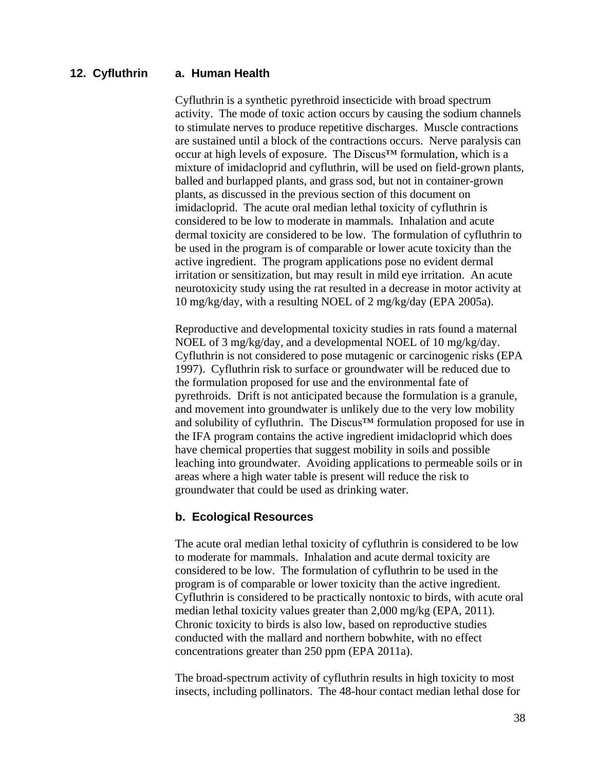#### **a. Human Health 12. Cyfluthrin**

Cyfluthrin is a synthetic pyrethroid insecticide with broad spectrum activity. The mode of toxic action occurs by causing the sodium channels to stimulate nerves to produce repetitive discharges. Muscle contractions are sustained until a block of the contractions occurs. Nerve paralysis can occur at high levels of exposure. The Discus™ formulation, which is a mixture of imidacloprid and cyfluthrin, will be used on field-grown plants, balled and burlapped plants, and grass sod, but not in container-grown plants, as discussed in the previous section of this document on imidacloprid. The acute oral median lethal toxicity of cyfluthrin is considered to be low to moderate in mammals. Inhalation and acute dermal toxicity are considered to be low. The formulation of cyfluthrin to be used in the program is of comparable or lower acute toxicity than the active ingredient. The program applications pose no evident dermal irritation or sensitization, but may result in mild eye irritation. An acute neurotoxicity study using the rat resulted in a decrease in motor activity at 10 mg/kg/day, with a resulting NOEL of 2 mg/kg/day [\(EPA 2005a\)](#page-61-14).

Reproductive and developmental toxicity studies in rats found a maternal NOEL of 3 mg/kg/day, and a developmental NOEL of 10 mg/kg/day. Cyfluthrin is not considered to pose mutagenic or carcinogenic risks [\(EPA](#page-61-15)  [1997\)](#page-61-15). Cyfluthrin risk to surface or groundwater will be reduced due to the formulation proposed for use and the environmental fate of pyrethroids. Drift is not anticipated because the formulation is a granule, and movement into groundwater is unlikely due to the very low mobility and solubility of cyfluthrin. The Discus™ formulation proposed for use in the IFA program contains the active ingredient imidacloprid which does have chemical properties that suggest mobility in soils and possible leaching into groundwater. Avoiding applications to permeable soils or in areas where a high water table is present will reduce the risk to groundwater that could be used as drinking water.

#### **b. Ecological Resources**

The acute oral median lethal toxicity of cyfluthrin is considered to be low to moderate for mammals. Inhalation and acute dermal toxicity are considered to be low. The formulation of cyfluthrin to be used in the program is of comparable or lower toxicity than the active ingredient. Cyfluthrin is considered to be practically nontoxic to birds, with acute oral median lethal toxicity values greater than 2,000 mg/kg (EPA, 2011). Chronic toxicity to birds is also low, based on reproductive studies conducted with the mallard and northern bobwhite, with no effect concentrations greater than 250 ppm [\(EPA 2011a\)](#page-61-4).

The broad-spectrum activity of cyfluthrin results in high toxicity to most insects, including pollinators. The 48-hour contact median lethal dose for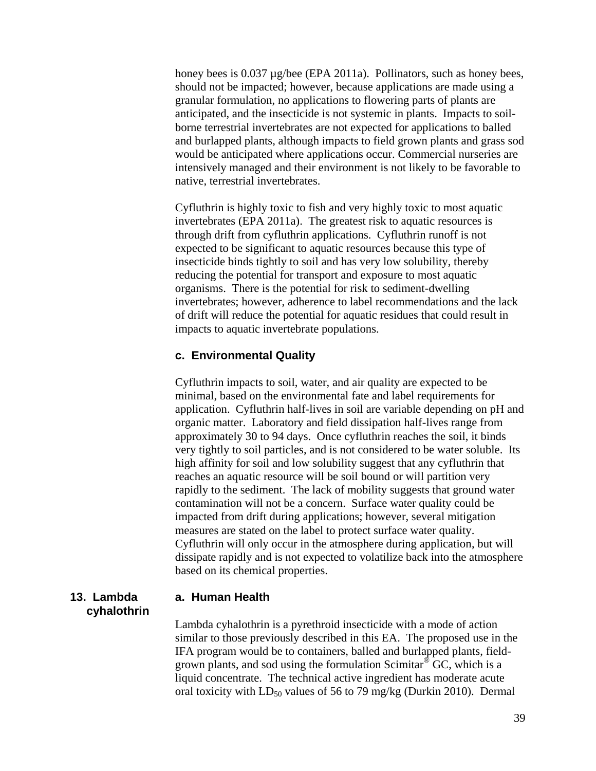honey bees is 0.037 µg/bee [\(EPA 2011a\)](#page-61-4). Pollinators, such as honey bees, should not be impacted; however, because applications are made using a granular formulation, no applications to flowering parts of plants are anticipated, and the insecticide is not systemic in plants. Impacts to soilborne terrestrial invertebrates are not expected for applications to balled and burlapped plants, although impacts to field grown plants and grass sod would be anticipated where applications occur. Commercial nurseries are intensively managed and their environment is not likely to be favorable to native, terrestrial invertebrates.

Cyfluthrin is highly toxic to fish and very highly toxic to most aquatic invertebrates [\(EPA 2011a\)](#page-61-4). The greatest risk to aquatic resources is through drift from cyfluthrin applications. Cyfluthrin runoff is not expected to be significant to aquatic resources because this type of insecticide binds tightly to soil and has very low solubility, thereby reducing the potential for transport and exposure to most aquatic organisms. There is the potential for risk to sediment-dwelling invertebrates; however, adherence to label recommendations and the lack of drift will reduce the potential for aquatic residues that could result in impacts to aquatic invertebrate populations.

#### **c. Environmental Quality**

Cyfluthrin impacts to soil, water, and air quality are expected to be minimal, based on the environmental fate and label requirements for application. Cyfluthrin half-lives in soil are variable depending on pH and organic matter. Laboratory and field dissipation half-lives range from approximately 30 to 94 days. Once cyfluthrin reaches the soil, it binds very tightly to soil particles, and is not considered to be water soluble. Its high affinity for soil and low solubility suggest that any cyfluthrin that reaches an aquatic resource will be soil bound or will partition very rapidly to the sediment. The lack of mobility suggests that ground water contamination will not be a concern. Surface water quality could be impacted from drift during applications; however, several mitigation measures are stated on the label to protect surface water quality. Cyfluthrin will only occur in the atmosphere during application, but will dissipate rapidly and is not expected to volatilize back into the atmosphere based on its chemical properties.

#### **13. Lambda cyhalothrin**

#### **a. Human Health**

Lambda cyhalothrin is a pyrethroid insecticide with a mode of action similar to those previously described in this EA. The proposed use in the IFA program would be to containers, balled and burlapped plants, fieldgrown plants, and sod using the formulation Scimitar<sup>®</sup> GC, which is a liquid concentrate. The technical active ingredient has moderate acute oral toxicity with  $LD_{50}$  values of 56 to 79 mg/kg [\(Durkin 2010\)](#page-61-16). Dermal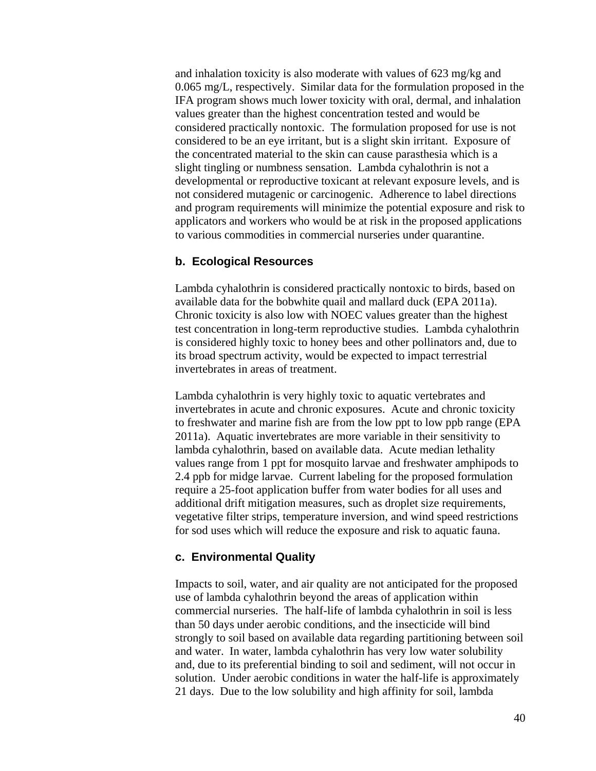and inhalation toxicity is also moderate with values of 623 mg/kg and 0.065 mg/L, respectively. Similar data for the formulation proposed in the IFA program shows much lower toxicity with oral, dermal, and inhalation values greater than the highest concentration tested and would be considered practically nontoxic. The formulation proposed for use is not considered to be an eye irritant, but is a slight skin irritant. Exposure of the concentrated material to the skin can cause parasthesia which is a slight tingling or numbness sensation. Lambda cyhalothrin is not a developmental or reproductive toxicant at relevant exposure levels, and is not considered mutagenic or carcinogenic. Adherence to label directions and program requirements will minimize the potential exposure and risk to applicators and workers who would be at risk in the proposed applications to various commodities in commercial nurseries under quarantine.

#### **b. Ecological Resources**

Lambda cyhalothrin is considered practically nontoxic to birds, based on available data for the bobwhite quail and mallard duck [\(EPA 2011a\)](#page-61-4). Chronic toxicity is also low with NOEC values greater than the highest test concentration in long-term reproductive studies. Lambda cyhalothrin is considered highly toxic to honey bees and other pollinators and, due to its broad spectrum activity, would be expected to impact terrestrial invertebrates in areas of treatment.

Lambda cyhalothrin is very highly toxic to aquatic vertebrates and invertebrates in acute and chronic exposures. Acute and chronic toxicity to freshwater and marine fish are from the low ppt to low ppb range [\(EPA](#page-61-4)  [2011a\)](#page-61-4). Aquatic invertebrates are more variable in their sensitivity to lambda cyhalothrin, based on available data. Acute median lethality values range from 1 ppt for mosquito larvae and freshwater amphipods to 2.4 ppb for midge larvae. Current labeling for the proposed formulation require a 25-foot application buffer from water bodies for all uses and additional drift mitigation measures, such as droplet size requirements, vegetative filter strips, temperature inversion, and wind speed restrictions for sod uses which will reduce the exposure and risk to aquatic fauna.

#### **c. Environmental Quality**

Impacts to soil, water, and air quality are not anticipated for the proposed use of lambda cyhalothrin beyond the areas of application within commercial nurseries. The half-life of lambda cyhalothrin in soil is less than 50 days under aerobic conditions, and the insecticide will bind strongly to soil based on available data regarding partitioning between soil and water. In water, lambda cyhalothrin has very low water solubility and, due to its preferential binding to soil and sediment, will not occur in solution. Under aerobic conditions in water the half-life is approximately 21 days. Due to the low solubility and high affinity for soil, lambda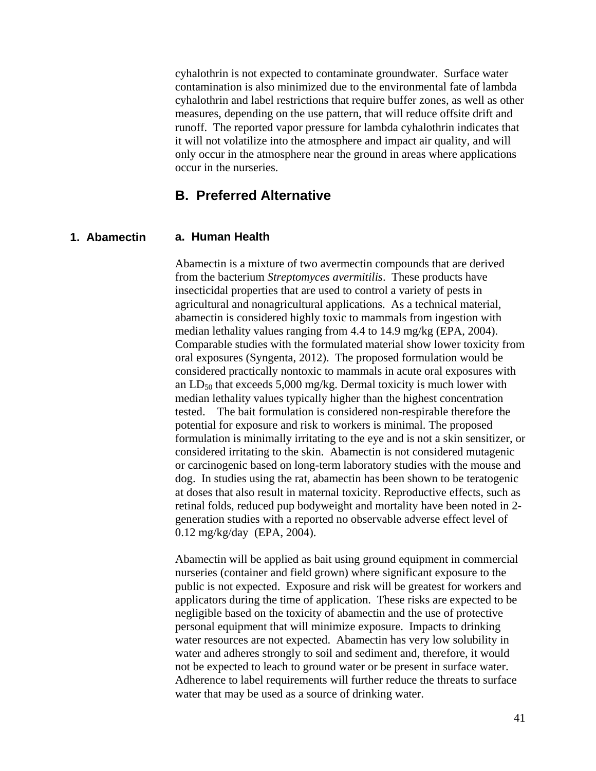cyhalothrin is not expected to contaminate groundwater. Surface water contamination is also minimized due to the environmental fate of lambda cyhalothrin and label restrictions that require buffer zones, as well as other measures, depending on the use pattern, that will reduce offsite drift and runoff. The reported vapor pressure for lambda cyhalothrin indicates that it will not volatilize into the atmosphere and impact air quality, and will only occur in the atmosphere near the ground in areas where applications occur in the nurseries.

#### <span id="page-44-0"></span>**B. Preferred Alternative**

#### **a. Human Health 1. Abamectin**

Abamectin is a mixture of two avermectin compounds that are derived from the bacterium *Streptomyces avermitilis*. These products have insecticidal properties that are used to control a variety of pests in agricultural and nonagricultural applications. As a technical material, abamectin is considered highly toxic to mammals from ingestion with median lethality values ranging from 4.4 to 14.9 mg/kg (EPA, 2004). Comparable studies with the formulated material show lower toxicity from oral exposures (Syngenta, 2012). The proposed formulation would be considered practically nontoxic to mammals in acute oral exposures with an  $LD_{50}$  that exceeds 5,000 mg/kg. Dermal toxicity is much lower with median lethality values typically higher than the highest concentration tested. The bait formulation is considered non-respirable therefore the potential for exposure and risk to workers is minimal. The proposed formulation is minimally irritating to the eye and is not a skin sensitizer, or considered irritating to the skin. Abamectin is not considered mutagenic or carcinogenic based on long-term laboratory studies with the mouse and dog. In studies using the rat, abamectin has been shown to be teratogenic at doses that also result in maternal toxicity. Reproductive effects, such as retinal folds, reduced pup bodyweight and mortality have been noted in 2 generation studies with a reported no observable adverse effect level of 0.12 mg/kg/day (EPA, 2004).

Abamectin will be applied as bait using ground equipment in commercial nurseries (container and field grown) where significant exposure to the public is not expected. Exposure and risk will be greatest for workers and applicators during the time of application. These risks are expected to be negligible based on the toxicity of abamectin and the use of protective personal equipment that will minimize exposure. Impacts to drinking water resources are not expected. Abamectin has very low solubility in water and adheres strongly to soil and sediment and, therefore, it would not be expected to leach to ground water or be present in surface water. Adherence to label requirements will further reduce the threats to surface water that may be used as a source of drinking water.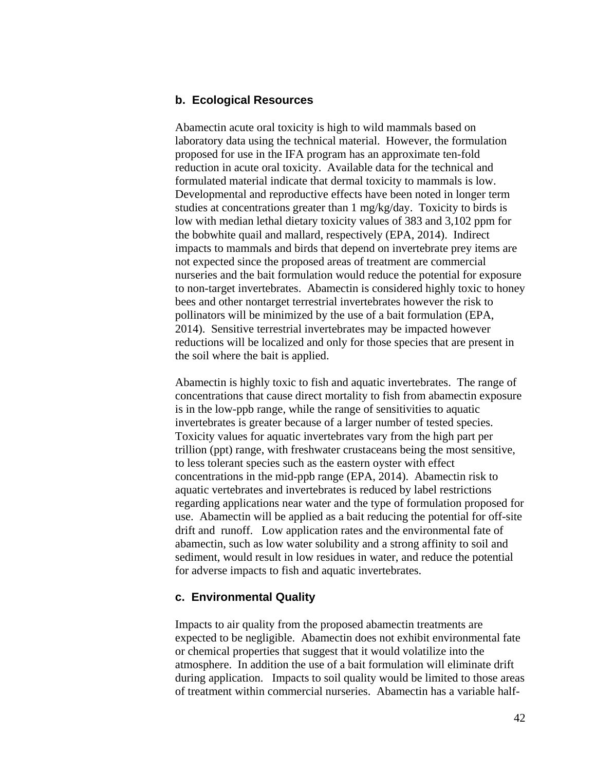#### **b. Ecological Resources**

Abamectin acute oral toxicity is high to wild mammals based on laboratory data using the technical material. However, the formulation proposed for use in the IFA program has an approximate ten-fold reduction in acute oral toxicity. Available data for the technical and formulated material indicate that dermal toxicity to mammals is low. Developmental and reproductive effects have been noted in longer term studies at concentrations greater than 1 mg/kg/day. Toxicity to birds is low with median lethal dietary toxicity values of 383 and 3,102 ppm for the bobwhite quail and mallard, respectively (EPA, 2014). Indirect impacts to mammals and birds that depend on invertebrate prey items are not expected since the proposed areas of treatment are commercial nurseries and the bait formulation would reduce the potential for exposure to non-target invertebrates. Abamectin is considered highly toxic to honey bees and other nontarget terrestrial invertebrates however the risk to pollinators will be minimized by the use of a bait formulation (EPA, 2014). Sensitive terrestrial invertebrates may be impacted however reductions will be localized and only for those species that are present in the soil where the bait is applied.

Abamectin is highly toxic to fish and aquatic invertebrates. The range of concentrations that cause direct mortality to fish from abamectin exposure is in the low-ppb range, while the range of sensitivities to aquatic invertebrates is greater because of a larger number of tested species. Toxicity values for aquatic invertebrates vary from the high part per trillion (ppt) range, with freshwater crustaceans being the most sensitive, to less tolerant species such as the eastern oyster with effect concentrations in the mid-ppb range (EPA, 2014). Abamectin risk to aquatic vertebrates and invertebrates is reduced by label restrictions regarding applications near water and the type of formulation proposed for use. Abamectin will be applied as a bait reducing the potential for off-site drift and runoff. Low application rates and the environmental fate of abamectin, such as low water solubility and a strong affinity to soil and sediment, would result in low residues in water, and reduce the potential for adverse impacts to fish and aquatic invertebrates.

#### **c. Environmental Quality**

Impacts to air quality from the proposed abamectin treatments are expected to be negligible. Abamectin does not exhibit environmental fate or chemical properties that suggest that it would volatilize into the atmosphere. In addition the use of a bait formulation will eliminate drift during application. Impacts to soil quality would be limited to those areas of treatment within commercial nurseries. Abamectin has a variable half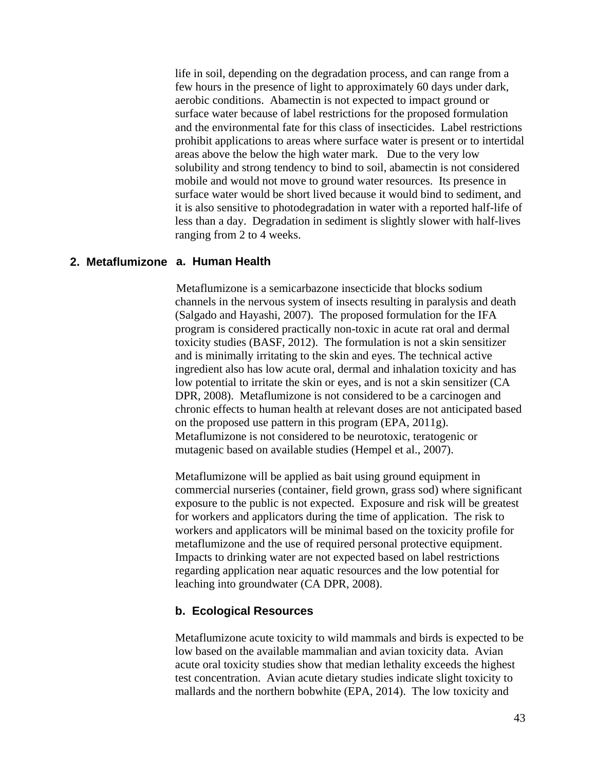life in soil, depending on the degradation process, and can range from a few hours in the presence of light to approximately 60 days under dark, aerobic conditions. Abamectin is not expected to impact ground or surface water because of label restrictions for the proposed formulation and the environmental fate for this class of insecticides. Label restrictions prohibit applications to areas where surface water is present or to intertidal areas above the below the high water mark. Due to the very low solubility and strong tendency to bind to soil, abamectin is not considered mobile and would not move to ground water resources. Its presence in surface water would be short lived because it would bind to sediment, and it is also sensitive to photodegradation in water with a reported half-life of less than a day. Degradation in sediment is slightly slower with half-lives ranging from 2 to 4 weeks.

#### **a. Human Health 2. Metaflumizone**

Metaflumizone is a semicarbazone insecticide that blocks sodium channels in the nervous system of insects resulting in paralysis and death (Salgado and Hayashi, 2007). The proposed formulation for the IFA program is considered practically non-toxic in acute rat oral and dermal toxicity studies (BASF, 2012). The formulation is not a skin sensitizer and is minimally irritating to the skin and eyes. The technical active ingredient also has low acute oral, dermal and inhalation toxicity and has low potential to irritate the skin or eyes, and is not a skin sensitizer (CA DPR, 2008). Metaflumizone is not considered to be a carcinogen and chronic effects to human health at relevant doses are not anticipated based on the proposed use pattern in this program (EPA, 2011g). Metaflumizone is not considered to be neurotoxic, teratogenic or mutagenic based on available studies (Hempel et al., 2007).

Metaflumizone will be applied as bait using ground equipment in commercial nurseries (container, field grown, grass sod) where significant exposure to the public is not expected. Exposure and risk will be greatest for workers and applicators during the time of application. The risk to workers and applicators will be minimal based on the toxicity profile for metaflumizone and the use of required personal protective equipment. Impacts to drinking water are not expected based on label restrictions regarding application near aquatic resources and the low potential for leaching into groundwater (CA DPR, 2008).

#### **b. Ecological Resources**

Metaflumizone acute toxicity to wild mammals and birds is expected to be low based on the available mammalian and avian toxicity data. Avian acute oral toxicity studies show that median lethality exceeds the highest test concentration. Avian acute dietary studies indicate slight toxicity to mallards and the northern bobwhite (EPA, 2014). The low toxicity and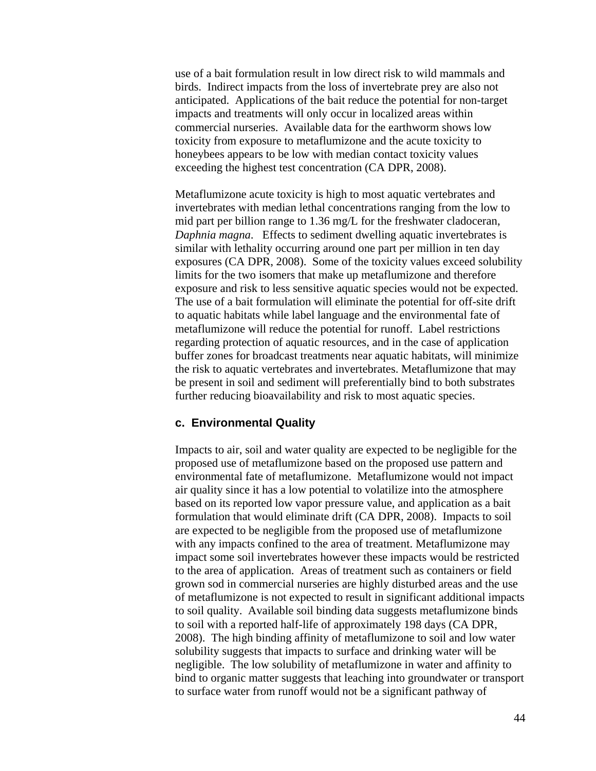use of a bait formulation result in low direct risk to wild mammals and birds. Indirect impacts from the loss of invertebrate prey are also not anticipated. Applications of the bait reduce the potential for non-target impacts and treatments will only occur in localized areas within commercial nurseries. Available data for the earthworm shows low toxicity from exposure to metaflumizone and the acute toxicity to honeybees appears to be low with median contact toxicity values exceeding the highest test concentration (CA DPR, 2008).

Metaflumizone acute toxicity is high to most aquatic vertebrates and invertebrates with median lethal concentrations ranging from the low to mid part per billion range to 1.36 mg/L for the freshwater cladoceran, *Daphnia magna*. Effects to sediment dwelling aquatic invertebrates is similar with lethality occurring around one part per million in ten day exposures (CA DPR, 2008). Some of the toxicity values exceed solubility limits for the two isomers that make up metaflumizone and therefore exposure and risk to less sensitive aquatic species would not be expected. The use of a bait formulation will eliminate the potential for off-site drift to aquatic habitats while label language and the environmental fate of metaflumizone will reduce the potential for runoff. Label restrictions regarding protection of aquatic resources, and in the case of application buffer zones for broadcast treatments near aquatic habitats, will minimize the risk to aquatic vertebrates and invertebrates. Metaflumizone that may be present in soil and sediment will preferentially bind to both substrates further reducing bioavailability and risk to most aquatic species.

#### **c. Environmental Quality**

Impacts to air, soil and water quality are expected to be negligible for the proposed use of metaflumizone based on the proposed use pattern and environmental fate of metaflumizone. Metaflumizone would not impact air quality since it has a low potential to volatilize into the atmosphere based on its reported low vapor pressure value, and application as a bait formulation that would eliminate drift (CA DPR, 2008). Impacts to soil are expected to be negligible from the proposed use of metaflumizone with any impacts confined to the area of treatment. Metaflumizone may impact some soil invertebrates however these impacts would be restricted to the area of application. Areas of treatment such as containers or field grown sod in commercial nurseries are highly disturbed areas and the use of metaflumizone is not expected to result in significant additional impacts to soil quality. Available soil binding data suggests metaflumizone binds to soil with a reported half-life of approximately 198 days (CA DPR, 2008). The high binding affinity of metaflumizone to soil and low water solubility suggests that impacts to surface and drinking water will be negligible. The low solubility of metaflumizone in water and affinity to bind to organic matter suggests that leaching into groundwater or transport to surface water from runoff would not be a significant pathway of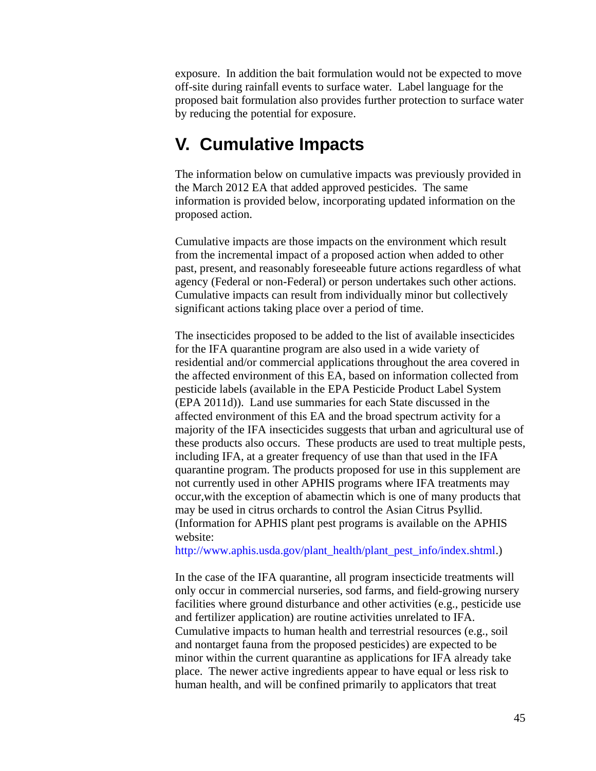exposure. In addition the bait formulation would not be expected to move off-site during rainfall events to surface water. Label language for the proposed bait formulation also provides further protection to surface water by reducing the potential for exposure.

## <span id="page-48-0"></span>**V. Cumulative Impacts**

The information below on cumulative impacts was previously provided in the March 2012 EA that added approved pesticides. The same information is provided below, incorporating updated information on the proposed action.

Cumulative impacts are those impacts on the environment which result from the incremental impact of a proposed action when added to other past, present, and reasonably foreseeable future actions regardless of what agency (Federal or non-Federal) or person undertakes such other actions. Cumulative impacts can result from individually minor but collectively significant actions taking place over a period of time.

The insecticides proposed to be added to the list of available insecticides for the IFA quarantine program are also used in a wide variety of residential and/or commercial applications throughout the area covered in the affected environment of this EA, based on information collected from pesticide labels (available in the EPA Pesticide Product Label System [\(EPA 2011d\)](#page-62-7)). Land use summaries for each State discussed in the affected environment of this EA and the broad spectrum activity for a majority of the IFA insecticides suggests that urban and agricultural use of these products also occurs. These products are used to treat multiple pests, including IFA, at a greater frequency of use than that used in the IFA quarantine program. The products proposed for use in this supplement are not currently used in other APHIS programs where IFA treatments may occur,with the exception of abamectin which is one of many products that may be used in citrus orchards to control the Asian Citrus Psyllid. (Information for APHIS plant pest programs is available on the APHIS website:

[http://www.aphis.usda.gov/plant\\_health/plant\\_pest\\_info/index.shtml.](http://www.aphis.usda.gov/plant_health/plant_pest_info/index.shtml))

In the case of the IFA quarantine, all program insecticide treatments will only occur in commercial nurseries, sod farms, and field-growing nursery facilities where ground disturbance and other activities (e.g., pesticide use and fertilizer application) are routine activities unrelated to IFA. Cumulative impacts to human health and terrestrial resources (e.g., soil and nontarget fauna from the proposed pesticides) are expected to be minor within the current quarantine as applications for IFA already take place. The newer active ingredients appear to have equal or less risk to human health, and will be confined primarily to applicators that treat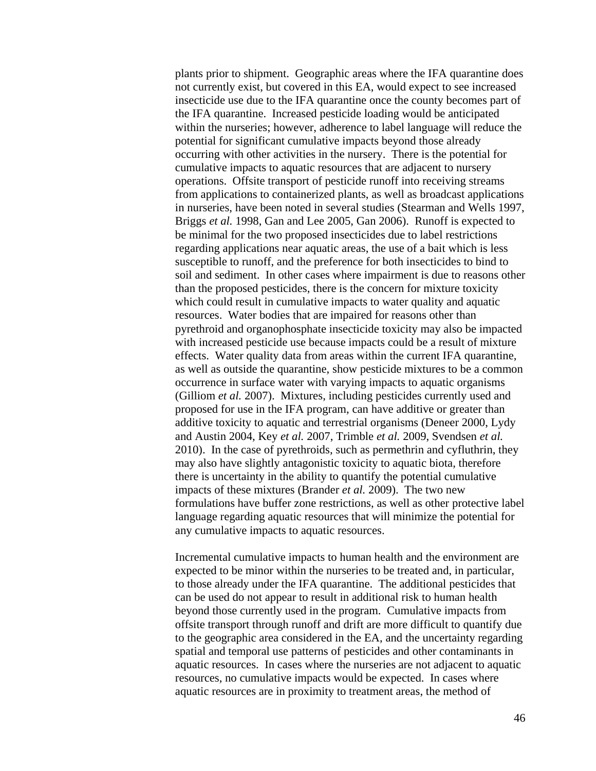plants prior to shipment. Geographic areas where the IFA quarantine does not currently exist, but covered in this EA, would expect to see increased insecticide use due to the IFA quarantine once the county becomes part of the IFA quarantine. Increased pesticide loading would be anticipated within the nurseries; however, adherence to label language will reduce the potential for significant cumulative impacts beyond those already occurring with other activities in the nursery. There is the potential for cumulative impacts to aquatic resources that are adjacent to nursery operations. Offsite transport of pesticide runoff into receiving streams from applications to containerized plants, as well as broadcast applications in nurseries, have been noted in several studies [\(Stearman and Wells 1997,](#page-65-13) [Briggs](#page-60-12) *et al.* 1998, [Gan and Lee 2005,](#page-62-8) [Gan 2006\)](#page-62-9). Runoff is expected to be minimal for the two proposed insecticides due to label restrictions regarding applications near aquatic areas, the use of a bait which is less susceptible to runoff, and the preference for both insecticides to bind to soil and sediment. In other cases where impairment is due to reasons other than the proposed pesticides, there is the concern for mixture toxicity which could result in cumulative impacts to water quality and aquatic resources. Water bodies that are impaired for reasons other than pyrethroid and organophosphate insecticide toxicity may also be impacted with increased pesticide use because impacts could be a result of mixture effects. Water quality data from areas within the current IFA quarantine, as well as outside the quarantine, show pesticide mixtures to be a common occurrence in surface water with varying impacts to aquatic organisms [\(Gilliom](#page-62-10) *et al.* 2007). Mixtures, including pesticides currently used and proposed for use in the IFA program, can have additive or greater than additive toxicity to aquatic and terrestrial organisms [\(Deneer 2000,](#page-61-17) [Lydy](#page-63-14)  [and Austin 2004,](#page-63-14) Key *et al.* [2007,](#page-63-15) [Trimble](#page-65-14) *et al.* 2009, [Svendsen](#page-65-15) *et al.* [2010\)](#page-65-15). In the case of pyrethroids, such as permethrin and cyfluthrin, they may also have slightly antagonistic toxicity to aquatic biota, therefore there is uncertainty in the ability to quantify the potential cumulative impacts of these mixtures [\(Brander](#page-60-13) *et al.* 2009). The two new formulations have buffer zone restrictions, as well as other protective label language regarding aquatic resources that will minimize the potential for any cumulative impacts to aquatic resources.

Incremental cumulative impacts to human health and the environment are expected to be minor within the nurseries to be treated and, in particular, to those already under the IFA quarantine. The additional pesticides that can be used do not appear to result in additional risk to human health beyond those currently used in the program. Cumulative impacts from offsite transport through runoff and drift are more difficult to quantify due to the geographic area considered in the EA, and the uncertainty regarding spatial and temporal use patterns of pesticides and other contaminants in aquatic resources. In cases where the nurseries are not adjacent to aquatic resources, no cumulative impacts would be expected. In cases where aquatic resources are in proximity to treatment areas, the method of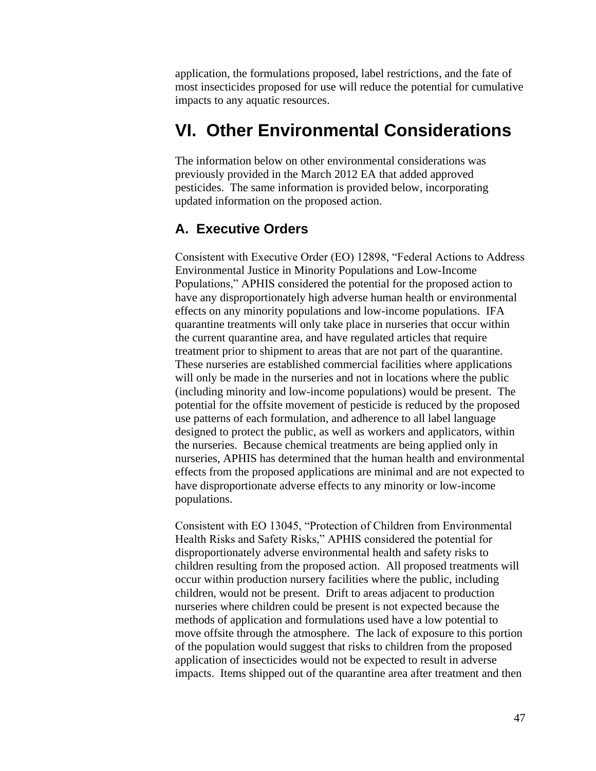application, the formulations proposed, label restrictions, and the fate of most insecticides proposed for use will reduce the potential for cumulative impacts to any aquatic resources.

## <span id="page-50-0"></span>**VI. Other Environmental Considerations**

The information below on other environmental considerations was previously provided in the March 2012 EA that added approved pesticides. The same information is provided below, incorporating updated information on the proposed action.

### <span id="page-50-1"></span>**A. Executive Orders**

Consistent with Executive Order (EO) 12898, "Federal Actions to Address Environmental Justice in Minority Populations and Low-Income Populations," APHIS considered the potential for the proposed action to have any disproportionately high adverse human health or environmental effects on any minority populations and low-income populations. IFA quarantine treatments will only take place in nurseries that occur within the current quarantine area, and have regulated articles that require treatment prior to shipment to areas that are not part of the quarantine. These nurseries are established commercial facilities where applications will only be made in the nurseries and not in locations where the public (including minority and low-income populations) would be present. The potential for the offsite movement of pesticide is reduced by the proposed use patterns of each formulation, and adherence to all label language designed to protect the public, as well as workers and applicators, within the nurseries. Because chemical treatments are being applied only in nurseries, APHIS has determined that the human health and environmental effects from the proposed applications are minimal and are not expected to have disproportionate adverse effects to any minority or low-income populations.

Consistent with EO 13045, "Protection of Children from Environmental Health Risks and Safety Risks," APHIS considered the potential for disproportionately adverse environmental health and safety risks to children resulting from the proposed action. All proposed treatments will occur within production nursery facilities where the public, including children, would not be present. Drift to areas adjacent to production nurseries where children could be present is not expected because the methods of application and formulations used have a low potential to move offsite through the atmosphere. The lack of exposure to this portion of the population would suggest that risks to children from the proposed application of insecticides would not be expected to result in adverse impacts. Items shipped out of the quarantine area after treatment and then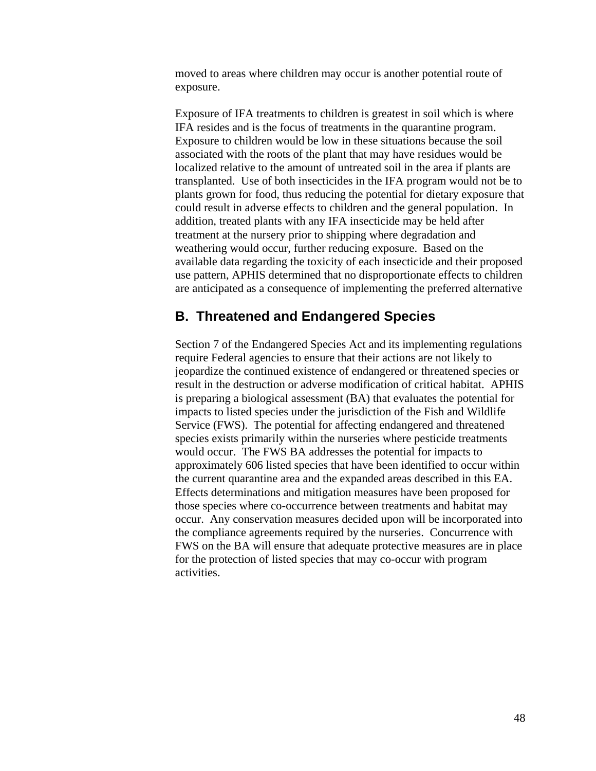moved to areas where children may occur is another potential route of exposure.

Exposure of IFA treatments to children is greatest in soil which is where IFA resides and is the focus of treatments in the quarantine program. Exposure to children would be low in these situations because the soil associated with the roots of the plant that may have residues would be localized relative to the amount of untreated soil in the area if plants are transplanted. Use of both insecticides in the IFA program would not be to plants grown for food, thus reducing the potential for dietary exposure that could result in adverse effects to children and the general population. In addition, treated plants with any IFA insecticide may be held after treatment at the nursery prior to shipping where degradation and weathering would occur, further reducing exposure. Based on the available data regarding the toxicity of each insecticide and their proposed use pattern, APHIS determined that no disproportionate effects to children are anticipated as a consequence of implementing the preferred alternative

### <span id="page-51-0"></span>**B. Threatened and Endangered Species**

Section 7 of the Endangered Species Act and its implementing regulations require Federal agencies to ensure that their actions are not likely to jeopardize the continued existence of endangered or threatened species or result in the destruction or adverse modification of critical habitat. APHIS is preparing a biological assessment (BA) that evaluates the potential for impacts to listed species under the jurisdiction of the Fish and Wildlife Service (FWS). The potential for affecting endangered and threatened species exists primarily within the nurseries where pesticide treatments would occur. The FWS BA addresses the potential for impacts to approximately 606 listed species that have been identified to occur within the current quarantine area and the expanded areas described in this EA. Effects determinations and mitigation measures have been proposed for those species where co-occurrence between treatments and habitat may occur. Any conservation measures decided upon will be incorporated into the compliance agreements required by the nurseries. Concurrence with FWS on the BA will ensure that adequate protective measures are in place for the protection of listed species that may co-occur with program activities.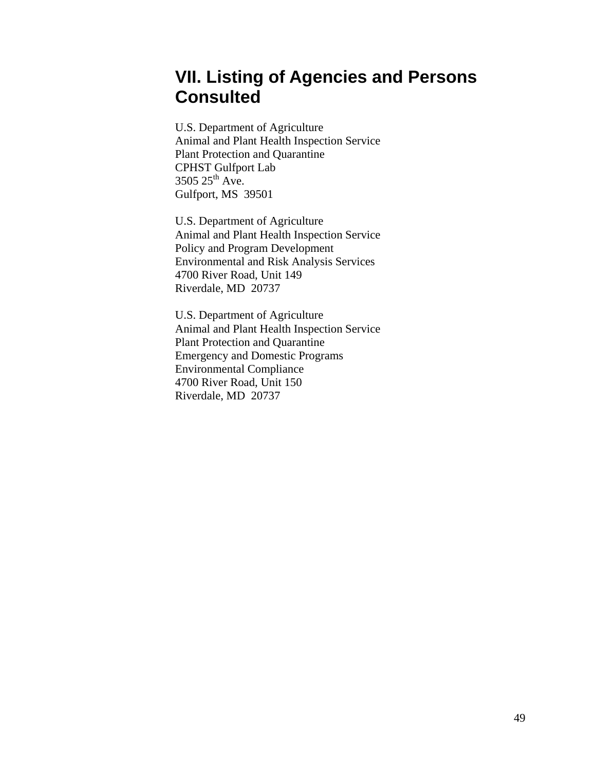## <span id="page-52-0"></span>**VII. Listing of Agencies and Persons Consulted**

U.S. Department of Agriculture Animal and Plant Health Inspection Service Plant Protection and Quarantine CPHST Gulfport Lab 3505 25<sup>th</sup> Ave. Gulfport, MS 39501

U.S. Department of Agriculture Animal and Plant Health Inspection Service Policy and Program Development Environmental and Risk Analysis Services 4700 River Road, Unit 149 Riverdale, MD 20737

U.S. Department of Agriculture Animal and Plant Health Inspection Service Plant Protection and Quarantine Emergency and Domestic Programs Environmental Compliance 4700 River Road, Unit 150 Riverdale, MD 20737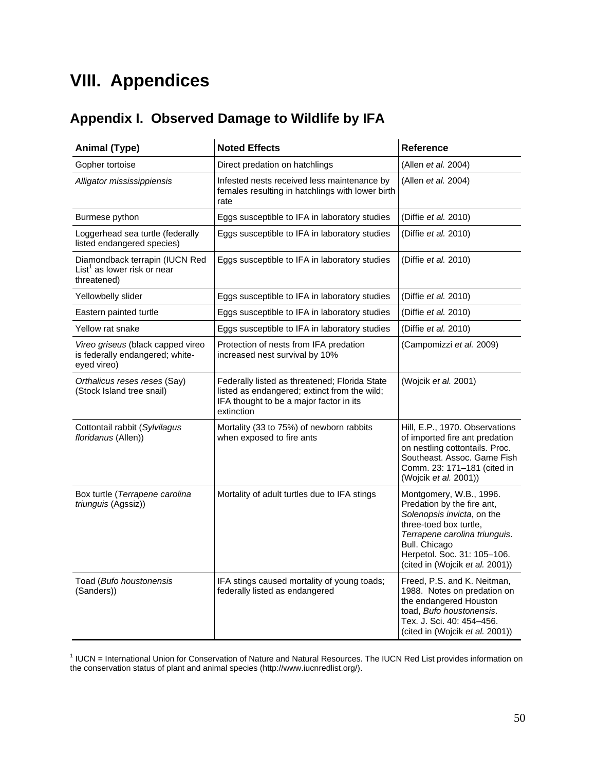## <span id="page-53-0"></span>**VIII. Appendices**

## <span id="page-53-1"></span>**Appendix I. Observed Damage to Wildlife by IFA**

| <b>Animal (Type)</b>                                                                | <b>Noted Effects</b>                                                                                                                                   | Reference                                                                                                                                                                                                                         |
|-------------------------------------------------------------------------------------|--------------------------------------------------------------------------------------------------------------------------------------------------------|-----------------------------------------------------------------------------------------------------------------------------------------------------------------------------------------------------------------------------------|
| Gopher tortoise                                                                     | Direct predation on hatchlings                                                                                                                         | (Allen et al. 2004)                                                                                                                                                                                                               |
| Alligator mississippiensis                                                          | Infested nests received less maintenance by<br>females resulting in hatchlings with lower birth<br>rate                                                | (Allen et al. 2004)                                                                                                                                                                                                               |
| Burmese python                                                                      | Eggs susceptible to IFA in laboratory studies                                                                                                          | (Diffie et al. 2010)                                                                                                                                                                                                              |
| Loggerhead sea turtle (federally<br>listed endangered species)                      | Eggs susceptible to IFA in laboratory studies                                                                                                          | (Diffie et al. 2010)                                                                                                                                                                                                              |
| Diamondback terrapin (IUCN Red<br>$List1$ as lower risk or near<br>threatened)      | Eggs susceptible to IFA in laboratory studies                                                                                                          | (Diffie et al. 2010)                                                                                                                                                                                                              |
| Yellowbelly slider                                                                  | Eggs susceptible to IFA in laboratory studies                                                                                                          | (Diffie et al. 2010)                                                                                                                                                                                                              |
| Eastern painted turtle                                                              | Eggs susceptible to IFA in laboratory studies                                                                                                          | (Diffie <i>et al.</i> 2010)                                                                                                                                                                                                       |
| Yellow rat snake                                                                    | Eggs susceptible to IFA in laboratory studies                                                                                                          | (Diffie et al. 2010)                                                                                                                                                                                                              |
| Vireo griseus (black capped vireo<br>is federally endangered; white-<br>eyed vireo) | Protection of nests from IFA predation<br>increased nest survival by 10%                                                                               | (Campomizzi et al. 2009)                                                                                                                                                                                                          |
| Orthalicus reses reses (Say)<br>(Stock Island tree snail)                           | Federally listed as threatened; Florida State<br>listed as endangered; extinct from the wild;<br>IFA thought to be a major factor in its<br>extinction | (Wojcik et al. 2001)                                                                                                                                                                                                              |
| Cottontail rabbit (Sylvilagus<br>floridanus (Allen))                                | Mortality (33 to 75%) of newborn rabbits<br>when exposed to fire ants                                                                                  | Hill, E.P., 1970. Observations<br>of imported fire ant predation<br>on nestling cottontails. Proc.<br>Southeast. Assoc. Game Fish<br>Comm. 23: 171-181 (cited in<br>(Wojcik et al. 2001))                                         |
| Box turtle (Terrapene carolina<br>triunguis (Agssiz))                               | Mortality of adult turtles due to IFA stings                                                                                                           | Montgomery, W.B., 1996.<br>Predation by the fire ant,<br>Solenopsis invicta, on the<br>three-toed box turtle,<br>Terrapene carolina triunguis.<br>Bull. Chicago<br>Herpetol. Soc. 31: 105-106.<br>(cited in (Wojcik et al. 2001)) |
| Toad (Bufo houstonensis<br>(Sanders))                                               | IFA stings caused mortality of young toads;<br>federally listed as endangered                                                                          | Freed, P.S. and K. Neitman,<br>1988. Notes on predation on<br>the endangered Houston<br>toad, Bufo houstonensis.<br>Tex. J. Sci. 40: 454-456.<br>(cited in (Wojcik et al. 2001))                                                  |

<sup>1</sup> IUCN = International Union for Conservation of Nature and Natural Resources. The IUCN Red List provides information on the conservation status of plant and animal species (http://www.iucnredlist.org/).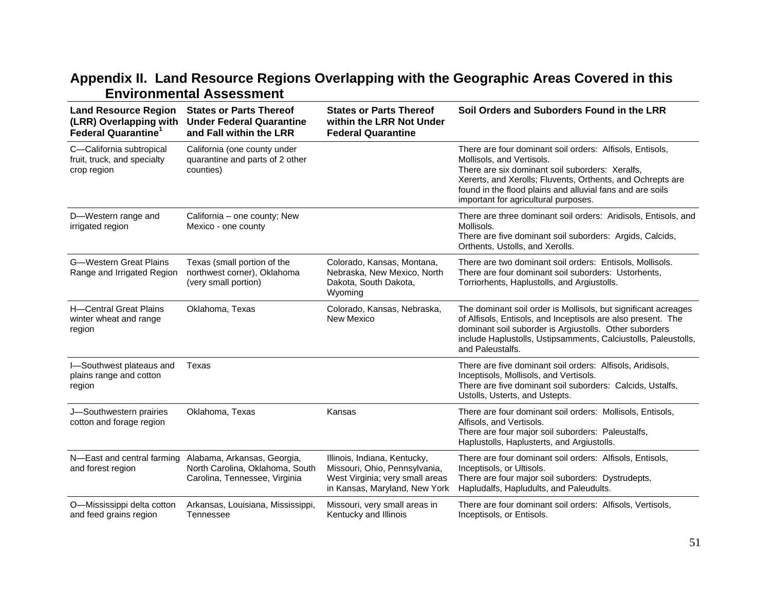## **Appendix II. Land Resource Regions Overlapping with the Geographic Areas Covered in this Environmental Assessment**

<span id="page-54-0"></span>

| <b>Land Resource Region</b><br>(LRR) Overlapping with<br><b>Federal Quarantine</b> <sup>1</sup> | <b>States or Parts Thereof</b><br><b>Under Federal Quarantine</b><br>and Fall within the LRR                               | <b>States or Parts Thereof</b><br>within the LRR Not Under<br><b>Federal Quarantine</b>                                           | Soil Orders and Suborders Found in the LRR                                                                                                                                                                                                                                                                  |
|-------------------------------------------------------------------------------------------------|----------------------------------------------------------------------------------------------------------------------------|-----------------------------------------------------------------------------------------------------------------------------------|-------------------------------------------------------------------------------------------------------------------------------------------------------------------------------------------------------------------------------------------------------------------------------------------------------------|
| C-California subtropical<br>fruit, truck, and specialty<br>crop region                          | California (one county under<br>quarantine and parts of 2 other<br>counties)                                               |                                                                                                                                   | There are four dominant soil orders: Alfisols, Entisols,<br>Mollisols, and Vertisols.<br>There are six dominant soil suborders: Xeralfs.<br>Xererts, and Xerolls; Fluvents, Orthents, and Ochrepts are<br>found in the flood plains and alluvial fans and are soils<br>important for agricultural purposes. |
| D-Western range and<br>irrigated region                                                         | California - one county; New<br>Mexico - one county                                                                        |                                                                                                                                   | There are three dominant soil orders: Aridisols, Entisols, and<br>Mollisols.<br>There are five dominant soil suborders: Argids, Calcids,<br>Orthents, Ustolls, and Xerolls.                                                                                                                                 |
| <b>G-Western Great Plains</b><br>Range and Irrigated Region                                     | Texas (small portion of the<br>northwest corner), Oklahoma<br>(very small portion)                                         | Colorado, Kansas, Montana,<br>Nebraska, New Mexico, North<br>Dakota, South Dakota,<br>Wyoming                                     | There are two dominant soil orders: Entisols, Mollisols.<br>There are four dominant soil suborders: Ustorhents,<br>Torriorhents, Haplustolls, and Argiustolls.                                                                                                                                              |
| H-Central Great Plains<br>winter wheat and range<br>region                                      | Oklahoma, Texas                                                                                                            | Colorado, Kansas, Nebraska,<br>New Mexico                                                                                         | The dominant soil order is Mollisols, but significant acreages<br>of Alfisols, Entisols, and Inceptisols are also present. The<br>dominant soil suborder is Argiustolls. Other suborders<br>include Haplustolls, Ustipsamments, Calciustolls, Paleustolls,<br>and Paleustalfs.                              |
| I-Southwest plateaus and<br>plains range and cotton<br>region                                   | Texas                                                                                                                      |                                                                                                                                   | There are five dominant soil orders: Alfisols, Aridisols,<br>Inceptisols, Mollisols, and Vertisols.<br>There are five dominant soil suborders: Calcids, Ustalfs,<br>Ustolls, Usterts, and Ustepts.                                                                                                          |
| J-Southwestern prairies<br>cotton and forage region                                             | Oklahoma, Texas                                                                                                            | Kansas                                                                                                                            | There are four dominant soil orders: Mollisols, Entisols,<br>Alfisols, and Vertisols.<br>There are four major soil suborders: Paleustalfs,<br>Haplustolls, Haplusterts, and Argiustolls.                                                                                                                    |
| and forest region                                                                               | N-East and central farming Alabama, Arkansas, Georgia,<br>North Carolina, Oklahoma, South<br>Carolina, Tennessee, Virginia | Illinois, Indiana, Kentucky,<br>Missouri, Ohio, Pennsylvania,<br>West Virginia; very small areas<br>in Kansas, Maryland, New York | There are four dominant soil orders: Alfisols, Entisols,<br>Inceptisols, or Ultisols.<br>There are four major soil suborders: Dystrudepts,<br>Hapludalfs, Hapludults, and Paleudults.                                                                                                                       |
| O-Mississippi delta cotton<br>and feed grains region                                            | Arkansas, Louisiana, Mississippi,<br>Tennessee                                                                             | Missouri, very small areas in<br>Kentucky and Illinois                                                                            | There are four dominant soil orders: Alfisols, Vertisols,<br>Inceptisols, or Entisols.                                                                                                                                                                                                                      |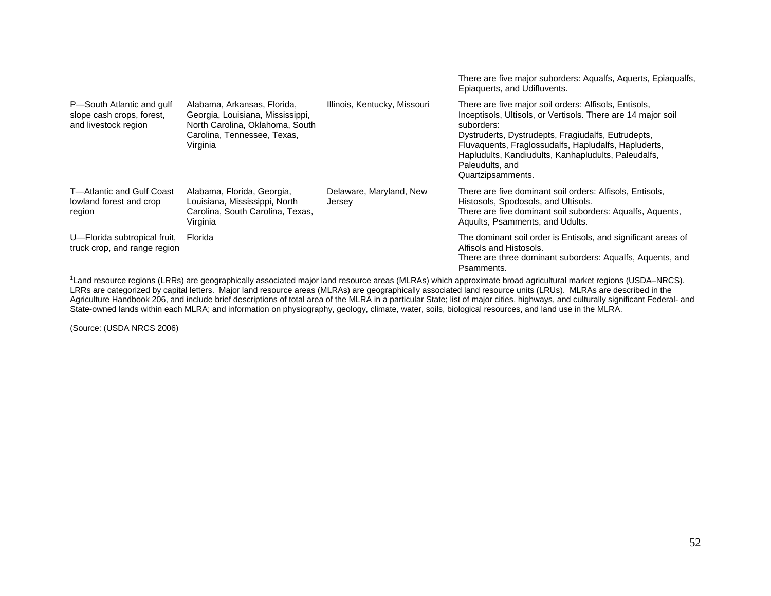|                                                                                |                                                                                                                                               |                                   | There are five major suborders: Aqualfs, Aquerts, Epiaqualfs,<br>Epiaquerts, and Udifluvents.                                                                                                                                                                                                                                                    |
|--------------------------------------------------------------------------------|-----------------------------------------------------------------------------------------------------------------------------------------------|-----------------------------------|--------------------------------------------------------------------------------------------------------------------------------------------------------------------------------------------------------------------------------------------------------------------------------------------------------------------------------------------------|
| P-South Atlantic and gulf<br>slope cash crops, forest,<br>and livestock region | Alabama, Arkansas, Florida,<br>Georgia, Louisiana, Mississippi,<br>North Carolina, Oklahoma, South<br>Carolina, Tennessee, Texas,<br>Virginia | Illinois, Kentucky, Missouri      | There are five major soil orders: Alfisols, Entisols,<br>Inceptisols, Ultisols, or Vertisols. There are 14 major soil<br>suborders:<br>Dystruderts, Dystrudepts, Fragiudalfs, Eutrudepts,<br>Fluvaquents, Fraglossudalfs, Hapludalfs, Hapluderts,<br>Hapludults, Kandiudults, Kanhapludults, Paleudalfs,<br>Paleudults, and<br>Quartzipsamments. |
| T—Atlantic and Gulf Coast<br>lowland forest and crop<br>region                 | Alabama, Florida, Georgia,<br>Louisiana, Mississippi, North<br>Carolina, South Carolina, Texas,<br>Virginia                                   | Delaware, Maryland, New<br>Jersey | There are five dominant soil orders: Alfisols, Entisols,<br>Histosols, Spodosols, and Ultisols.<br>There are five dominant soil suborders: Aqualfs, Aquents,<br>Aquults, Psamments, and Udults.                                                                                                                                                  |
| U-Florida subtropical fruit,<br>truck crop, and range region                   | Florida                                                                                                                                       |                                   | The dominant soil order is Entisols, and significant areas of<br>Alfisols and Histosols.<br>There are three dominant suborders: Aqualfs, Aquents, and<br>Psamments.                                                                                                                                                                              |
|                                                                                |                                                                                                                                               |                                   |                                                                                                                                                                                                                                                                                                                                                  |

<sup>1</sup>Land resource regions (LRRs) are geographically associated major land resource areas (MLRAs) which approximate broad agricultural market regions (USDA–NRCS). LRRs are categorized by capital letters. Major land resource areas (MLRAs) are geographically associated land resource units (LRUs). MLRAs are described in the Agriculture Handbook 206, and include brief descriptions of total area of the MLRA in a particular State; list of major cities, highways, and culturally significant Federal- and State-owned lands within each MLRA; and information on physiography, geology, climate, water, soils, biological resources, and land use in the MLRA.

(Source: [\(USDA NRCS 2006\)](#page-65-16)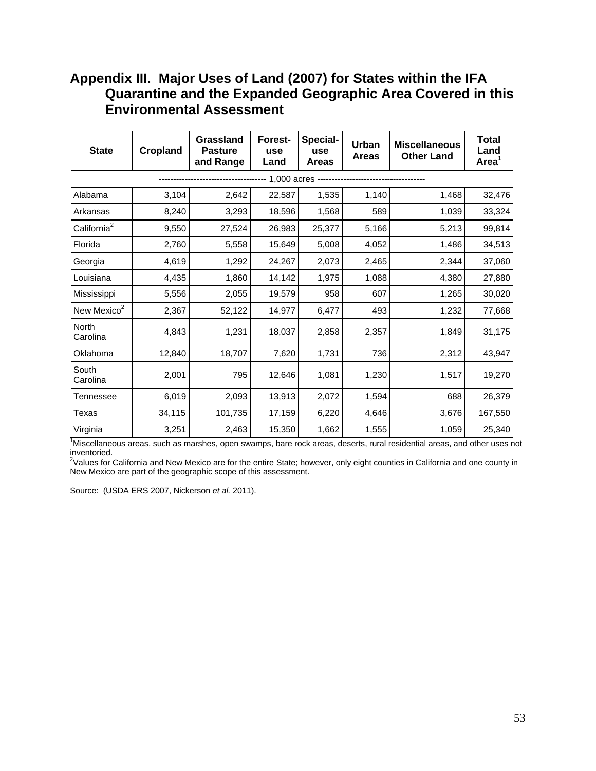### <span id="page-56-0"></span>**Appendix III. Major Uses of Land (2007) for States within the IFA Quarantine and the Expanded Geographic Area Covered in this Environmental Assessment**

| <b>State</b>             | <b>Cropland</b> | Grassland<br><b>Pasture</b><br>and Range | Forest-<br>use<br>Land | Special-<br>use<br><b>Areas</b> | Urban<br><b>Areas</b> | <b>Miscellaneous</b><br><b>Other Land</b> | <b>Total</b><br>Land<br>Area <sup>1</sup> |
|--------------------------|-----------------|------------------------------------------|------------------------|---------------------------------|-----------------------|-------------------------------------------|-------------------------------------------|
|                          |                 |                                          | 1,000 acres --         |                                 |                       |                                           |                                           |
| Alabama                  | 3,104           | 2,642                                    | 22,587                 | 1,535                           | 1,140                 | 1,468                                     | 32,476                                    |
| Arkansas                 | 8,240           | 3,293                                    | 18,596                 | 1,568                           | 589                   | 1,039                                     | 33,324                                    |
| California <sup>2</sup>  | 9,550           | 27,524                                   | 26,983                 | 25,377                          | 5,166                 | 5,213                                     | 99,814                                    |
| Florida                  | 2,760           | 5,558                                    | 15,649                 | 5,008                           | 4,052                 | 1,486                                     | 34,513                                    |
| Georgia                  | 4,619           | 1,292                                    | 24,267                 | 2,073                           | 2,465                 | 2,344                                     | 37,060                                    |
| Louisiana                | 4,435           | 1,860                                    | 14,142                 | 1,975                           | 1,088                 | 4,380                                     | 27,880                                    |
| Mississippi              | 5,556           | 2,055                                    | 19,579                 | 958                             | 607                   | 1,265                                     | 30,020                                    |
| New Mexico <sup>2</sup>  | 2,367           | 52,122                                   | 14,977                 | 6,477                           | 493                   | 1,232                                     | 77,668                                    |
| <b>North</b><br>Carolina | 4,843           | 1,231                                    | 18,037                 | 2,858                           | 2,357                 | 1,849                                     | 31,175                                    |
| Oklahoma                 | 12,840          | 18,707                                   | 7,620                  | 1,731                           | 736                   | 2,312                                     | 43,947                                    |
| South<br>Carolina        | 2,001           | 795                                      | 12,646                 | 1,081                           | 1,230                 | 1,517                                     | 19,270                                    |
| Tennessee                | 6,019           | 2,093                                    | 13,913                 | 2,072                           | 1,594                 | 688                                       | 26,379                                    |
| Texas                    | 34,115          | 101,735                                  | 17,159                 | 6,220                           | 4,646                 | 3,676                                     | 167,550                                   |
| Virginia                 | 3,251           | 2,463                                    | 15,350                 | 1,662                           | 1,555                 | 1,059                                     | 25,340                                    |

<sup>1</sup>Miscellaneous areas, such as marshes, open swamps, bare rock areas, deserts, rural residential areas, and other uses not inventoried.

<sup>2</sup>Values for California and New Mexico are for the entire State; however, only eight counties in California and one county in New Mexico are part of the geographic scope of this assessment.

Source: [\(USDA ERS 2007,](#page-65-17) [Nickerson](#page-64-13) *et al.* 2011).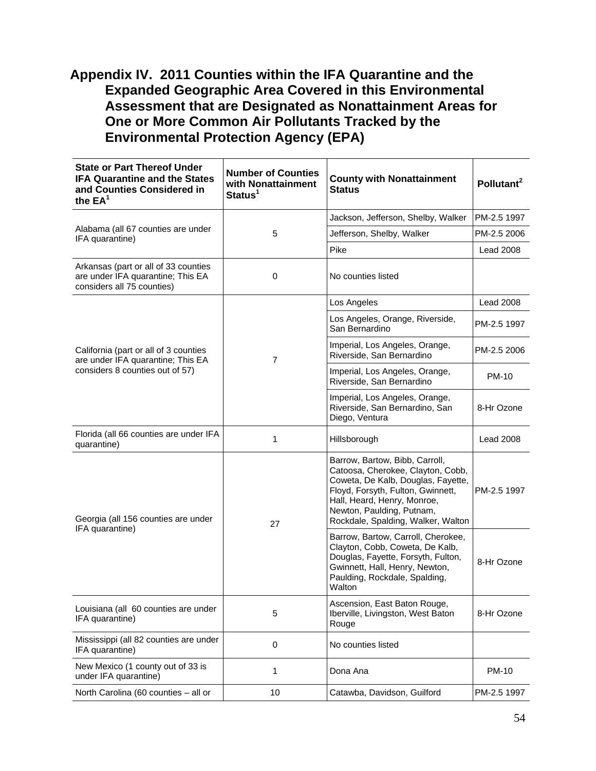### <span id="page-57-0"></span>**Appendix IV. 2011 Counties within the IFA Quarantine and the Expanded Geographic Area Covered in this Environmental Assessment that are Designated as Nonattainment Areas for One or More Common Air Pollutants Tracked by the Environmental Protection Agency (EPA)**

| <b>State or Part Thereof Under</b><br><b>IFA Quarantine and the States</b><br>and Counties Considered in<br>the $EA^1$ | <b>Number of Counties</b><br>with Nonattainment<br>Status <sup>1</sup> | <b>County with Nonattainment</b><br><b>Status</b>                                                                                                                                                                                                | Pollutant <sup>2</sup> |
|------------------------------------------------------------------------------------------------------------------------|------------------------------------------------------------------------|--------------------------------------------------------------------------------------------------------------------------------------------------------------------------------------------------------------------------------------------------|------------------------|
|                                                                                                                        |                                                                        | Jackson, Jefferson, Shelby, Walker                                                                                                                                                                                                               | PM-2.5 1997            |
| Alabama (all 67 counties are under<br>IFA quarantine)                                                                  | 5                                                                      | Jefferson, Shelby, Walker                                                                                                                                                                                                                        | PM-2.5 2006            |
|                                                                                                                        |                                                                        | Pike                                                                                                                                                                                                                                             | <b>Lead 2008</b>       |
| Arkansas (part or all of 33 counties<br>are under IFA quarantine; This EA<br>considers all 75 counties)                | 0                                                                      | No counties listed                                                                                                                                                                                                                               |                        |
|                                                                                                                        |                                                                        | Los Angeles                                                                                                                                                                                                                                      | <b>Lead 2008</b>       |
|                                                                                                                        |                                                                        | Los Angeles, Orange, Riverside,<br>San Bernardino                                                                                                                                                                                                | PM-2.5 1997            |
| California (part or all of 3 counties<br>are under IFA quarantine; This EA                                             | $\overline{7}$                                                         | Imperial, Los Angeles, Orange,<br>Riverside, San Bernardino                                                                                                                                                                                      | PM-2.5 2006            |
| considers 8 counties out of 57)                                                                                        |                                                                        | Imperial, Los Angeles, Orange,<br>Riverside, San Bernardino                                                                                                                                                                                      | <b>PM-10</b>           |
|                                                                                                                        |                                                                        | Imperial, Los Angeles, Orange,<br>Riverside, San Bernardino, San<br>Diego, Ventura                                                                                                                                                               | 8-Hr Ozone             |
| Florida (all 66 counties are under IFA<br>quarantine)                                                                  | 1                                                                      | Hillsborough                                                                                                                                                                                                                                     | <b>Lead 2008</b>       |
| Georgia (all 156 counties are under                                                                                    | 27                                                                     | Barrow, Bartow, Bibb, Carroll,<br>Catoosa, Cherokee, Clayton, Cobb,<br>Coweta, De Kalb, Douglas, Fayette,<br>Floyd, Forsyth, Fulton, Gwinnett,<br>Hall, Heard, Henry, Monroe,<br>Newton, Paulding, Putnam,<br>Rockdale, Spalding, Walker, Walton | PM-2.5 1997            |
| IFA quarantine)                                                                                                        |                                                                        | Barrow, Bartow, Carroll, Cherokee,<br>Clayton, Cobb, Coweta, De Kalb,<br>Douglas, Fayette, Forsyth, Fulton,<br>Gwinnett, Hall, Henry, Newton,<br>Paulding, Rockdale, Spalding,<br>Walton                                                         | 8-Hr Ozone             |
| Louisiana (all 60 counties are under<br>IFA quarantine)                                                                | 5                                                                      | Ascension, East Baton Rouge,<br>Iberville, Livingston, West Baton<br>Rouge                                                                                                                                                                       | 8-Hr Ozone             |
| Mississippi (all 82 counties are under<br>IFA quarantine)                                                              | 0                                                                      | No counties listed                                                                                                                                                                                                                               |                        |
| New Mexico (1 county out of 33 is<br>under IFA quarantine)                                                             | 1                                                                      | Dona Ana                                                                                                                                                                                                                                         | <b>PM-10</b>           |
| North Carolina (60 counties - all or                                                                                   | 10                                                                     | Catawba, Davidson, Guilford                                                                                                                                                                                                                      | PM-2.5 1997            |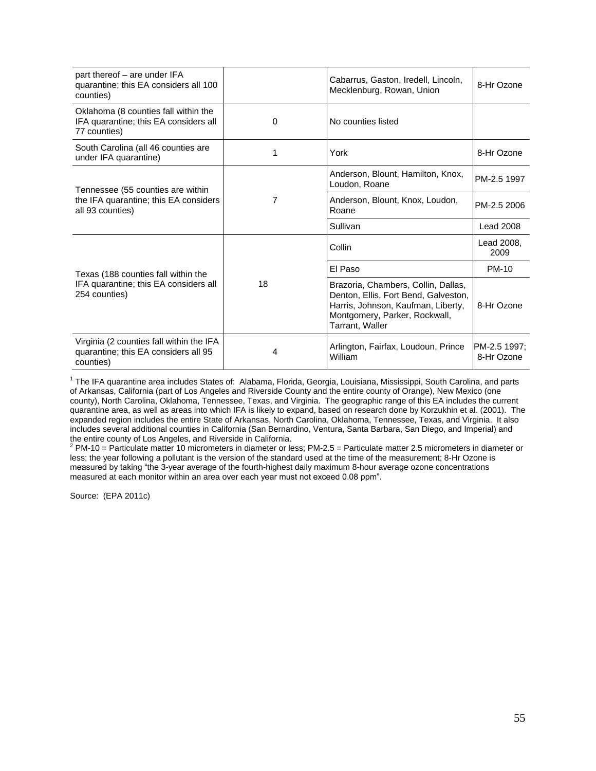| part thereof - are under IFA<br>quarantine; this EA considers all 100<br>counties)            |           | Cabarrus, Gaston, Iredell, Lincoln,<br>Mecklenburg, Rowan, Union                                                                                                      | 8-Hr Ozone                 |
|-----------------------------------------------------------------------------------------------|-----------|-----------------------------------------------------------------------------------------------------------------------------------------------------------------------|----------------------------|
| Oklahoma (8 counties fall within the<br>IFA quarantine; this EA considers all<br>77 counties) | 0         | No counties listed                                                                                                                                                    |                            |
| South Carolina (all 46 counties are<br>under IFA quarantine)                                  | York<br>1 |                                                                                                                                                                       | 8-Hr Ozone                 |
| Tennessee (55 counties are within                                                             |           | Anderson, Blount, Hamilton, Knox,<br>Loudon, Roane                                                                                                                    | PM-2.5 1997                |
| the IFA quarantine; this EA considers<br>all 93 counties)                                     | 7         | Anderson, Blount, Knox, Loudon,<br>Roane                                                                                                                              | PM-2.5 2006                |
|                                                                                               |           | Sullivan                                                                                                                                                              | <b>Lead 2008</b>           |
|                                                                                               |           | Collin                                                                                                                                                                | Lead 2008,<br>2009         |
| Texas (188 counties fall within the                                                           |           | El Paso                                                                                                                                                               | <b>PM-10</b>               |
| IFA quarantine; this EA considers all<br>254 counties)                                        | 18        | Brazoria, Chambers, Collin, Dallas,<br>Denton, Ellis, Fort Bend, Galveston,<br>Harris, Johnson, Kaufman, Liberty,<br>Montgomery, Parker, Rockwall,<br>Tarrant, Waller | 8-Hr Ozone                 |
| Virginia (2 counties fall within the IFA<br>quarantine; this EA considers all 95<br>counties) | 4         | Arlington, Fairfax, Loudoun, Prince<br>William                                                                                                                        | PM-2.5 1997:<br>8-Hr Ozone |

<sup>1</sup> The IFA quarantine area includes States of: Alabama, Florida, Georgia, Louisiana, Mississippi, South Carolina, and parts of Arkansas, California (part of Los Angeles and Riverside County and the entire county of Orange), New Mexico (one county), North Carolina, Oklahoma, Tennessee, Texas, and Virginia. The geographic range of this EA includes the current quarantine area, as well as areas into which IFA is likely to expand, based on research done by Korzukhin et al. [\(2001\)](#page-63-2). The expanded region includes the entire State of Arkansas, North Carolina, Oklahoma, Tennessee, Texas, and Virginia. It also includes several additional counties in California (San Bernardino, Ventura, Santa Barbara, San Diego, and Imperial) and the entire county of Los Angeles, and Riverside in California.

 $2$  PM-10 = Particulate matter 10 micrometers in diameter or less; PM-2.5 = Particulate matter 2.5 micrometers in diameter or less; the year following a pollutant is the version of the standard used at the time of the measurement; 8-Hr Ozone is measured by taking "the 3-year average of the fourth-highest daily maximum 8-hour average ozone concentrations measured at each monitor within an area over each year must not exceed 0.08 ppm".

Source: [\(EPA 2011c\)](#page-61-3)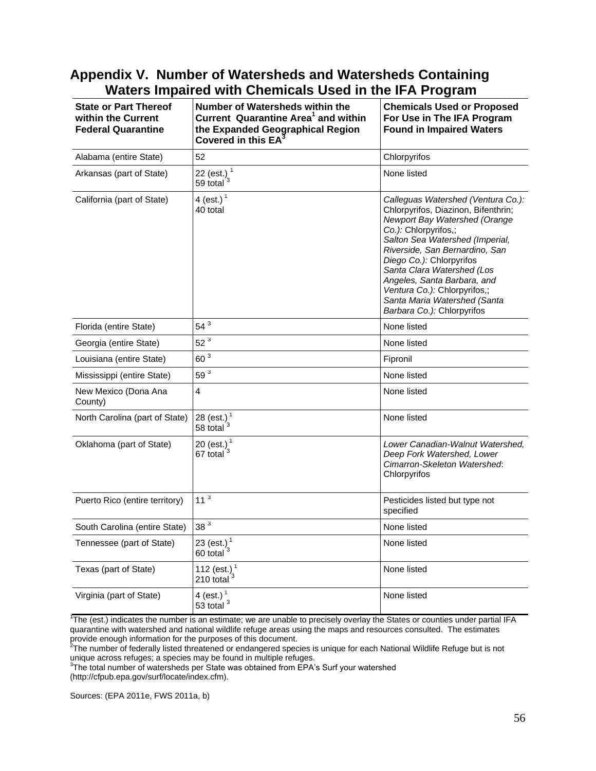### <span id="page-59-0"></span>**Appendix V. Number of Watersheds and Watersheds Containing Waters Impaired with Chemicals Used in the IFA Program**

| <b>State or Part Thereof</b><br>within the Current<br><b>Federal Quarantine</b> | Number of Watersheds within the<br>Current Quarantine Area <sup>1</sup> and within<br>the Expanded Geographical Region<br>Covered in this EA <sup>®</sup> | <b>Chemicals Used or Proposed</b><br>For Use in The IFA Program<br><b>Found in Impaired Waters</b>                                                                                                                                                                                                                                                                                             |
|---------------------------------------------------------------------------------|-----------------------------------------------------------------------------------------------------------------------------------------------------------|------------------------------------------------------------------------------------------------------------------------------------------------------------------------------------------------------------------------------------------------------------------------------------------------------------------------------------------------------------------------------------------------|
| Alabama (entire State)                                                          | 52                                                                                                                                                        | Chlorpyrifos                                                                                                                                                                                                                                                                                                                                                                                   |
| Arkansas (part of State)                                                        | 22 (est.) $^{1}$<br>59 total <sup>3</sup>                                                                                                                 | None listed                                                                                                                                                                                                                                                                                                                                                                                    |
| California (part of State)                                                      | 4 (est.) <sup>1</sup><br>40 total                                                                                                                         | Calleguas Watershed (Ventura Co.):<br>Chlorpyrifos, Diazinon, Bifenthrin;<br>Newport Bay Watershed (Orange<br>Co.): Chlorpyrifos,;<br>Salton Sea Watershed (Imperial,<br>Riverside, San Bernardino, San<br>Diego Co.): Chlorpyrifos<br>Santa Clara Watershed (Los<br>Angeles, Santa Barbara, and<br>Ventura Co.): Chlorpyrifos,;<br>Santa Maria Watershed (Santa<br>Barbara Co.): Chlorpyrifos |
| Florida (entire State)                                                          | $54^3$                                                                                                                                                    | None listed                                                                                                                                                                                                                                                                                                                                                                                    |
| Georgia (entire State)                                                          | $52^3$                                                                                                                                                    | None listed                                                                                                                                                                                                                                                                                                                                                                                    |
| Louisiana (entire State)                                                        | 60 <sup>3</sup>                                                                                                                                           | Fipronil                                                                                                                                                                                                                                                                                                                                                                                       |
| Mississippi (entire State)                                                      | $59^3$                                                                                                                                                    | None listed                                                                                                                                                                                                                                                                                                                                                                                    |
| New Mexico (Dona Ana<br>County)                                                 | $\overline{4}$                                                                                                                                            | None listed                                                                                                                                                                                                                                                                                                                                                                                    |
| North Carolina (part of State)                                                  | 28 (est.) <sup>1</sup><br>58 total <sup>3</sup>                                                                                                           | None listed                                                                                                                                                                                                                                                                                                                                                                                    |
| Oklahoma (part of State)                                                        | 20 (est.) $1/67$ total $3$                                                                                                                                | Lower Canadian-Walnut Watershed,<br>Deep Fork Watershed, Lower<br>Cimarron-Skeleton Watershed:<br>Chlorpyrifos                                                                                                                                                                                                                                                                                 |
| Puerto Rico (entire territory)                                                  | 11 <sup>3</sup>                                                                                                                                           | Pesticides listed but type not<br>specified                                                                                                                                                                                                                                                                                                                                                    |
| South Carolina (entire State)                                                   | 38 <sup>3</sup>                                                                                                                                           | None listed                                                                                                                                                                                                                                                                                                                                                                                    |
| Tennessee (part of State)                                                       | 23 (est.) <sup>1</sup><br>60 total <sup>3</sup>                                                                                                           | None listed                                                                                                                                                                                                                                                                                                                                                                                    |
| Texas (part of State)                                                           | 112 (est.) $^{1}$<br>210 total $3$                                                                                                                        | None listed                                                                                                                                                                                                                                                                                                                                                                                    |
| Virginia (part of State)                                                        | 4 (est.) $1$<br>53 total $3$                                                                                                                              | None listed                                                                                                                                                                                                                                                                                                                                                                                    |

1 The (est.) indicates the number is an estimate; we are unable to precisely overlay the States or counties under partial IFA quarantine with watershed and national wildlife refuge areas using the maps and resources consulted. The estimates provide enough information for the purposes of this document.<br><sup>2</sup>The number of federally listed threatened or endangered species is unique for each National Wildlife Refuge but is not

unique across refuges; a species may be found in multiple refuges.<br><sup>3</sup>The total number of watersheds per State was obtained from EPA's Surf your watershed

(http://cfpub.epa.gov/surf/locate/index.cfm).

Sources: [\(EPA 2011e,](#page-62-11) [FWS 2011a,](#page-62-12) [b\)](#page-62-13)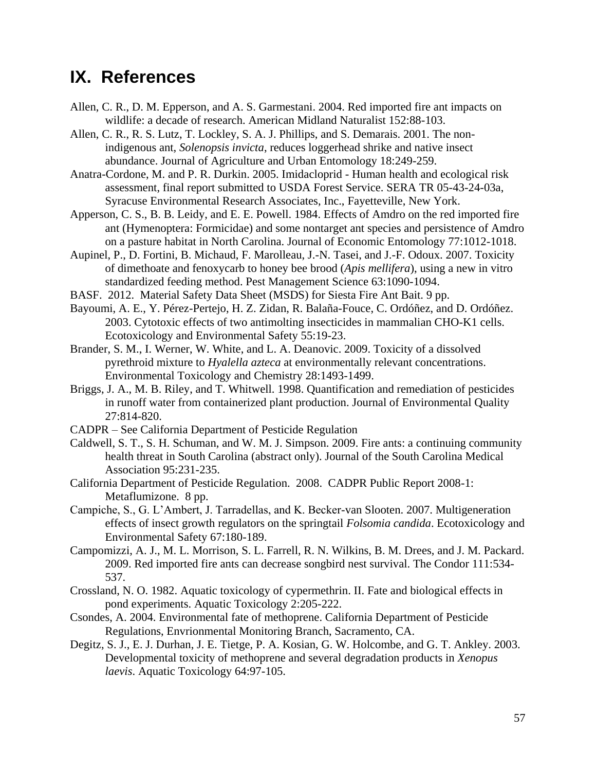## <span id="page-60-0"></span>**IX. References**

- <span id="page-60-1"></span>Allen, C. R., D. M. Epperson, and A. S. Garmestani. 2004. Red imported fire ant impacts on wildlife: a decade of research. American Midland Naturalist 152:88-103.
- <span id="page-60-3"></span>Allen, C. R., R. S. Lutz, T. Lockley, S. A. J. Phillips, and S. Demarais. 2001. The nonindigenous ant, *Solenopsis invicta*, reduces loggerhead shrike and native insect abundance. Journal of Agriculture and Urban Entomology 18:249-259.
- <span id="page-60-11"></span>Anatra-Cordone, M. and P. R. Durkin. 2005. Imidacloprid - Human health and ecological risk assessment, final report submitted to USDA Forest Service. SERA TR 05-43-24-03a, Syracuse Environmental Research Associates, Inc., Fayetteville, New York.
- <span id="page-60-5"></span>Apperson, C. S., B. B. Leidy, and E. E. Powell. 1984. Effects of Amdro on the red imported fire ant (Hymenoptera: Formicidae) and some nontarget ant species and persistence of Amdro on a pasture habitat in North Carolina. Journal of Economic Entomology 77:1012-1018.
- <span id="page-60-4"></span>Aupinel, P., D. Fortini, B. Michaud, F. Marolleau, J.-N. Tasei, and J.-F. Odoux. 2007. Toxicity of dimethoate and fenoxycarb to honey bee brood (*Apis mellifera*), using a new in vitro standardized feeding method. Pest Management Science 63:1090-1094.
- BASF. 2012. Material Safety Data Sheet (MSDS) for Siesta Fire Ant Bait. 9 pp.
- <span id="page-60-9"></span>Bayoumi, A. E., Y. Pérez-Pertejo, H. Z. Zidan, R. Balaña-Fouce, C. Ordóñez, and D. Ordóñez. 2003. Cytotoxic effects of two antimolting insecticides in mammalian CHO-K1 cells. Ecotoxicology and Environmental Safety 55:19-23.
- <span id="page-60-13"></span>Brander, S. M., I. Werner, W. White, and L. A. Deanovic. 2009. Toxicity of a dissolved pyrethroid mixture to *Hyalella azteca* at environmentally relevant concentrations. Environmental Toxicology and Chemistry 28:1493-1499.
- <span id="page-60-12"></span>Briggs, J. A., M. B. Riley, and T. Whitwell. 1998. Quantification and remediation of pesticides in runoff water from containerized plant production. Journal of Environmental Quality 27:814-820.
- CADPR See California Department of Pesticide Regulation
- <span id="page-60-2"></span>Caldwell, S. T., S. H. Schuman, and W. M. J. Simpson. 2009. Fire ants: a continuing community health threat in South Carolina (abstract only). Journal of the South Carolina Medical Association 95:231-235.
- California Department of Pesticide Regulation. 2008. CADPR Public Report 2008-1: Metaflumizone. 8 pp.
- <span id="page-60-6"></span>Campiche, S., G. L'Ambert, J. Tarradellas, and K. Becker-van Slooten. 2007. Multigeneration effects of insect growth regulators on the springtail *Folsomia candida*. Ecotoxicology and Environmental Safety 67:180-189.
- <span id="page-60-14"></span>Campomizzi, A. J., M. L. Morrison, S. L. Farrell, R. N. Wilkins, B. M. Drees, and J. M. Packard. 2009. Red imported fire ants can decrease songbird nest survival. The Condor 111:534- 537.
- <span id="page-60-10"></span>Crossland, N. O. 1982. Aquatic toxicology of cypermethrin. II. Fate and biological effects in pond experiments. Aquatic Toxicology 2:205-222.
- <span id="page-60-8"></span>Csondes, A. 2004. Environmental fate of methoprene. California Department of Pesticide Regulations, Envrionmental Monitoring Branch, Sacramento, CA.
- <span id="page-60-7"></span>Degitz, S. J., E. J. Durhan, J. E. Tietge, P. A. Kosian, G. W. Holcombe, and G. T. Ankley. 2003. Developmental toxicity of methoprene and several degradation products in *Xenopus laevis*. Aquatic Toxicology 64:97-105.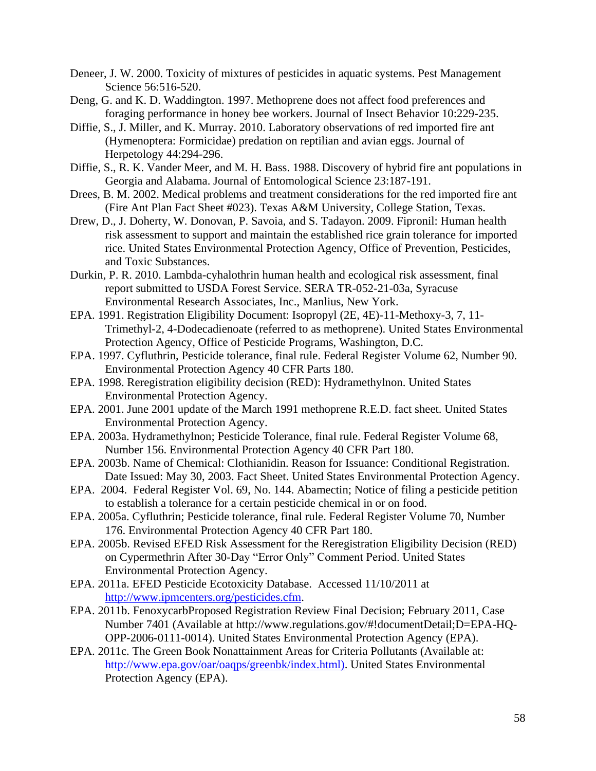- <span id="page-61-17"></span>Deneer, J. W. 2000. Toxicity of mixtures of pesticides in aquatic systems. Pest Management Science 56:516-520.
- <span id="page-61-10"></span>Deng, G. and K. D. Waddington. 1997. Methoprene does not affect food preferences and foraging performance in honey bee workers. Journal of Insect Behavior 10:229-235.
- <span id="page-61-2"></span>Diffie, S., J. Miller, and K. Murray. 2010. Laboratory observations of red imported fire ant (Hymenoptera: Formicidae) predation on reptilian and avian eggs. Journal of Herpetology 44:294-296.
- <span id="page-61-0"></span>Diffie, S., R. K. Vander Meer, and M. H. Bass. 1988. Discovery of hybrid fire ant populations in Georgia and Alabama. Journal of Entomological Science 23:187-191.
- <span id="page-61-1"></span>Drees, B. M. 2002. Medical problems and treatment considerations for the red imported fire ant (Fire Ant Plan Fact Sheet #023). Texas A&M University, College Station, Texas.
- <span id="page-61-6"></span>Drew, D., J. Doherty, W. Donovan, P. Savoia, and S. Tadayon. 2009. Fipronil: Human health risk assessment to support and maintain the established rice grain tolerance for imported rice. United States Environmental Protection Agency, Office of Prevention, Pesticides, and Toxic Substances.
- <span id="page-61-16"></span>Durkin, P. R. 2010. Lambda-cyhalothrin human health and ecological risk assessment, final report submitted to USDA Forest Service. SERA TR-052-21-03a, Syracuse Environmental Research Associates, Inc., Manlius, New York.
- <span id="page-61-9"></span>EPA. 1991. Registration Eligibility Document: Isopropyl (2E, 4E)-11-Methoxy-3, 7, 11- Trimethyl-2, 4-Dodecadienoate (referred to as methoprene). United States Environmental Protection Agency, Office of Pesticide Programs, Washington, D.C.
- <span id="page-61-15"></span>EPA. 1997. Cyfluthrin, Pesticide tolerance, final rule. Federal Register Volume 62, Number 90. Environmental Protection Agency 40 CFR Parts 180.
- <span id="page-61-7"></span>EPA. 1998. Reregistration eligibility decision (RED): Hydramethylnon. United States Environmental Protection Agency.
- <span id="page-61-11"></span>EPA. 2001. June 2001 update of the March 1991 methoprene R.E.D. fact sheet. United States Environmental Protection Agency.
- <span id="page-61-8"></span>EPA. 2003a. Hydramethylnon; Pesticide Tolerance, final rule. Federal Register Volume 68, Number 156. Environmental Protection Agency 40 CFR Part 180.
- <span id="page-61-13"></span>EPA. 2003b. Name of Chemical: Clothianidin. Reason for Issuance: Conditional Registration. Date Issued: May 30, 2003. Fact Sheet. United States Environmental Protection Agency.
- EPA. 2004. Federal Register Vol. 69, No. 144. Abamectin; Notice of filing a pesticide petition to establish a tolerance for a certain pesticide chemical in or on food.
- <span id="page-61-14"></span>EPA. 2005a. Cyfluthrin; Pesticide tolerance, final rule. Federal Register Volume 70, Number 176. Environmental Protection Agency 40 CFR Part 180.
- <span id="page-61-12"></span>EPA. 2005b. Revised EFED Risk Assessment for the Reregistration Eligibility Decision (RED) on Cypermethrin After 30-Day "Error Only" Comment Period. United States Environmental Protection Agency.
- <span id="page-61-4"></span>EPA. 2011a. EFED Pesticide Ecotoxicity Database. Accessed 11/10/2011 at [http://www.ipmcenters.org/pesticides.cfm.](http://www.ipmcenters.org/pesticides.cfm)
- <span id="page-61-5"></span>EPA. 2011b. FenoxycarbProposed Registration Review Final Decision; February 2011, Case Number 7401 (Available at http://www.regulations.gov/#!documentDetail;D=EPA-HQ-OPP-2006-0111-0014). United States Environmental Protection Agency (EPA).
- <span id="page-61-3"></span>EPA. 2011c. The Green Book Nonattainment Areas for Criteria Pollutants (Available at: [http://www.epa.gov/oar/oaqps/greenbk/index.html\).](http://www.epa.gov/oar/oaqps/greenbk/index.html)) United States Environmental Protection Agency (EPA).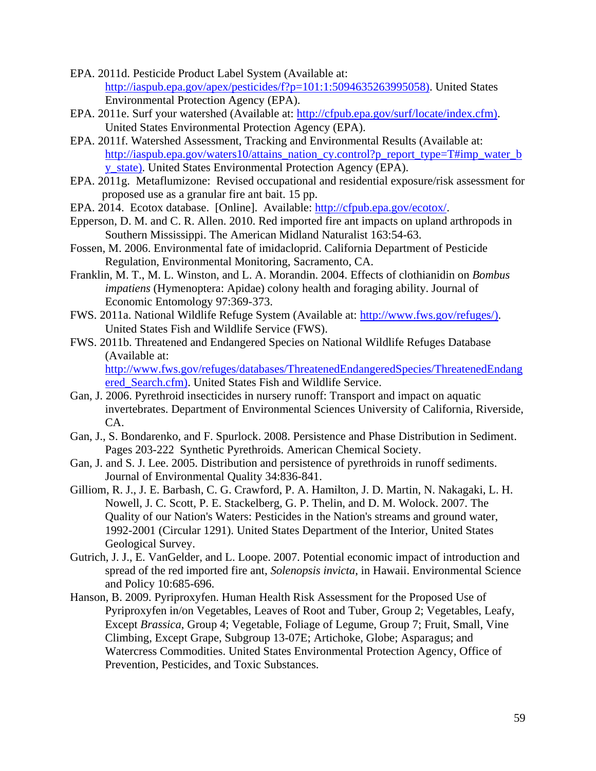- <span id="page-62-7"></span>EPA. 2011d. Pesticide Product Label System (Available at: [http://iaspub.epa.gov/apex/pesticides/f?p=101:1:5094635263995058\).](http://iaspub.epa.gov/apex/pesticides/f?p=101:1:5094635263995058)) United States Environmental Protection Agency (EPA).
- <span id="page-62-11"></span>EPA. 2011e. Surf your watershed (Available at: [http://cfpub.epa.gov/surf/locate/index.cfm\).](http://cfpub.epa.gov/surf/locate/index.cfm)) United States Environmental Protection Agency (EPA).
- <span id="page-62-2"></span>EPA. 2011f. Watershed Assessment, Tracking and Environmental Results (Available at: [http://iaspub.epa.gov/waters10/attains\\_nation\\_cy.control?p\\_report\\_type=T#imp\\_water\\_b](http://iaspub.epa.gov/waters10/attains_nation_cy.control?p_report_type=T#imp_water_by_state)) [y\\_state\).](http://iaspub.epa.gov/waters10/attains_nation_cy.control?p_report_type=T#imp_water_by_state)) United States Environmental Protection Agency (EPA).
- EPA. 2011g. Metaflumizone: Revised occupational and residential exposure/risk assessment for proposed use as a granular fire ant bait. 15 pp.
- EPA. 2014. Ecotox database. [Online]. Available: [http://cfpub.epa.gov/ecotox/.](http://cfpub.epa.gov/ecotox/)
- <span id="page-62-1"></span>Epperson, D. M. and C. R. Allen. 2010. Red imported fire ant impacts on upland arthropods in Southern Mississippi. The American Midland Naturalist 163:54-63.
- <span id="page-62-6"></span>Fossen, M. 2006. Environmental fate of imidacloprid. California Department of Pesticide Regulation, Environmental Monitoring, Sacramento, CA.
- <span id="page-62-5"></span>Franklin, M. T., M. L. Winston, and L. A. Morandin. 2004. Effects of clothianidin on *Bombus impatiens* (Hymenoptera: Apidae) colony health and foraging ability. Journal of Economic Entomology 97:369-373.
- <span id="page-62-12"></span>FWS. 2011a. National Wildlife Refuge System (Available at: [http://www.fws.gov/refuges/\).](http://www.fws.gov/refuges/)) United States Fish and Wildlife Service (FWS).
- <span id="page-62-13"></span>FWS. 2011b. Threatened and Endangered Species on National Wildlife Refuges Database (Available at:

[http://www.fws.gov/refuges/databases/ThreatenedEndangeredSpecies/ThreatenedEndang](http://www.fws.gov/refuges/databases/ThreatenedEndangeredSpecies/ThreatenedEndangered_Search.cfm)) ered Search.cfm). United States Fish and Wildlife Service.

- <span id="page-62-9"></span>Gan, J. 2006. Pyrethroid insecticides in nursery runoff: Transport and impact on aquatic invertebrates. Department of Environmental Sciences University of California, Riverside, CA.
- <span id="page-62-3"></span>Gan, J., S. Bondarenko, and F. Spurlock. 2008. Persistence and Phase Distribution in Sediment. Pages 203-222 Synthetic Pyrethroids. American Chemical Society.
- <span id="page-62-8"></span>Gan, J. and S. J. Lee. 2005. Distribution and persistence of pyrethroids in runoff sediments. Journal of Environmental Quality 34:836-841.
- <span id="page-62-10"></span>Gilliom, R. J., J. E. Barbash, C. G. Crawford, P. A. Hamilton, J. D. Martin, N. Nakagaki, L. H. Nowell, J. C. Scott, P. E. Stackelberg, G. P. Thelin, and D. M. Wolock. 2007. The Quality of our Nation's Waters: Pesticides in the Nation's streams and ground water, 1992-2001 (Circular 1291). United States Department of the Interior, United States Geological Survey.
- <span id="page-62-0"></span>Gutrich, J. J., E. VanGelder, and L. Loope. 2007. Potential economic impact of introduction and spread of the red imported fire ant, *Solenopsis invicta*, in Hawaii. Environmental Science and Policy 10:685-696.
- <span id="page-62-4"></span>Hanson, B. 2009. Pyriproxyfen. Human Health Risk Assessment for the Proposed Use of Pyriproxyfen in/on Vegetables, Leaves of Root and Tuber, Group 2; Vegetables, Leafy, Except *Brassica*, Group 4; Vegetable, Foliage of Legume, Group 7; Fruit, Small, Vine Climbing, Except Grape, Subgroup 13-07E; Artichoke, Globe; Asparagus; and Watercress Commodities. United States Environmental Protection Agency, Office of Prevention, Pesticides, and Toxic Substances.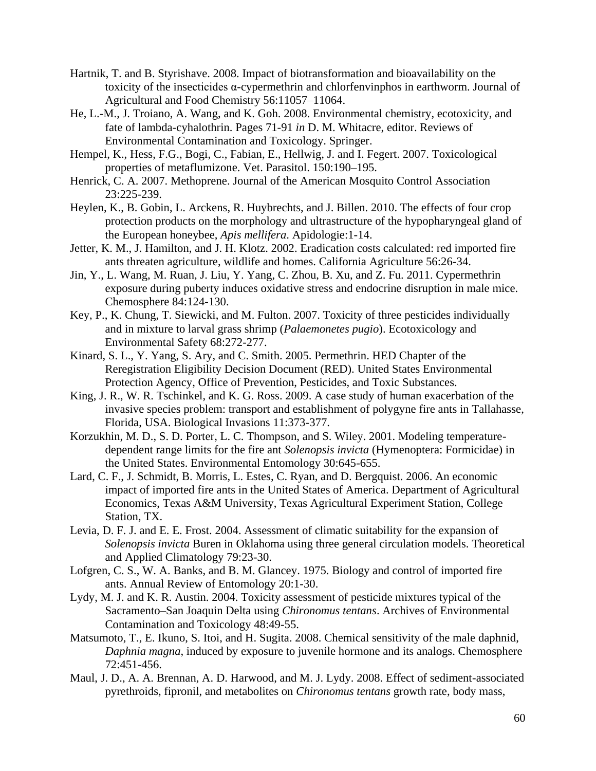- <span id="page-63-11"></span>Hartnik, T. and B. Styrishave. 2008. Impact of biotransformation and bioavailability on the toxicity of the insecticides α-cypermethrin and chlorfenvinphos in earthworm. Journal of Agricultural and Food Chemistry 56:11057–11064.
- <span id="page-63-12"></span>He, L.-M., J. Troiano, A. Wang, and K. Goh. 2008. Environmental chemistry, ecotoxicity, and fate of lambda-cyhalothrin. Pages 71-91 *in* D. M. Whitacre, editor. Reviews of Environmental Contamination and Toxicology. Springer.
- Hempel, K., Hess, F.G., Bogi, C., Fabian, E., Hellwig, J. and I. Fegert. 2007. Toxicological properties of metaflumizone. Vet. Parasitol. 150:190–195.
- <span id="page-63-9"></span>Henrick, C. A. 2007. Methoprene. Journal of the American Mosquito Control Association 23:225-239.
- <span id="page-63-6"></span>Heylen, K., B. Gobin, L. Arckens, R. Huybrechts, and J. Billen. 2010. The effects of four crop protection products on the morphology and ultrastructure of the hypopharyngeal gland of the European honeybee, *Apis mellifera*. Apidologie:1-14.
- <span id="page-63-5"></span>Jetter, K. M., J. Hamilton, and J. H. Klotz. 2002. Eradication costs calculated: red imported fire ants threaten agriculture, wildlife and homes. California Agriculture 56:26-34.
- <span id="page-63-10"></span>Jin, Y., L. Wang, M. Ruan, J. Liu, Y. Yang, C. Zhou, B. Xu, and Z. Fu. 2011. Cypermethrin exposure during puberty induces oxidative stress and endocrine disruption in male mice. Chemosphere 84:124-130.
- <span id="page-63-15"></span>Key, P., K. Chung, T. Siewicki, and M. Fulton. 2007. Toxicity of three pesticides individually and in mixture to larval grass shrimp (*Palaemonetes pugio*). Ecotoxicology and Environmental Safety 68:272-277.
- <span id="page-63-13"></span>Kinard, S. L., Y. Yang, S. Ary, and C. Smith. 2005. Permethrin. HED Chapter of the Reregistration Eligibility Decision Document (RED). United States Environmental Protection Agency, Office of Prevention, Pesticides, and Toxic Substances.
- <span id="page-63-0"></span>King, J. R., W. R. Tschinkel, and K. G. Ross. 2009. A case study of human exacerbation of the invasive species problem: transport and establishment of polygyne fire ants in Tallahasse, Florida, USA. Biological Invasions 11:373-377.
- <span id="page-63-2"></span>Korzukhin, M. D., S. D. Porter, L. C. Thompson, and S. Wiley. 2001. Modeling temperaturedependent range limits for the fire ant *Solenopsis invicta* (Hymenoptera: Formicidae) in the United States. Environmental Entomology 30:645-655.
- <span id="page-63-4"></span>Lard, C. F., J. Schmidt, B. Morris, L. Estes, C. Ryan, and D. Bergquist. 2006. An economic impact of imported fire ants in the United States of America. Department of Agricultural Economics, Texas A&M University, Texas Agricultural Experiment Station, College Station, TX.
- <span id="page-63-3"></span>Levia, D. F. J. and E. E. Frost. 2004. Assessment of climatic suitability for the expansion of *Solenopsis invicta* Buren in Oklahoma using three general circulation models. Theoretical and Applied Climatology 79:23-30.
- <span id="page-63-1"></span>Lofgren, C. S., W. A. Banks, and B. M. Glancey. 1975. Biology and control of imported fire ants. Annual Review of Entomology 20:1-30.
- <span id="page-63-14"></span>Lydy, M. J. and K. R. Austin. 2004. Toxicity assessment of pesticide mixtures typical of the Sacramento–San Joaquin Delta using *Chironomus tentans*. Archives of Environmental Contamination and Toxicology 48:49-55.
- <span id="page-63-7"></span>Matsumoto, T., E. Ikuno, S. Itoi, and H. Sugita. 2008. Chemical sensitivity of the male daphnid, *Daphnia magna*, induced by exposure to juvenile hormone and its analogs. Chemosphere 72:451-456.
- <span id="page-63-8"></span>Maul, J. D., A. A. Brennan, A. D. Harwood, and M. J. Lydy. 2008. Effect of sediment-associated pyrethroids, fipronil, and metabolites on *Chironomus tentans* growth rate, body mass,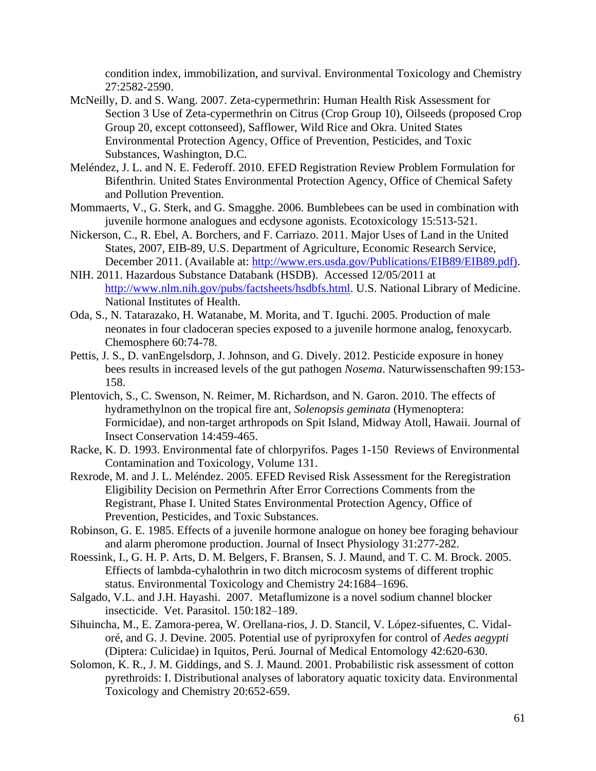condition index, immobilization, and survival. Environmental Toxicology and Chemistry 27:2582-2590.

- <span id="page-64-9"></span>McNeilly, D. and S. Wang. 2007. Zeta-cypermethrin: Human Health Risk Assessment for Section 3 Use of Zeta-cypermethrin on Citrus (Crop Group 10), Oilseeds (proposed Crop Group 20, except cottonseed), Safflower, Wild Rice and Okra. United States Environmental Protection Agency, Office of Prevention, Pesticides, and Toxic Substances, Washington, D.C.
- <span id="page-64-1"></span>Meléndez, J. L. and N. E. Federoff. 2010. EFED Registration Review Problem Formulation for Bifenthrin. United States Environmental Protection Agency, Office of Chemical Safety and Pollution Prevention.
- <span id="page-64-7"></span>Mommaerts, V., G. Sterk, and G. Smagghe. 2006. Bumblebees can be used in combination with juvenile hormone analogues and ecdysone agonists. Ecotoxicology 15:513-521.
- <span id="page-64-13"></span>Nickerson, C., R. Ebel, A. Borchers, and F. Carriazo. 2011. Major Uses of Land in the United States, 2007, EIB-89, U.S. Department of Agriculture, Economic Research Service, December 2011. (Available at: [http://www.ers.usda.gov/Publications/EIB89/EIB89.pdf\).](http://www.ers.usda.gov/Publications/EIB89/EIB89.pdf))
- <span id="page-64-3"></span>NIH. 2011. Hazardous Substance Databank (HSDB). Accessed 12/05/2011 at [http://www.nlm.nih.gov/pubs/factsheets/hsdbfs.html.](http://www.nlm.nih.gov/pubs/factsheets/hsdbfs.html) U.S. National Library of Medicine. National Institutes of Health.
- <span id="page-64-4"></span>Oda, S., N. Tatarazako, H. Watanabe, M. Morita, and T. Iguchi. 2005. Production of male neonates in four cladoceran species exposed to a juvenile hormone analog, fenoxycarb. Chemosphere 60:74-78.
- <span id="page-64-12"></span>Pettis, J. S., D. vanEngelsdorp, J. Johnson, and G. Dively. 2012. Pesticide exposure in honey bees results in increased levels of the gut pathogen *Nosema*. Naturwissenschaften 99:153- 158.
- <span id="page-64-5"></span>Plentovich, S., C. Swenson, N. Reimer, M. Richardson, and N. Garon. 2010. The effects of hydramethylnon on the tropical fire ant, *Solenopsis geminata* (Hymenoptera: Formicidae), and non-target arthropods on Spit Island, Midway Atoll, Hawaii. Journal of Insect Conservation 14:459-465.
- <span id="page-64-2"></span>Racke, K. D. 1993. Environmental fate of chlorpyrifos. Pages 1-150 Reviews of Environmental Contamination and Toxicology, Volume 131.
- <span id="page-64-11"></span>Rexrode, M. and J. L. Meléndez. 2005. EFED Revised Risk Assessment for the Reregistration Eligibility Decision on Permethrin After Error Corrections Comments from the Registrant, Phase I. United States Environmental Protection Agency, Office of Prevention, Pesticides, and Toxic Substances.
- <span id="page-64-6"></span>Robinson, G. E. 1985. Effects of a juvenile hormone analogue on honey bee foraging behaviour and alarm pheromone production. Journal of Insect Physiology 31:277-282.
- <span id="page-64-10"></span>Roessink, I., G. H. P. Arts, D. M. Belgers, F. Bransen, S. J. Maund, and T. C. M. Brock. 2005. Effiects of lambda-cyhalothrin in two ditch microcosm systems of different trophic status. Environmental Toxicology and Chemistry 24:1684–1696.
- Salgado, V.L. and J.H. Hayashi. 2007. Metaflumizone is a novel sodium channel blocker insecticide. Vet. Parasitol. 150:182–189.
- <span id="page-64-8"></span>Sihuincha, M., E. Zamora-perea, W. Orellana-rios, J. D. Stancil, V. López-sifuentes, C. Vidaloré, and G. J. Devine. 2005. Potential use of pyriproxyfen for control of *Aedes aegypti* (Diptera: Culicidae) in Iquitos, Perú. Journal of Medical Entomology 42:620-630.
- <span id="page-64-0"></span>Solomon, K. R., J. M. Giddings, and S. J. Maund. 2001. Probabilistic risk assessment of cotton pyrethroids: I. Distributional analyses of laboratory aquatic toxicity data. Environmental Toxicology and Chemistry 20:652-659.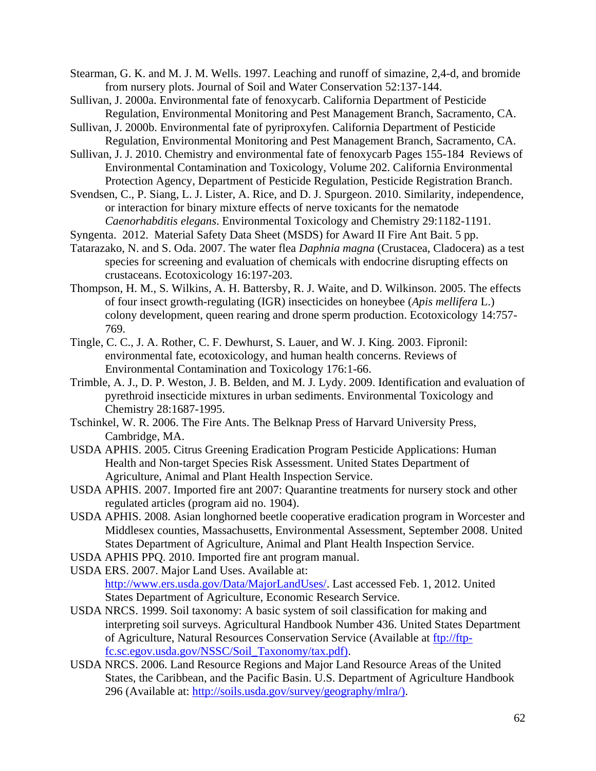<span id="page-65-13"></span>Stearman, G. K. and M. J. M. Wells. 1997. Leaching and runoff of simazine, 2,4-d, and bromide from nursery plots. Journal of Soil and Water Conservation 52:137-144.

- <span id="page-65-6"></span>Sullivan, J. 2000a. Environmental fate of fenoxycarb. California Department of Pesticide Regulation, Environmental Monitoring and Pest Management Branch, Sacramento, CA.
- <span id="page-65-11"></span>Sullivan, J. 2000b. Environmental fate of pyriproxyfen. California Department of Pesticide Regulation, Environmental Monitoring and Pest Management Branch, Sacramento, CA.
- <span id="page-65-9"></span>Sullivan, J. J. 2010. Chemistry and environmental fate of fenoxycarb Pages 155-184 Reviews of Environmental Contamination and Toxicology, Volume 202. California Environmental Protection Agency, Department of Pesticide Regulation, Pesticide Registration Branch.
- <span id="page-65-15"></span>Svendsen, C., P. Siang, L. J. Lister, A. Rice, and D. J. Spurgeon. 2010. Similarity, independence, or interaction for binary mixture effects of nerve toxicants for the nematode *Caenorhabditis elegans*. Environmental Toxicology and Chemistry 29:1182-1191.
- Syngenta. 2012. Material Safety Data Sheet (MSDS) for Award II Fire Ant Bait. 5 pp.
- <span id="page-65-8"></span>Tatarazako, N. and S. Oda. 2007. The water flea *Daphnia magna* (Crustacea, Cladocera) as a test species for screening and evaluation of chemicals with endocrine disrupting effects on crustaceans. Ecotoxicology 16:197-203.
- <span id="page-65-7"></span>Thompson, H. M., S. Wilkins, A. H. Battersby, R. J. Waite, and D. Wilkinson. 2005. The effects of four insect growth-regulating (IGR) insecticides on honeybee (*Apis mellifera* L.) colony development, queen rearing and drone sperm production. Ecotoxicology 14:757- 769.
- <span id="page-65-10"></span>Tingle, C. C., J. A. Rother, C. F. Dewhurst, S. Lauer, and W. J. King. 2003. Fipronil: environmental fate, ecotoxicology, and human health concerns. Reviews of Environmental Contamination and Toxicology 176:1-66.
- <span id="page-65-14"></span>Trimble, A. J., D. P. Weston, J. B. Belden, and M. J. Lydy. 2009. Identification and evaluation of pyrethroid insecticide mixtures in urban sediments. Environmental Toxicology and Chemistry 28:1687-1995.
- <span id="page-65-0"></span>Tschinkel, W. R. 2006. The Fire Ants. The Belknap Press of Harvard University Press, Cambridge, MA.
- <span id="page-65-5"></span>USDA APHIS. 2005. Citrus Greening Eradication Program Pesticide Applications: Human Health and Non-target Species Risk Assessment. United States Department of Agriculture, Animal and Plant Health Inspection Service.
- <span id="page-65-16"></span><span id="page-65-2"></span>USDA APHIS. 2007. Imported fire ant 2007: Quarantine treatments for nursery stock and other regulated articles (program aid no. 1904).
- <span id="page-65-12"></span>USDA APHIS. 2008. Asian longhorned beetle cooperative eradication program in Worcester and Middlesex counties, Massachusetts, Environmental Assessment, September 2008. United States Department of Agriculture, Animal and Plant Health Inspection Service.
- <span id="page-65-1"></span>USDA APHIS PPQ. 2010. Imported fire ant program manual.
- <span id="page-65-17"></span>USDA ERS. 2007. Major Land Uses. Available at: [http://www.ers.usda.gov/Data/MajorLandUses/.](http://www.ers.usda.gov/Data/MajorLandUses/) Last accessed Feb. 1, 2012. United States Department of Agriculture, Economic Research Service.
- <span id="page-65-4"></span>USDA NRCS. 1999. Soil taxonomy: A basic system of soil classification for making and interpreting soil surveys. Agricultural Handbook Number 436. United States Department of Agriculture, Natural Resources Conservation Service (Available at [ftp://ftp](ftp://ftp-fc.sc.egov.usda.gov/NSSC/Soil_Taxonomy/tax.pdf))[fc.sc.egov.usda.gov/NSSC/Soil\\_Taxonomy/tax.pdf\).](ftp://ftp-fc.sc.egov.usda.gov/NSSC/Soil_Taxonomy/tax.pdf))
- <span id="page-65-3"></span>USDA NRCS. 2006. Land Resource Regions and Major Land Resource Areas of the United States, the Caribbean, and the Pacific Basin. U.S. Department of Agriculture Handbook 296 (Available at: [http://soils.usda.gov/survey/geography/mlra/\).](http://soils.usda.gov/survey/geography/mlra/))